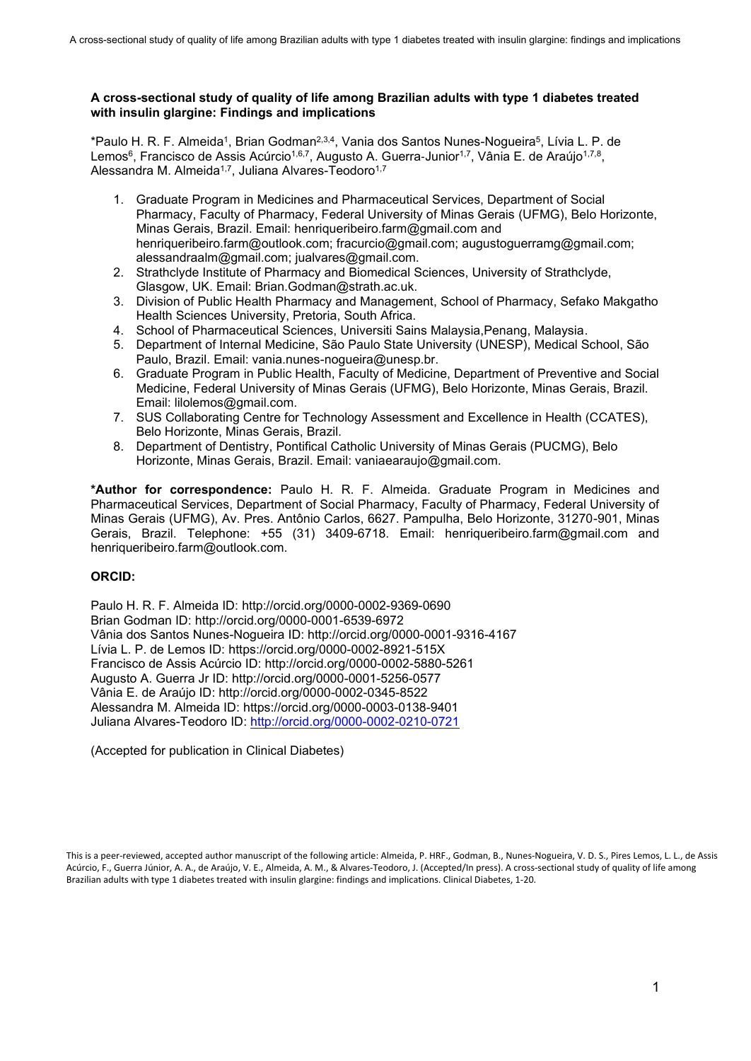### **A cross-sectional study of quality of life among Brazilian adults with type 1 diabetes treated with insulin glargine: Findings and implications**

\*Paulo H. R. F. Almeida<sup>1</sup>, Brian Godman<sup>2,3,4</sup>, Vania dos Santos Nunes-Nogueira<sup>5</sup>, Lívia L. P. de Lemos<sup>6</sup>, Francisco de Assis Acúrcio<sup>1,6,7</sup>, Augusto A. Guerra-Junior<sup>1,7</sup>, Vânia E. de Araújo<sup>1,7,8</sup>, Alessandra M. Almeida<sup>1,7</sup>, Juliana Alvares-Teodoro<sup>1,7</sup>

- 1. Graduate Program in Medicines and Pharmaceutical Services, Department of Social Pharmacy, Faculty of Pharmacy, Federal University of Minas Gerais (UFMG), Belo Horizonte, Minas Gerais, Brazil. Email: henriqueribeiro.farm@gmail.com and henriqueribeiro.farm@outlook.com; fracurcio@gmail.com; augustoguerramg@gmail.com; alessandraalm@gmail.com; jualvares@gmail.com.
- 2. Strathclyde Institute of Pharmacy and Biomedical Sciences, University of Strathclyde, Glasgow, UK. Email: Brian.Godman@strath.ac.uk.
- 3. Division of Public Health Pharmacy and Management, School of Pharmacy, Sefako Makgatho Health Sciences University, Pretoria, South Africa.
- 4. School of Pharmaceutical Sciences, Universiti Sains Malaysia, Penang, Malaysia.
- 5. Department of Internal Medicine, São Paulo State University (UNESP), Medical School, São Paulo, Brazil. Email: vania.nunes-nogueira@unesp.br.
- 6. Graduate Program in Public Health, Faculty of Medicine, Department of Preventive and Social Medicine, Federal University of Minas Gerais (UFMG), Belo Horizonte, Minas Gerais, Brazil. Email: lilolemos@gmail.com.
- 7. SUS Collaborating Centre for Technology Assessment and Excellence in Health (CCATES), Belo Horizonte, Minas Gerais, Brazil.
- 8. Department of Dentistry, Pontifical Catholic University of Minas Gerais (PUCMG), Belo Horizonte, Minas Gerais, Brazil. Email: vaniaearaujo@gmail.com.

**\*Author for correspondence:** Paulo H. R. F. Almeida. Graduate Program in Medicines and Pharmaceutical Services, Department of Social Pharmacy, Faculty of Pharmacy, Federal University of Minas Gerais (UFMG), Av. Pres. Antônio Carlos, 6627. Pampulha, Belo Horizonte, 31270-901, Minas Gerais, Brazil. Telephone: +55 (31) 3409-6718. Email: henriqueribeiro.farm@gmail.com and henriqueribeiro.farm@outlook.com.

# **ORCID:**

Paulo H. R. F. Almeida ID: http://orcid.org/0000-0002-9369-0690 Brian Godman ID: http://orcid.org/0000-0001-6539-6972 Vânia dos Santos Nunes-Nogueira ID: http://orcid.org/0000-0001-9316-4167 Lívia L. P. de Lemos ID: https://orcid.org/0000-0002-8921-515X Francisco de Assis Acúrcio ID: http://orcid.org/0000-0002-5880-5261 Augusto A. Guerra Jr ID: http://orcid.org/0000-0001-5256-0577 Vânia E. de Araújo ID: http://orcid.org/0000-0002-0345-8522 Alessandra M. Almeida ID: https://orcid.org/0000-0003-0138-9401 Juliana Alvares-Teodoro ID:<http://orcid.org/0000-0002-0210-0721>

(Accepted for publication in Clinical Diabetes)

This is a peer-reviewed, accepted author manuscript of the following article: Almeida, P. HRF., Godman, B., Nunes-Nogueira, V. D. S., Pires Lemos, L. L., de Assis Acúrcio, F., Guerra Júnior, A. A., de Araújo, V. E., Almeida, A. M., & Alvares-Teodoro, J. (Accepted/In press). A cross-sectional study of quality of life among Brazilian adults with type 1 diabetes treated with insulin glargine: findings and implications. Clinical Diabetes, 1-20.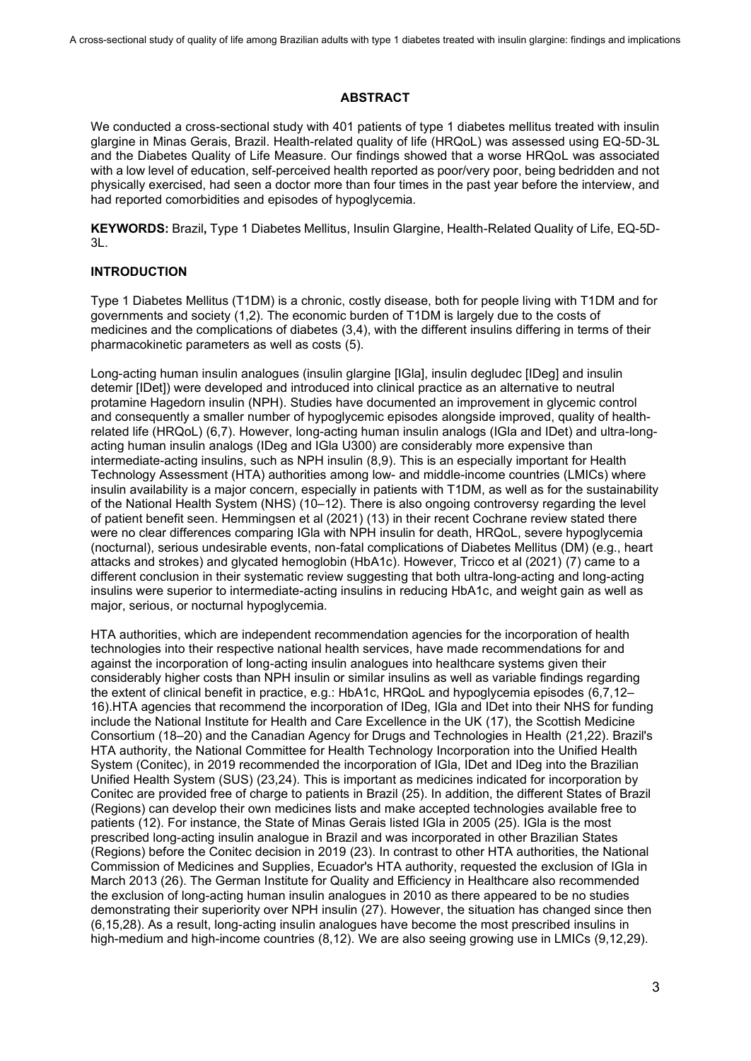# **ABSTRACT**

We conducted a cross-sectional study with 401 patients of type 1 diabetes mellitus treated with insulin glargine in Minas Gerais, Brazil. Health-related quality of life (HRQoL) was assessed using EQ-5D-3L and the Diabetes Quality of Life Measure. Our findings showed that a worse HRQoL was associated with a low level of education, self-perceived health reported as poor/very poor, being bedridden and not physically exercised, had seen a doctor more than four times in the past year before the interview, and had reported comorbidities and episodes of hypoglycemia.

**KEYWORDS:** Brazil**,** Type 1 Diabetes Mellitus, Insulin Glargine, Health-Related Quality of Life, EQ-5D-3L.

## **INTRODUCTION**

Type 1 Diabetes Mellitus (T1DM) is a chronic, costly disease, both for people living with T1DM and for governments and society [\(1,2\).](https://paperpile.com/c/2s9aSa/tfs4+pyFu) The economic burden of T1DM is largely due to the costs of medicines and the complications of diabetes [\(3,4\),](https://paperpile.com/c/2s9aSa/KAl5M+Yml5x) with the different insulins differing in terms of their pharmacokinetic parameters as well as costs [\(5\).](https://paperpile.com/c/2s9aSa/tL2xK)

Long-acting human insulin analogues (insulin glargine [IGla], insulin degludec [IDeg] and insulin detemir [IDet]) were developed and introduced into clinical practice as an alternative to neutral protamine Hagedorn insulin (NPH). Studies have documented an improvement in glycemic control and consequently a smaller number of hypoglycemic episodes alongside improved, quality of healthrelated life (HRQoL) [\(6,7\).](https://paperpile.com/c/2s9aSa/2IfFU+7gOkw) However, long-acting human insulin analogs (IGla and IDet) and ultra-longacting human insulin analogs (IDeg and IGla U300) are considerably more expensive than intermediate-acting insulins, such as NPH insulin [\(8,9\).](https://paperpile.com/c/2s9aSa/0Ofr2+ESs35) This is an especially important for Health Technology Assessment (HTA) authorities among low- and middle-income countries (LMICs) where insulin availability is a major concern, especially in patients with T1DM, as well as for the sustainability of the National Health System (NHS) [\(10–12\).](https://paperpile.com/c/2s9aSa/3yhzK+opstt+fXHuq) There is also ongoing controversy regarding the level of patient benefit seen. Hemmingsen et al (2021) [\(13\)](https://paperpile.com/c/2s9aSa/NW6Lk) in their recent Cochrane review stated there were no clear differences comparing IGla with NPH insulin for death, HRQoL, severe hypoglycemia (nocturnal), serious undesirable events, non-fatal complications of Diabetes Mellitus (DM) (e.g., heart attacks and strokes) and glycated hemoglobin (HbA1c). However, Tricco et al (2021) [\(7\)](https://paperpile.com/c/2s9aSa/7gOkw) came to a different conclusion in their systematic review suggesting that both ultra-long-acting and long-acting insulins were superior to intermediate-acting insulins in reducing HbA1c, and weight gain as well as major, serious, or nocturnal hypoglycemia.

HTA authorities, which are independent recommendation agencies for the incorporation of health technologies into their respective national health services, have made recommendations for and against the incorporation of long-acting insulin analogues into healthcare systems given their considerably higher costs than NPH insulin or similar insulins as well as variable findings regarding the extent of clinical benefit in practice, e.g.: HbA1c, HRQoL and hypoglycemia episodes [\(6,7,12–](https://paperpile.com/c/2s9aSa/2IfFU+7gOkw+fXHuq+NW6Lk+evzpU+hDtLL+lkMhg) [16\).](https://paperpile.com/c/2s9aSa/2IfFU+7gOkw+fXHuq+NW6Lk+evzpU+hDtLL+lkMhg)HTA agencies that recommend the incorporation of IDeg, IGla and IDet into their NHS for funding include the National Institute for Health and Care Excellence in the UK [\(17\),](https://paperpile.com/c/2s9aSa/JUKXI) the Scottish Medicine Consortium [\(18–20\)](https://paperpile.com/c/2s9aSa/ckloo+KsMJK+Ru9mM) and the Canadian Agency for Drugs and Technologies in Health [\(21,22\).](https://paperpile.com/c/2s9aSa/akyOP+sMHAt) Brazil's HTA authority, the National Committee for Health Technology Incorporation into the Unified Health System (Conitec), in 2019 recommended the incorporation of IGla, IDet and IDeg into the Brazilian Unified Health System (SUS) [\(23,24\).](https://paperpile.com/c/2s9aSa/q4rL0+BTHgz) This is important as medicines indicated for incorporation by Conitec are provided free of charge to patients in Brazil [\(25\).](https://paperpile.com/c/2s9aSa/Pd25L) In addition, the different States of Brazil (Regions) can develop their own medicines lists and make accepted technologies available free to patients [\(12\).](https://paperpile.com/c/2s9aSa/fXHuq) For instance, the State of Minas Gerais listed IGla in 2005 [\(25\).](https://paperpile.com/c/2s9aSa/Pd25L) IGla is the most prescribed long-acting insulin analogue in Brazil and was incorporated in other Brazilian States (Regions) before the Conitec decision in 2019 [\(23\).](https://paperpile.com/c/2s9aSa/q4rL0) In contrast to other HTA authorities, the National Commission of Medicines and Supplies, Ecuador's HTA authority, requested the exclusion of IGla in March 2013 [\(26\).](https://paperpile.com/c/2s9aSa/Joc1B) The German Institute for Quality and Efficiency in Healthcare also recommended the exclusion of long-acting human insulin analogues in 2010 as there appeared to be no studies demonstrating their superiority over NPH insulin [\(27\).](https://paperpile.com/c/2s9aSa/pLdKY) However, the situation has changed since then [\(6,15,28\).](https://paperpile.com/c/2s9aSa/9pGMq+hDtLL+2IfFU) As a result, long-acting insulin analogues have become the most prescribed insulins in high-medium and high-income countries [\(8,12\).](https://paperpile.com/c/2s9aSa/0Ofr2+fXHuq) We are also seeing growing use in LMICs [\(9,12,29\).](https://paperpile.com/c/2s9aSa/ESs35+fXHuq+mmDfx)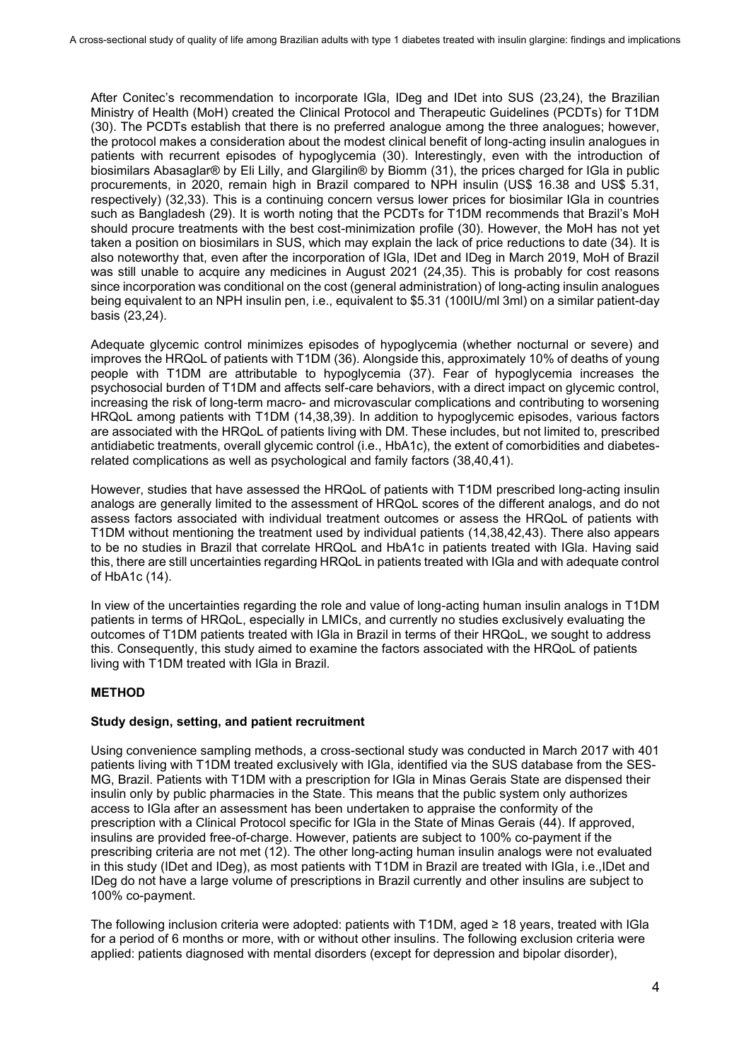After Conitec's recommendation to incorporate IGla, IDeg and IDet into SUS [\(23,24\),](https://paperpile.com/c/2s9aSa/q4rL0+BTHgz) the Brazilian Ministry of Health (MoH) created the Clinical Protocol and Therapeutic Guidelines (PCDTs) for T1DM [\(30\).](https://paperpile.com/c/2s9aSa/nrR9n) The PCDTs establish that there is no preferred analogue among the three analogues; however, the protocol makes a consideration about the modest clinical benefit of long-acting insulin analogues in patients with recurrent episodes of hypoglycemia [\(30\).](https://paperpile.com/c/2s9aSa/nrR9n) Interestingly, even with the introduction of biosimilars Abasaglar® by Eli Lilly, and Glargilin® by Biomm [\(31\),](https://paperpile.com/c/2s9aSa/YGkqM) the prices charged for IGla in public procurements, in 2020, remain high in Brazil compared to NPH insulin (US\$ 16.38 and US\$ 5.31, respectively) [\(32,33\).](https://paperpile.com/c/2s9aSa/QHJUp+sUTCv) This is a continuing concern versus lower prices for biosimilar IGla in countries such as Bangladesh [\(29\).](https://paperpile.com/c/2s9aSa/mmDfx) It is worth noting that the PCDTs for T1DM recommends that Brazil's MoH should procure treatments with the best cost-minimization profile [\(30\).](https://paperpile.com/c/2s9aSa/nrR9n) However, the MoH has not yet taken a position on biosimilars in SUS, which may explain the lack of price reductions to date [\(34\).](https://paperpile.com/c/2s9aSa/yJhN2) It is also noteworthy that, even after the incorporation of IGla, IDet and IDeg in March 2019, MoH of Brazil was still unable to acquire any medicines in August 2021 [\(24,35\).](https://paperpile.com/c/2s9aSa/xb8QQ+BTHgz) This is probably for cost reasons since incorporation was conditional on the cost (general administration) of long-acting insulin analogues being equivalent to an NPH insulin pen, i.e., equivalent to \$5.31 (100IU/ml 3ml) on a similar patient-day basis [\(23,24\).](https://paperpile.com/c/2s9aSa/q4rL0+BTHgz)

Adequate glycemic control minimizes episodes of hypoglycemia (whether nocturnal or severe) and improves the HRQoL of patients with T1DM [\(36\).](https://paperpile.com/c/2s9aSa/jt4EQ) Alongside this, approximately 10% of deaths of young people with T1DM are attributable to hypoglycemia [\(37\).](https://paperpile.com/c/2s9aSa/9nP2Q) Fear of hypoglycemia increases the psychosocial burden of T1DM and affects self-care behaviors, with a direct impact on glycemic control, increasing the risk of long-term macro- and microvascular complications and contributing to worsening HRQoL among patients with T1DM [\(14,38,39\).](https://paperpile.com/c/2s9aSa/evzpU+iElRh+Ft7kY) In addition to hypoglycemic episodes, various factors are associated with the HRQoL of patients living with DM. These includes, but not limited to, prescribed antidiabetic treatments, overall glycemic control (i.e., HbA1c), the extent of comorbidities and diabetesrelated complications as well as psychological and family factors [\(38,40,41\).](https://paperpile.com/c/2s9aSa/iElRh+aqFd5+Ir81H)

However, studies that have assessed the HRQoL of patients with T1DM prescribed long-acting insulin analogs are generally limited to the assessment of HRQoL scores of the different analogs, and do not assess factors associated with individual treatment outcomes or assess the HRQoL of patients with T1DM without mentioning the treatment used by individual patients [\(14,38,42,43\).](https://paperpile.com/c/2s9aSa/evzpU+iElRh+2DrUx+8z1p3) There also appears to be no studies in Brazil that correlate HRQoL and HbA1c in patients treated with IGla. Having said this, there are still uncertainties regarding HRQoL in patients treated with IGla and with adequate control of HbA1c [\(14\).](https://paperpile.com/c/2s9aSa/evzpU)

In view of the uncertainties regarding the role and value of long-acting human insulin analogs in T1DM patients in terms of HRQoL, especially in LMICs, and currently no studies exclusively evaluating the outcomes of T1DM patients treated with IGla in Brazil in terms of their HRQoL, we sought to address this. Consequently, this study aimed to examine the factors associated with the HRQoL of patients living with T1DM treated with IGla in Brazil.

### **METHOD**

### **Study design, setting, and patient recruitment**

Using convenience sampling methods, a cross-sectional study was conducted in March 2017 with 401 patients living with T1DM treated exclusively with IGla, identified via the SUS database from the SES-MG, Brazil. Patients with T1DM with a prescription for IGla in Minas Gerais State are dispensed their insulin only by public pharmacies in the State. This means that the public system only authorizes access to IGla after an assessment has been undertaken to appraise the conformity of the prescription with a Clinical Protocol specific for IGla in the State of Minas Gerais [\(44\).](https://paperpile.com/c/2s9aSa/7GIf9) If approved, insulins are provided free-of-charge. However, patients are subject to 100% co-payment if the prescribing criteria are not met [\(12\).](https://paperpile.com/c/2s9aSa/fXHuq) The other long-acting human insulin analogs were not evaluated in this study (IDet and IDeg), as most patients with T1DM in Brazil are treated with IGla, i.e.,IDet and IDeg do not have a large volume of prescriptions in Brazil currently and other insulins are subject to 100% co-payment.

The following inclusion criteria were adopted: patients with T1DM, aged ≥ 18 years, treated with IGla for a period of 6 months or more, with or without other insulins. The following exclusion criteria were applied: patients diagnosed with mental disorders (except for depression and bipolar disorder),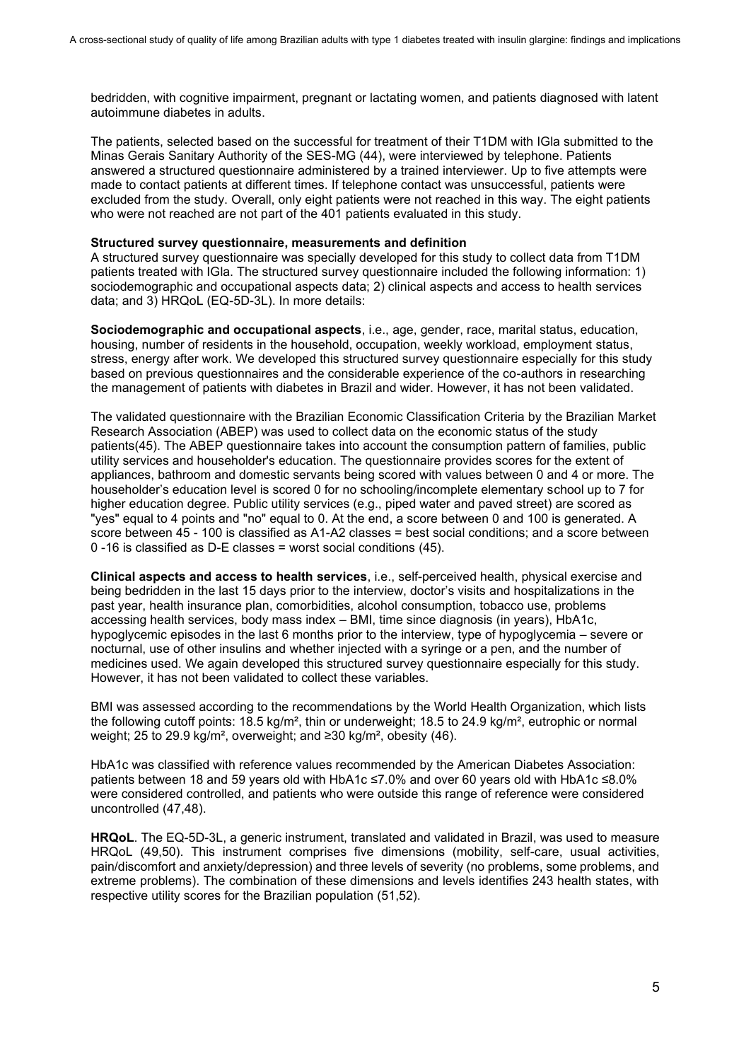bedridden, with cognitive impairment, pregnant or lactating women, and patients diagnosed with latent autoimmune diabetes in adults.

The patients, selected based on the successful for treatment of their T1DM with IGla submitted to the Minas Gerais Sanitary Authority of the SES-MG [\(44\),](https://paperpile.com/c/2s9aSa/7GIf9) were interviewed by telephone. Patients answered a structured questionnaire administered by a trained interviewer. Up to five attempts were made to contact patients at different times. If telephone contact was unsuccessful, patients were excluded from the study. Overall, only eight patients were not reached in this way. The eight patients who were not reached are not part of the 401 patients evaluated in this study.

#### **Structured survey questionnaire, measurements and definition**

A structured survey questionnaire was specially developed for this study to collect data from T1DM patients treated with IGla. The structured survey questionnaire included the following information: 1) sociodemographic and occupational aspects data; 2) clinical aspects and access to health services data; and 3) HRQoL (EQ-5D-3L). In more details:

**Sociodemographic and occupational aspects**, i.e., age, gender, race, marital status, education, housing, number of residents in the household, occupation, weekly workload, employment status, stress, energy after work. We developed this structured survey questionnaire especially for this study based on previous questionnaires and the considerable experience of the co-authors in researching the management of patients with diabetes in Brazil and wider. However, it has not been validated.

The validated questionnaire with the Brazilian Economic Classification Criteria by the Brazilian Market Research Association (ABEP) was used to collect data on the economic status of the study patient[s\(45\).](https://paperpile.com/c/2s9aSa/znVUu) The ABEP questionnaire takes into account the consumption pattern of families, public utility services and householder's education. The questionnaire provides scores for the extent of appliances, bathroom and domestic servants being scored with values between 0 and 4 or more. The householder's education level is scored 0 for no schooling/incomplete elementary school up to 7 for higher education degree. Public utility services (e.g., piped water and paved street) are scored as "yes" equal to 4 points and "no" equal to 0. At the end, a score between 0 and 100 is generated. A score between 45 - 100 is classified as A1-A2 classes = best social conditions; and a score between 0 -16 is classified as D-E classes = worst social conditions [\(45\).](https://paperpile.com/c/2s9aSa/znVUu)

**Clinical aspects and access to health services**, i.e., self-perceived health, physical exercise and being bedridden in the last 15 days prior to the interview, doctor's visits and hospitalizations in the past year, health insurance plan, comorbidities, alcohol consumption, tobacco use, problems accessing health services, body mass index – BMI, time since diagnosis (in years), HbA1c, hypoglycemic episodes in the last 6 months prior to the interview, type of hypoglycemia – severe or nocturnal, use of other insulins and whether injected with a syringe or a pen, and the number of medicines used. We again developed this structured survey questionnaire especially for this study. However, it has not been validated to collect these variables.

BMI was assessed according to the recommendations by the World Health Organization, which lists the following cutoff points: 18.5 kg/m², thin or underweight; 18.5 to 24.9 kg/m², eutrophic or normal weight; 25 to 29.9 kg/m², overweight; and ≥30 kg/m², obesity [\(46\).](https://paperpile.com/c/2s9aSa/1FbA7)

HbA1c was classified with reference values recommended by the American Diabetes Association: patients between 18 and 59 years old with HbA1c ≤7.0% and over 60 years old with HbA1c ≤8.0% were considered controlled, and patients who were outside this range of reference were considered uncontrolled [\(47,48\).](https://paperpile.com/c/2s9aSa/2qiZW+VY8hw)

**HRQoL**. The EQ-5D-3L, a generic instrument, translated and validated in Brazil, was used to measure HRQoL [\(49,50\).](https://paperpile.com/c/2s9aSa/cjCyW+zHurz) This instrument comprises five dimensions (mobility, self-care, usual activities, pain/discomfort and anxiety/depression) and three levels of severity (no problems, some problems, and extreme problems). The combination of these dimensions and levels identifies 243 health states, with respective utility scores for the Brazilian population [\(51,52\).](https://paperpile.com/c/2s9aSa/5no1v+uzIbA)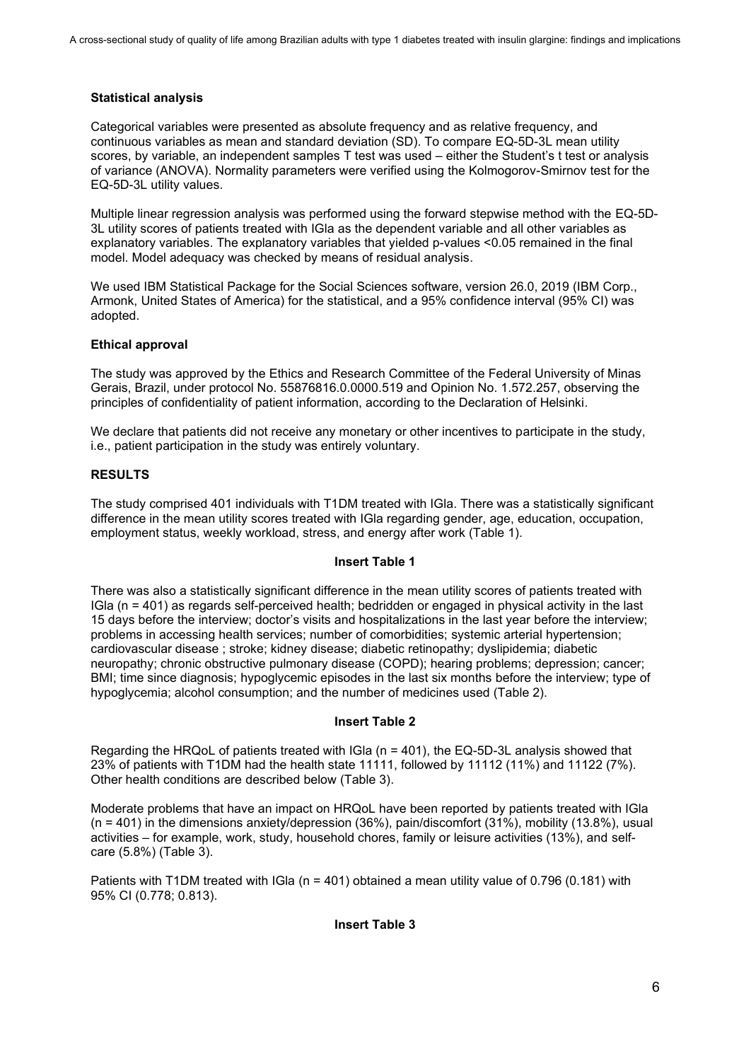# **Statistical analysis**

Categorical variables were presented as absolute frequency and as relative frequency, and continuous variables as mean and standard deviation (SD). To compare EQ-5D-3L mean utility scores, by variable, an independent samples T test was used – either the Student's t test or analysis of variance (ANOVA). Normality parameters were verified using the Kolmogorov-Smirnov test for the EQ-5D-3L utility values.

Multiple linear regression analysis was performed using the forward stepwise method with the EQ-5D-3L utility scores of patients treated with IGla as the dependent variable and all other variables as explanatory variables. The explanatory variables that yielded p-values <0.05 remained in the final model. Model adequacy was checked by means of residual analysis.

We used IBM Statistical Package for the Social Sciences software, version 26.0, 2019 (IBM Corp., Armonk, United States of America) for the statistical, and a 95% confidence interval (95% CI) was adopted.

### **Ethical approval**

The study was approved by the Ethics and Research Committee of the Federal University of Minas Gerais, Brazil, under protocol No. 55876816.0.0000.519 and Opinion No. 1.572.257, observing the principles of confidentiality of patient information, according to the Declaration of Helsinki.

We declare that patients did not receive any monetary or other incentives to participate in the study, i.e., patient participation in the study was entirely voluntary.

## **RESULTS**

The study comprised 401 individuals with T1DM treated with IGla. There was a statistically significant difference in the mean utility scores treated with IGla regarding gender, age, education, occupation, employment status, weekly workload, stress, and energy after work (Table 1).

### **Insert Table 1**

There was also a statistically significant difference in the mean utility scores of patients treated with IGla (n = 401) as regards self-perceived health; bedridden or engaged in physical activity in the last 15 days before the interview; doctor's visits and hospitalizations in the last year before the interview; problems in accessing health services; number of comorbidities; systemic arterial hypertension; cardiovascular disease ; stroke; kidney disease; diabetic retinopathy; dyslipidemia; diabetic neuropathy; chronic obstructive pulmonary disease (COPD); hearing problems; depression; cancer; BMI; time since diagnosis; hypoglycemic episodes in the last six months before the interview; type of hypoglycemia; alcohol consumption; and the number of medicines used (Table 2).

### **Insert Table 2**

Regarding the HRQoL of patients treated with IGla (n = 401), the EQ-5D-3L analysis showed that 23% of patients with T1DM had the health state 11111, followed by 11112 (11%) and 11122 (7%). Other health conditions are described below (Table 3).

Moderate problems that have an impact on HRQoL have been reported by patients treated with IGla (n = 401) in the dimensions anxiety/depression (36%), pain/discomfort (31%), mobility (13.8%), usual activities – for example, work, study, household chores, family or leisure activities (13%), and selfcare (5.8%) (Table 3).

Patients with T1DM treated with IGla (n = 401) obtained a mean utility value of 0.796 (0.181) with 95% CI (0.778; 0.813).

### **Insert Table 3**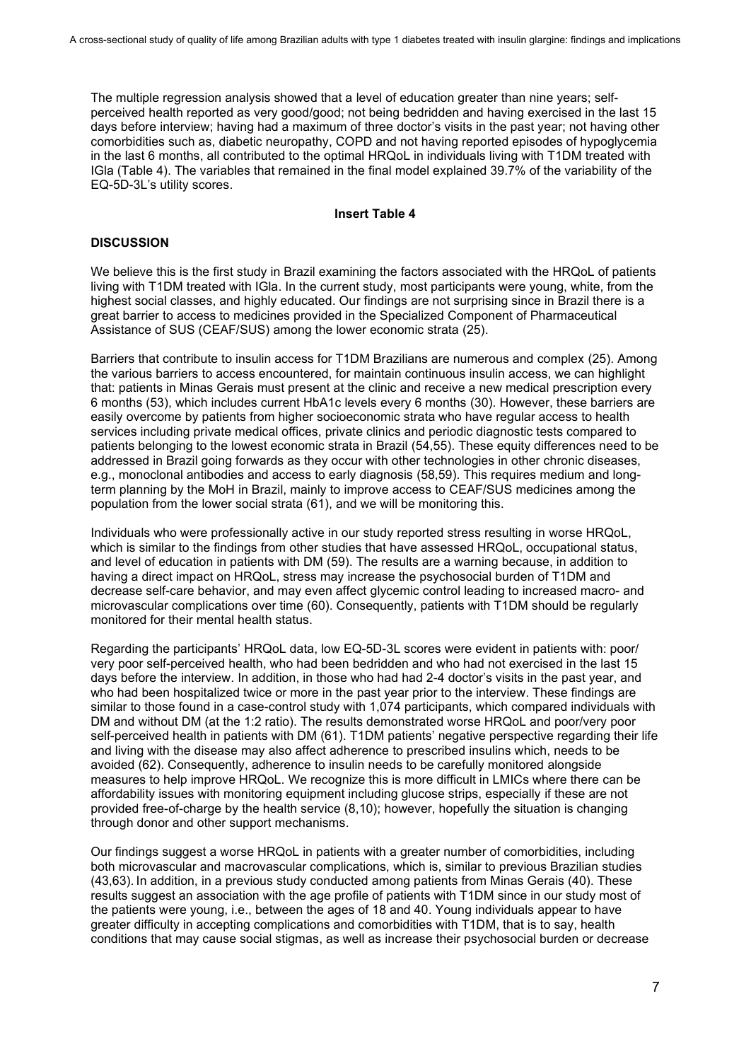The multiple regression analysis showed that a level of education greater than nine years; selfperceived health reported as very good/good; not being bedridden and having exercised in the last 15 days before interview; having had a maximum of three doctor's visits in the past year; not having other comorbidities such as, diabetic neuropathy, COPD and not having reported episodes of hypoglycemia in the last 6 months, all contributed to the optimal HRQoL in individuals living with T1DM treated with IGla (Table 4). The variables that remained in the final model explained 39.7% of the variability of the EQ-5D-3L's utility scores.

## **Insert Table 4**

### **DISCUSSION**

We believe this is the first study in Brazil examining the factors associated with the HRQoL of patients living with T1DM treated with IGla. In the current study, most participants were young, white, from the highest social classes, and highly educated. Our findings are not surprising since in Brazil there is a great barrier to access to medicines provided in the Specialized Component of Pharmaceutical Assistance of SUS (CEAF/SUS) among the lower economic strata [\(25\).](https://paperpile.com/c/2s9aSa/Pd25L)

Barriers that contribute to insulin access for T1DM Brazilians are numerous and complex [\(25\).](https://paperpile.com/c/2s9aSa/Pd25L) Among the various barriers to access encountered, for maintain continuous insulin access, we can highlight that: patients in Minas Gerais must present at the clinic and receive a new medical prescription every 6 months [\(53\),](https://paperpile.com/c/2s9aSa/PeMxt) which includes current HbA1c levels every 6 months [\(30\).](https://paperpile.com/c/2s9aSa/nrR9n) However, these barriers are easily overcome by patients from higher socioeconomic strata who have regular access to health services including private medical offices, private clinics and periodic diagnostic tests compared to patients belonging to the lowest economic strata in Brazil [\(54,55\).](https://paperpile.com/c/2s9aSa/WW2MV+srb7s) These equity differences need to be addressed in Brazil going forwards as they occur with other technologies in other chronic diseases, e.g., monoclonal antibodies and access to early diagnosis [\(58,59\).](https://paperpile.com/c/2s9aSa/yLEaW+yYg0) This requires medium and longterm planning by the MoH in Brazil, mainly to improve access to CEAF/SUS medicines among the population from the lower social strata [\(61\),](https://paperpile.com/c/2s9aSa/WAeto) and we will be monitoring this.

Individuals who were professionally active in our study reported stress resulting in worse HRQoL, which is similar to the findings from other studies that have assessed HRQoL, occupational status, and level of education in patients with DM [\(59\).](https://paperpile.com/c/2s9aSa/EP5vh) The results are a warning because, in addition to having a direct impact on HRQoL, stress may increase the psychosocial burden of T1DM and decrease self-care behavior, and may even affect glycemic control leading to increased macro- and microvascular complications over time [\(60\).](https://paperpile.com/c/2s9aSa/mihFN) Consequently, patients with T1DM should be regularly monitored for their mental health status.

Regarding the participants' HRQoL data, low EQ-5D-3L scores were evident in patients with: poor/ very poor self-perceived health, who had been bedridden and who had not exercised in the last 15 days before the interview. In addition, in those who had had 2-4 doctor's visits in the past year, and who had been hospitalized twice or more in the past year prior to the interview. These findings are similar to those found in a case-control study with 1,074 participants, which compared individuals with DM and without DM (at the 1:2 ratio). The results demonstrated worse HRQoL and poor/very poor self-perceived health in patients with DM [\(61\).](https://paperpile.com/c/2s9aSa/HSIIq) T1DM patients' negative perspective regarding their life and living with the disease may also affect adherence to prescribed insulins which, needs to be avoided [\(62\).](https://paperpile.com/c/2s9aSa/yj8A6) Consequently, adherence to insulin needs to be carefully monitored alongside measures to help improve HRQoL. We recognize this is more difficult in LMICs where there can be affordability issues with monitoring equipment including glucose strips, especially if these are not provided free-of-charge by the health service [\(8,10\);](https://paperpile.com/c/2s9aSa/3yhzK+0Ofr2) however, hopefully the situation is changing through donor and other support mechanisms.

Our findings suggest a worse HRQoL in patients with a greater number of comorbidities, including both microvascular and macrovascular complications, which is, similar to previous Brazilian studies [\(43,63\).](https://paperpile.com/c/2s9aSa/8z1p3+0fHwo) In addition, in a previous study conducted among patients from Minas Gerais [\(40\).](https://paperpile.com/c/2s9aSa/aqFd5) These results suggest an association with the age profile of patients with T1DM since in our study most of the patients were young, i.e., between the ages of 18 and 40. Young individuals appear to have greater difficulty in accepting complications and comorbidities with T1DM, that is to say, health conditions that may cause social stigmas, as well as increase their psychosocial burden or decrease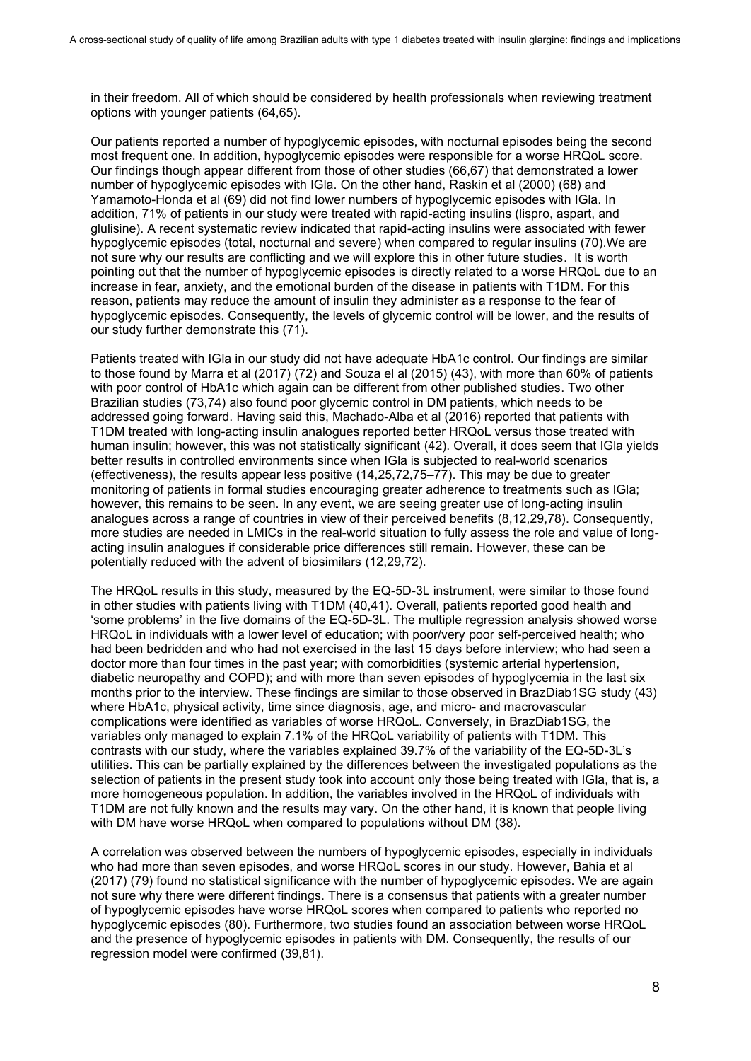in their freedom. All of which should be considered by health professionals when reviewing treatment options with younger patients [\(64,65\).](https://paperpile.com/c/2s9aSa/qi7oQ+Csonj)

Our patients reported a number of hypoglycemic episodes, with nocturnal episodes being the second most frequent one. In addition, hypoglycemic episodes were responsible for a worse HRQoL score. Our findings though appear different from those of other studies [\(66,67\)](https://paperpile.com/c/2s9aSa/oqLNc+AaNxQ) that demonstrated a lower number of hypoglycemic episodes with IGla. On the other hand, Raskin et al (2000) [\(68\)](https://paperpile.com/c/2s9aSa/o4ynN) and Yamamoto-Honda et al [\(69\)](https://paperpile.com/c/2s9aSa/eyHRI) did not find lower numbers of hypoglycemic episodes with IGla. In addition, 71% of patients in our study were treated with rapid-acting insulins (lispro, aspart, and glulisine). A recent systematic review indicated that rapid-acting insulins were associated with fewer hypoglycemic episodes (total, nocturnal and severe) when compared to regular insulins [\(70\).](https://paperpile.com/c/2s9aSa/LLa1)We are not sure why our results are conflicting and we will explore this in other future studies. It is worth pointing out that the number of hypoglycemic episodes is directly related to a worse HRQoL due to an increase in fear, anxiety, and the emotional burden of the disease in patients with T1DM. For this reason, patients may reduce the amount of insulin they administer as a response to the fear of hypoglycemic episodes. Consequently, the levels of glycemic control will be lower, and the results of our study further demonstrate this [\(71\).](https://paperpile.com/c/2s9aSa/snfPy)

Patients treated with IGla in our study did not have adequate HbA1c control. Our findings are similar to those found by Marra et al (2017) [\(72\)](https://paperpile.com/c/2s9aSa/PKIDS) and Souza el al (2015) [\(43\),](https://paperpile.com/c/2s9aSa/8z1p3) with more than 60% of patients with poor control of HbA1c which again can be different from other published studies. Two other Brazilian studies [\(73,74\)](https://paperpile.com/c/2s9aSa/B3czZ+jFUWp) also found poor glycemic control in DM patients, which needs to be addressed going forward. Having said this, Machado-Alba et al (2016) reported that patients with T1DM treated with long-acting insulin analogues reported better HRQoL versus those treated with human insulin; however, this was not statistically significant [\(42\).](https://paperpile.com/c/2s9aSa/2DrUx) Overall, it does seem that IGla yields better results in controlled environments since when IGla is subjected to real-world scenarios (effectiveness), the results appear less positive [\(14,25,72,75–77\).](https://paperpile.com/c/2s9aSa/evzpU+Pd25L+xp8P8+SfEBd+j0qN2+PKIDS) This may be due to greater monitoring of patients in formal studies encouraging greater adherence to treatments such as IGla; however, this remains to be seen. In any event, we are seeing greater use of long-acting insulin analogues across a range of countries in view of their perceived benefits [\(8,12,29,78\).](https://paperpile.com/c/2s9aSa/0Ofr2+dMgKU+mmDfx+fXHuq) Consequently, more studies are needed in LMICs in the real-world situation to fully assess the role and value of longacting insulin analogues if considerable price differences still remain. However, these can be potentially reduced with the advent of biosimilars [\(12,29,72\).](https://paperpile.com/c/2s9aSa/fXHuq+PKIDS+mmDfx)

The HRQoL results in this study, measured by the EQ-5D-3L instrument, were similar to those found in other studies with patients living with T1DM [\(40,41\).](https://paperpile.com/c/2s9aSa/Ir81H+aqFd5) Overall, patients reported good health and 'some problems' in the five domains of the EQ-5D-3L. The multiple regression analysis showed worse HRQoL in individuals with a lower level of education; with poor/very poor self-perceived health; who had been bedridden and who had not exercised in the last 15 days before interview; who had seen a doctor more than four times in the past year; with comorbidities (systemic arterial hypertension, diabetic neuropathy and COPD); and with more than seven episodes of hypoglycemia in the last six months prior to the interview. These findings are similar to those observed in BrazDiab1SG study [\(43\)](https://paperpile.com/c/2s9aSa/8z1p3) where HbA1c, physical activity, time since diagnosis, age, and micro- and macrovascular complications were identified as variables of worse HRQoL. Conversely, in BrazDiab1SG, the variables only managed to explain 7.1% of the HRQoL variability of patients with T1DM. This contrasts with our study, where the variables explained 39.7% of the variability of the EQ-5D-3L's utilities. This can be partially explained by the differences between the investigated populations as the selection of patients in the present study took into account only those being treated with IGla, that is, a more homogeneous population. In addition, the variables involved in the HRQoL of individuals with T1DM are not fully known and the results may vary. On the other hand, it is known that people living with DM have worse HRQoL when compared to populations without DM [\(38\).](https://paperpile.com/c/2s9aSa/iElRh)

A correlation was observed between the numbers of hypoglycemic episodes, especially in individuals who had more than seven episodes, and worse HRQoL scores in our study. However, Bahia et al (2017) [\(79\)](https://paperpile.com/c/2s9aSa/FQV9H) found no statistical significance with the number of hypoglycemic episodes. We are again not sure why there were different findings. There is a consensus that patients with a greater number of hypoglycemic episodes have worse HRQoL scores when compared to patients who reported no hypoglycemic episodes [\(80\).](https://paperpile.com/c/2s9aSa/RjkDU) Furthermore, two studies found an association between worse HRQoL and the presence of hypoglycemic episodes in patients with DM. Consequently, the results of our regression model were confirmed [\(39,81\).](https://paperpile.com/c/2s9aSa/Ft7kY+xfvQu)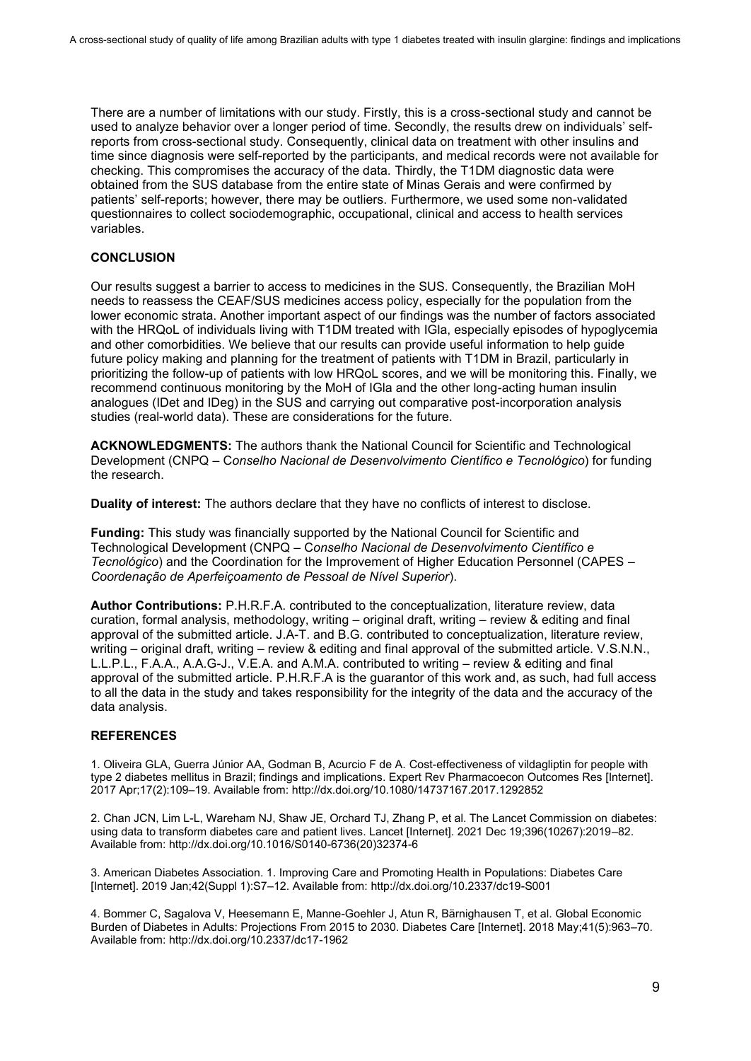There are a number of limitations with our study. Firstly, this is a cross-sectional study and cannot be used to analyze behavior over a longer period of time. Secondly, the results drew on individuals' selfreports from cross-sectional study. Consequently, clinical data on treatment with other insulins and time since diagnosis were self-reported by the participants, and medical records were not available for checking. This compromises the accuracy of the data. Thirdly, the T1DM diagnostic data were obtained from the SUS database from the entire state of Minas Gerais and were confirmed by patients' self-reports; however, there may be outliers. Furthermore, we used some non-validated questionnaires to collect sociodemographic, occupational, clinical and access to health services variables.

# **CONCLUSION**

Our results suggest a barrier to access to medicines in the SUS. Consequently, the Brazilian MoH needs to reassess the CEAF/SUS medicines access policy, especially for the population from the lower economic strata. Another important aspect of our findings was the number of factors associated with the HRQoL of individuals living with T1DM treated with IGla, especially episodes of hypoglycemia and other comorbidities. We believe that our results can provide useful information to help guide future policy making and planning for the treatment of patients with T1DM in Brazil, particularly in prioritizing the follow-up of patients with low HRQoL scores, and we will be monitoring this. Finally, we recommend continuous monitoring by the MoH of IGla and the other long-acting human insulin analogues (IDet and IDeg) in the SUS and carrying out comparative post-incorporation analysis studies (real-world data). These are considerations for the future.

**ACKNOWLEDGMENTS:** The authors thank the National Council for Scientific and Technological Development (CNPQ – C*onselho Nacional de Desenvolvimento Científico e Tecnológico*) for funding the research.

**Duality of interest:** The authors declare that they have no conflicts of interest to disclose.

**Funding:** This study was financially supported by the National Council for Scientific and Technological Development (CNPQ – C*onselho Nacional de Desenvolvimento Científico e Tecnológico*) and the Coordination for the Improvement of Higher Education Personnel (CAPES – *Coordenação de Aperfeiçoamento de Pessoal de Nível Superior*).

**Author Contributions:** P.H.R.F.A. contributed to the conceptualization, literature review, data curation, formal analysis, methodology, writing – original draft, writing – review & editing and final approval of the submitted article. J.A-T. and B.G. contributed to conceptualization, literature review, writing – original draft, writing – review & editing and final approval of the submitted article. V.S.N.N., L.L.P.L., F.A.A., A.A.G-J., V.E.A. and A.M.A. contributed to writing – review & editing and final approval of the submitted article. P.H.R.F.A is the guarantor of this work and, as such, had full access to all the data in the study and takes responsibility for the integrity of the data and the accuracy of the data analysis.

### **REFERENCES**

1. [Oliveira GLA, Guerra Júnior AA, Godman B, Acurcio F de A.](file:///C:/Users/henri/Google%20Drive/DOUTORADO/Tese/Artigo%202/Submissões/Clinical%20Diabetes/R2/Oliveira%20GLA,%20Guerra%20Júnior%20AA,%20Godman%20B,%20Acurcio%20F%20de%20A.%20Cost-effectiveness%20of%20vildagliptin%20for%20people%20with%20type%202%20diabetes%20mellitus%20in%20Brazil;%20findings%20and%20implications.%20Expert%20Rev%20Pharmacoecon%20Outcomes%20Res%20%5bInternet%5d.%202017%20Apr;17(2):109–19.%20Available%20from:) Cost-effectiveness of vildagliptin for people with [type 2 diabetes mellitus in Brazil; findings and implications. Expert Rev Pharmacoecon Outcomes Res \[Internet\].](file:///C:/Users/henri/Google%20Drive/DOUTORADO/Tese/Artigo%202/Submissões/Clinical%20Diabetes/R2/Oliveira%20GLA,%20Guerra%20Júnior%20AA,%20Godman%20B,%20Acurcio%20F%20de%20A.%20Cost-effectiveness%20of%20vildagliptin%20for%20people%20with%20type%202%20diabetes%20mellitus%20in%20Brazil;%20findings%20and%20implications.%20Expert%20Rev%20Pharmacoecon%20Outcomes%20Res%20%5bInternet%5d.%202017%20Apr;17(2):109–19.%20Available%20from:)  [2017 Apr;17\(2\):109–19. Available from:](file:///C:/Users/henri/Google%20Drive/DOUTORADO/Tese/Artigo%202/Submissões/Clinical%20Diabetes/R2/Oliveira%20GLA,%20Guerra%20Júnior%20AA,%20Godman%20B,%20Acurcio%20F%20de%20A.%20Cost-effectiveness%20of%20vildagliptin%20for%20people%20with%20type%202%20diabetes%20mellitus%20in%20Brazil;%20findings%20and%20implications.%20Expert%20Rev%20Pharmacoecon%20Outcomes%20Res%20%5bInternet%5d.%202017%20Apr;17(2):109–19.%20Available%20from:) <http://dx.doi.org/10.1080/14737167.2017.1292852>

2. [Chan JCN, Lim L-L, Wareham NJ, Shaw JE, Orchard TJ, Zhang P, et al. The Lancet Commission on](http://paperpile.com/b/2s9aSa/pyFu) diabetes: [using data to transform diabetes care and patient lives. Lancet \[Internet\]. 2021 Dec 19;396\(10267\):2019–82.](http://paperpile.com/b/2s9aSa/pyFu)  [Available from:](http://paperpile.com/b/2s9aSa/pyFu) [http://dx.doi.org/10.1016/S0140-6736\(20\)32374-6](http://dx.doi.org/10.1016/S0140-6736(20)32374-6)

3. [American Diabetes Association. 1. Improving Care and Promoting Health in Populations: Diabetes Care](file:///C:/Users/henri/Google%20Drive/DOUTORADO/Tese/Artigo%202/Submissões/Clinical%20Diabetes/R2/American%20Diabetes%20Association.%201.%20Improving%20Care%20and%20Promoting%20Health%20in%20Populations:%20Diabetes%20Care%20%5bInternet%5d.%202019%20Jan;42(Suppl%201):S7–12.%20Available%20from:)  [\[Internet\]. 2019 Jan;42\(Suppl 1\):S7–12. Available from:](file:///C:/Users/henri/Google%20Drive/DOUTORADO/Tese/Artigo%202/Submissões/Clinical%20Diabetes/R2/American%20Diabetes%20Association.%201.%20Improving%20Care%20and%20Promoting%20Health%20in%20Populations:%20Diabetes%20Care%20%5bInternet%5d.%202019%20Jan;42(Suppl%201):S7–12.%20Available%20from:) <http://dx.doi.org/10.2337/dc19-S001>

4. [Bommer C, Sagalova V, Heesemann E, Manne-Goehler J, Atun R, Bärnighausen T, et al. Global Economic](http://paperpile.com/b/2s9aSa/Yml5x)  [Burden of Diabetes in Adults: Projections From 2015 to 2030. Diabetes Care \[Internet\]. 2018 May;41\(5\):963–70.](http://paperpile.com/b/2s9aSa/Yml5x)  [Available from:](http://paperpile.com/b/2s9aSa/Yml5x) <http://dx.doi.org/10.2337/dc17-1962>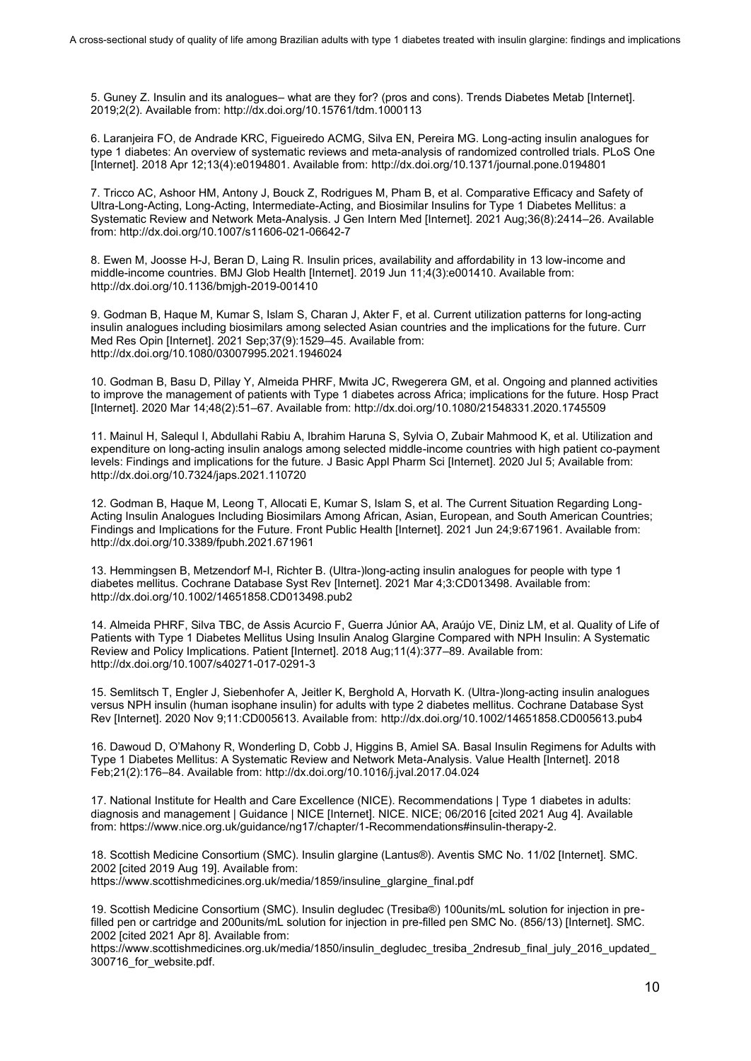5. Guney Z. Insulin and its analogues– [what are they for? \(pros and cons\). Trends Diabetes Metab \[Internet\].](file:///C:/Users/henri/Google%20Drive/DOUTORADO/Tese/Artigo%202/Submissões/Clinical%20Diabetes/R2/Guney%20Z.%20Insulin%20and%20its%20analogues–%20what%20are%20they%20for%3f%20(pros%20and%20cons).%20Trends%20Diabetes%20Metab%20%5bInternet%5d.%202019;2(2).%20Available%20from:)  [2019;2\(2\). Available from:](file:///C:/Users/henri/Google%20Drive/DOUTORADO/Tese/Artigo%202/Submissões/Clinical%20Diabetes/R2/Guney%20Z.%20Insulin%20and%20its%20analogues–%20what%20are%20they%20for%3f%20(pros%20and%20cons).%20Trends%20Diabetes%20Metab%20%5bInternet%5d.%202019;2(2).%20Available%20from:) <http://dx.doi.org/10.15761/tdm.1000113>

6. [Laranjeira FO, de Andrade KRC, Figueiredo ACMG, Silva EN, Pereira MG. Long-acting insulin analogues for](file:///C:/Users/henri/Google%20Drive/DOUTORADO/Tese/Artigo%202/Submissões/Clinical%20Diabetes/R2/Laranjeira%20FO,%20de%20Andrade%20KRC,%20Figueiredo%20ACMG,%20Silva%20EN,%20Pereira%20MG.%20Long-acting%20insulin%20analogues%20for%20type%201%20diabetes:%20An%20overview%20of%20systematic%20reviews%20and%20meta-analysis%20of%20randomized%20controlled%20trials.%20PLoS%20One%20%5bInternet%5d.%202018%20Apr%2012;13(4):e0194801.%20Available%20from:)  [type 1 diabetes: An overview of systematic reviews and meta-analysis of randomized controlled trials. PLoS One](file:///C:/Users/henri/Google%20Drive/DOUTORADO/Tese/Artigo%202/Submissões/Clinical%20Diabetes/R2/Laranjeira%20FO,%20de%20Andrade%20KRC,%20Figueiredo%20ACMG,%20Silva%20EN,%20Pereira%20MG.%20Long-acting%20insulin%20analogues%20for%20type%201%20diabetes:%20An%20overview%20of%20systematic%20reviews%20and%20meta-analysis%20of%20randomized%20controlled%20trials.%20PLoS%20One%20%5bInternet%5d.%202018%20Apr%2012;13(4):e0194801.%20Available%20from:)  [\[Internet\]. 2018 Apr 12;13\(4\):e0194801. Available from:](file:///C:/Users/henri/Google%20Drive/DOUTORADO/Tese/Artigo%202/Submissões/Clinical%20Diabetes/R2/Laranjeira%20FO,%20de%20Andrade%20KRC,%20Figueiredo%20ACMG,%20Silva%20EN,%20Pereira%20MG.%20Long-acting%20insulin%20analogues%20for%20type%201%20diabetes:%20An%20overview%20of%20systematic%20reviews%20and%20meta-analysis%20of%20randomized%20controlled%20trials.%20PLoS%20One%20%5bInternet%5d.%202018%20Apr%2012;13(4):e0194801.%20Available%20from:) <http://dx.doi.org/10.1371/journal.pone.0194801>

7. [Tricco AC, Ashoor HM, Antony J, Bouck Z, Rodrigues M, Pham B, et al. Comparative Efficacy and Safety of](file:///C:/Users/henri/Google%20Drive/DOUTORADO/Tese/Artigo%202/Submissões/Clinical%20Diabetes/R2/Tricco%20AC,%20Ashoor%20HM,%20Antony%20J,%20Bouck%20Z,%20Rodrigues%20M,%20Pham%20B,%20et%20al.%20Comparative%20Efficacy%20and%20Safety%20of%20Ultra-Long-Acting,%20Long-Acting,%20Intermediate-Acting,%20and%20Biosimilar%20Insulins%20for%20Type%201%20Diabetes%20Mellitus:%20a%20Systematic%20Review%20and%20Network%20Meta-Analysis.%20J%20Gen%20Intern%20Med%20%5bInternet%5d.%202021%20Aug;36(8):2414–26.%20Available%20from:)  [Ultra-Long-Acting, Long-Acting, Intermediate-Acting, and Biosimilar Insulins for Type 1 Diabetes Mellitus: a](file:///C:/Users/henri/Google%20Drive/DOUTORADO/Tese/Artigo%202/Submissões/Clinical%20Diabetes/R2/Tricco%20AC,%20Ashoor%20HM,%20Antony%20J,%20Bouck%20Z,%20Rodrigues%20M,%20Pham%20B,%20et%20al.%20Comparative%20Efficacy%20and%20Safety%20of%20Ultra-Long-Acting,%20Long-Acting,%20Intermediate-Acting,%20and%20Biosimilar%20Insulins%20for%20Type%201%20Diabetes%20Mellitus:%20a%20Systematic%20Review%20and%20Network%20Meta-Analysis.%20J%20Gen%20Intern%20Med%20%5bInternet%5d.%202021%20Aug;36(8):2414–26.%20Available%20from:)  [Systematic Review and Network Meta-Analysis. J Gen Intern Med \[Internet\]. 2021 Aug;36\(8\):2414–26. Available](file:///C:/Users/henri/Google%20Drive/DOUTORADO/Tese/Artigo%202/Submissões/Clinical%20Diabetes/R2/Tricco%20AC,%20Ashoor%20HM,%20Antony%20J,%20Bouck%20Z,%20Rodrigues%20M,%20Pham%20B,%20et%20al.%20Comparative%20Efficacy%20and%20Safety%20of%20Ultra-Long-Acting,%20Long-Acting,%20Intermediate-Acting,%20and%20Biosimilar%20Insulins%20for%20Type%201%20Diabetes%20Mellitus:%20a%20Systematic%20Review%20and%20Network%20Meta-Analysis.%20J%20Gen%20Intern%20Med%20%5bInternet%5d.%202021%20Aug;36(8):2414–26.%20Available%20from:)  [from:](file:///C:/Users/henri/Google%20Drive/DOUTORADO/Tese/Artigo%202/Submissões/Clinical%20Diabetes/R2/Tricco%20AC,%20Ashoor%20HM,%20Antony%20J,%20Bouck%20Z,%20Rodrigues%20M,%20Pham%20B,%20et%20al.%20Comparative%20Efficacy%20and%20Safety%20of%20Ultra-Long-Acting,%20Long-Acting,%20Intermediate-Acting,%20and%20Biosimilar%20Insulins%20for%20Type%201%20Diabetes%20Mellitus:%20a%20Systematic%20Review%20and%20Network%20Meta-Analysis.%20J%20Gen%20Intern%20Med%20%5bInternet%5d.%202021%20Aug;36(8):2414–26.%20Available%20from:) <http://dx.doi.org/10.1007/s11606-021-06642-7>

8. [Ewen M, Joosse H-J, Beran D, Laing R. Insulin prices, availability and affordability in 13 low-income and](file:///C:/Users/henri/Google%20Drive/DOUTORADO/Tese/Artigo%202/Submissões/Clinical%20Diabetes/R2/Ewen%20M,%20Joosse%20H-J,%20Beran%20D,%20Laing%20R.%20Insulin%20prices,%20availability%20and%20affordability%20in%2013%20low-income%20and%20middle-income%20countries.%20BMJ%20Glob%20Health%20%5bInternet%5d.%202019%20Jun%2011;4(3):e001410.%20Available%20from:)  [middle-income countries. BMJ Glob Health \[Internet\]. 2019 Jun 11;4\(3\):e001410. Available from:](file:///C:/Users/henri/Google%20Drive/DOUTORADO/Tese/Artigo%202/Submissões/Clinical%20Diabetes/R2/Ewen%20M,%20Joosse%20H-J,%20Beran%20D,%20Laing%20R.%20Insulin%20prices,%20availability%20and%20affordability%20in%2013%20low-income%20and%20middle-income%20countries.%20BMJ%20Glob%20Health%20%5bInternet%5d.%202019%20Jun%2011;4(3):e001410.%20Available%20from:)  <http://dx.doi.org/10.1136/bmjgh-2019-001410>

9. [Godman B, Haque M, Kumar S, Islam S, Charan J, Akter F, et al. Current utilization patterns for long-acting](file:///C:/Users/henri/Google%20Drive/DOUTORADO/Tese/Artigo%202/Submissões/Clinical%20Diabetes/R2/Godman%20B,%20Haque%20M,%20Kumar%20S,%20Islam%20S,%20Charan%20J,%20Akter%20F,%20et%20al.%20Current%20utilization%20patterns%20for%20long-acting%20insulin%20analogues%20including%20biosimilars%20among%20selected%20Asian%20countries%20and%20the%20implications%20for%20the%20future.%20Curr%20Med%20Res%20Opin%20%5bInternet%5d.%202021%20Sep;37(9):1529–45.%20Available%20from:)  [insulin analogues including biosimilars among selected Asian countries and the implications for the future. Curr](file:///C:/Users/henri/Google%20Drive/DOUTORADO/Tese/Artigo%202/Submissões/Clinical%20Diabetes/R2/Godman%20B,%20Haque%20M,%20Kumar%20S,%20Islam%20S,%20Charan%20J,%20Akter%20F,%20et%20al.%20Current%20utilization%20patterns%20for%20long-acting%20insulin%20analogues%20including%20biosimilars%20among%20selected%20Asian%20countries%20and%20the%20implications%20for%20the%20future.%20Curr%20Med%20Res%20Opin%20%5bInternet%5d.%202021%20Sep;37(9):1529–45.%20Available%20from:)  [Med Res Opin \[Internet\]. 2021 Sep;37\(9\):1529–45. Available from:](file:///C:/Users/henri/Google%20Drive/DOUTORADO/Tese/Artigo%202/Submissões/Clinical%20Diabetes/R2/Godman%20B,%20Haque%20M,%20Kumar%20S,%20Islam%20S,%20Charan%20J,%20Akter%20F,%20et%20al.%20Current%20utilization%20patterns%20for%20long-acting%20insulin%20analogues%20including%20biosimilars%20among%20selected%20Asian%20countries%20and%20the%20implications%20for%20the%20future.%20Curr%20Med%20Res%20Opin%20%5bInternet%5d.%202021%20Sep;37(9):1529–45.%20Available%20from:)  <http://dx.doi.org/10.1080/03007995.2021.1946024>

10. [Godman B, Basu D, Pillay Y, Almeida PHRF, Mwita JC, Rwegerera GM, et al. Ongoing and planned activities](file:///C:/Users/henri/Google%20Drive/DOUTORADO/Tese/Artigo%202/Submissões/Clinical%20Diabetes/R2/Godman%20B,%20Basu%20D,%20Pillay%20Y,%20Almeida%20PHRF,%20Mwita%20JC,%20Rwegerera%20GM,%20et%20al.%20Ongoing%20and%20planned%20activities%20to%20improve%20the%20management%20of%20patients%20with%20Type%201%20diabetes%20across%20Africa;%20implications%20for%20the%20future.%20Hosp%20Pract%20%5bInternet%5d.%202020%20Mar%2014;48(2):51–67.%20Available%20from:)  [to improve the management of patients with Type 1 diabetes across Africa; implications for the future. Hosp Pract](file:///C:/Users/henri/Google%20Drive/DOUTORADO/Tese/Artigo%202/Submissões/Clinical%20Diabetes/R2/Godman%20B,%20Basu%20D,%20Pillay%20Y,%20Almeida%20PHRF,%20Mwita%20JC,%20Rwegerera%20GM,%20et%20al.%20Ongoing%20and%20planned%20activities%20to%20improve%20the%20management%20of%20patients%20with%20Type%201%20diabetes%20across%20Africa;%20implications%20for%20the%20future.%20Hosp%20Pract%20%5bInternet%5d.%202020%20Mar%2014;48(2):51–67.%20Available%20from:)  [\[Internet\]. 2020 Mar 14;48\(2\):51–67. Available from:](file:///C:/Users/henri/Google%20Drive/DOUTORADO/Tese/Artigo%202/Submissões/Clinical%20Diabetes/R2/Godman%20B,%20Basu%20D,%20Pillay%20Y,%20Almeida%20PHRF,%20Mwita%20JC,%20Rwegerera%20GM,%20et%20al.%20Ongoing%20and%20planned%20activities%20to%20improve%20the%20management%20of%20patients%20with%20Type%201%20diabetes%20across%20Africa;%20implications%20for%20the%20future.%20Hosp%20Pract%20%5bInternet%5d.%202020%20Mar%2014;48(2):51–67.%20Available%20from:) <http://dx.doi.org/10.1080/21548331.2020.1745509>

11. [Mainul H, Salequl I, Abdullahi Rabiu A, Ibrahim Haruna S, Sylvia O, Zubair Mahmood K, et al. Utilization and](http://paperpile.com/b/2s9aSa/opstt)  [expenditure on long-acting insulin analogs among selected middle-income countries with high patient co-payment](http://paperpile.com/b/2s9aSa/opstt)  [levels: Findings and implications for the future. J Basic Appl Pharm Sci \[Internet\]. 2020 Jul 5; Available from:](http://paperpile.com/b/2s9aSa/opstt)  <http://dx.doi.org/10.7324/japs.2021.110720>

12. [Godman B, Haque M, Leong T, Allocati E, Kumar S, Islam S, et al. The Current Situation Regarding Long-](file:///C:/Users/henri/Google%20Drive/DOUTORADO/Tese/Artigo%202/Submissões/Clinical%20Diabetes/R2/Godman%20B,%20Haque%20M,%20Leong%20T,%20Allocati%20E,%20Kumar%20S,%20Islam%20S,%20et%20al.%20The%20Current%20Situation%20Regarding%20Long-Acting%20Insulin%20Analogues%20Including%20Biosimilars%20Among%20African,%20Asian,%20European,%20and%20South%20American%20Countries;%20Findings%20and%20Implications%20for%20the%20Future.%20Front%20Public%20Health%20%5bInternet%5d.%202021%20Jun%2024;9:671961.%20Available%20from:)[Acting Insulin Analogues Including Biosimilars Among African, Asian, European, and South American Countries;](file:///C:/Users/henri/Google%20Drive/DOUTORADO/Tese/Artigo%202/Submissões/Clinical%20Diabetes/R2/Godman%20B,%20Haque%20M,%20Leong%20T,%20Allocati%20E,%20Kumar%20S,%20Islam%20S,%20et%20al.%20The%20Current%20Situation%20Regarding%20Long-Acting%20Insulin%20Analogues%20Including%20Biosimilars%20Among%20African,%20Asian,%20European,%20and%20South%20American%20Countries;%20Findings%20and%20Implications%20for%20the%20Future.%20Front%20Public%20Health%20%5bInternet%5d.%202021%20Jun%2024;9:671961.%20Available%20from:)  [Findings and Implications for the Future. Front Public Health \[Internet\]. 2021 Jun 24;9:671961. Available from:](file:///C:/Users/henri/Google%20Drive/DOUTORADO/Tese/Artigo%202/Submissões/Clinical%20Diabetes/R2/Godman%20B,%20Haque%20M,%20Leong%20T,%20Allocati%20E,%20Kumar%20S,%20Islam%20S,%20et%20al.%20The%20Current%20Situation%20Regarding%20Long-Acting%20Insulin%20Analogues%20Including%20Biosimilars%20Among%20African,%20Asian,%20European,%20and%20South%20American%20Countries;%20Findings%20and%20Implications%20for%20the%20Future.%20Front%20Public%20Health%20%5bInternet%5d.%202021%20Jun%2024;9:671961.%20Available%20from:)  <http://dx.doi.org/10.3389/fpubh.2021.671961>

13. [Hemmingsen B, Metzendorf M-I, Richter B. \(Ultra-\)long-acting insulin analogues for people with type 1](http://paperpile.com/b/2s9aSa/NW6Lk)  [diabetes mellitus. Cochrane Database Syst Rev \[Internet\]. 2021 Mar 4;3:CD013498. Available from:](http://paperpile.com/b/2s9aSa/NW6Lk)  <http://dx.doi.org/10.1002/14651858.CD013498.pub2>

14. [Almeida PHRF, Silva TBC, de Assis Acurcio F, Guerra Júnior AA, Araújo VE, Diniz LM, et al. Quality of Life of](file:///C:/Users/henri/Google%20Drive/DOUTORADO/Tese/Artigo%202/Submissões/Clinical%20Diabetes/R2/Almeida%20PHRF,%20Silva%20TBC,%20de%20Assis%20Acurcio%20F,%20Guerra%20Júnior%20AA,%20Araújo%20VE,%20Diniz%20LM,%20et%20al.%20Quality%20of%20Life%20of%20Patients%20with%20Type%201%20Diabetes%20Mellitus%20Using%20Insulin%20Analog%20Glargine%20Compared%20with%20NPH%20Insulin:%20A%20Systematic%20Review%20and%20Policy%20Implications.%20Patient%20%5bInternet%5d.%202018%20Aug;11(4):377–89.%20Available%20from:)  [Patients with Type 1 Diabetes Mellitus Using Insulin Analog Glargine Compared with NPH Insulin: A Systematic](file:///C:/Users/henri/Google%20Drive/DOUTORADO/Tese/Artigo%202/Submissões/Clinical%20Diabetes/R2/Almeida%20PHRF,%20Silva%20TBC,%20de%20Assis%20Acurcio%20F,%20Guerra%20Júnior%20AA,%20Araújo%20VE,%20Diniz%20LM,%20et%20al.%20Quality%20of%20Life%20of%20Patients%20with%20Type%201%20Diabetes%20Mellitus%20Using%20Insulin%20Analog%20Glargine%20Compared%20with%20NPH%20Insulin:%20A%20Systematic%20Review%20and%20Policy%20Implications.%20Patient%20%5bInternet%5d.%202018%20Aug;11(4):377–89.%20Available%20from:)  [Review and Policy Implications. Patient \[Internet\]. 2018 Aug;11\(4\):377–89. Available from:](file:///C:/Users/henri/Google%20Drive/DOUTORADO/Tese/Artigo%202/Submissões/Clinical%20Diabetes/R2/Almeida%20PHRF,%20Silva%20TBC,%20de%20Assis%20Acurcio%20F,%20Guerra%20Júnior%20AA,%20Araújo%20VE,%20Diniz%20LM,%20et%20al.%20Quality%20of%20Life%20of%20Patients%20with%20Type%201%20Diabetes%20Mellitus%20Using%20Insulin%20Analog%20Glargine%20Compared%20with%20NPH%20Insulin:%20A%20Systematic%20Review%20and%20Policy%20Implications.%20Patient%20%5bInternet%5d.%202018%20Aug;11(4):377–89.%20Available%20from:)  <http://dx.doi.org/10.1007/s40271-017-0291-3>

15. [Semlitsch T, Engler J, Siebenhofer A, Jeitler K, Berghold A, Horvath K. \(Ultra-\)long-acting insulin analogues](file:///C:/Users/henri/Google%20Drive/DOUTORADO/Tese/Artigo%202/Submissões/Clinical%20Diabetes/R2/Semlitsch%20T,%20Engler%20J,%20Siebenhofer%20A,%20Jeitler%20K,%20Berghold%20A,%20Horvath%20K.%20(Ultra-)long-acting%20insulin%20analogues%20versus%20NPH%20insulin%20(human%20isophane%20insulin)%20for%20adults%20with%20type%202%20diabetes%20mellitus.%20Cochrane%20Database%20Syst%20Rev%20%5bInternet%5d.%202020%20Nov%209;11:CD005613.%20Available%20from:)  [versus NPH insulin \(human isophane insulin\) for adults with type 2 diabetes mellitus. Cochrane Database Syst](file:///C:/Users/henri/Google%20Drive/DOUTORADO/Tese/Artigo%202/Submissões/Clinical%20Diabetes/R2/Semlitsch%20T,%20Engler%20J,%20Siebenhofer%20A,%20Jeitler%20K,%20Berghold%20A,%20Horvath%20K.%20(Ultra-)long-acting%20insulin%20analogues%20versus%20NPH%20insulin%20(human%20isophane%20insulin)%20for%20adults%20with%20type%202%20diabetes%20mellitus.%20Cochrane%20Database%20Syst%20Rev%20%5bInternet%5d.%202020%20Nov%209;11:CD005613.%20Available%20from:)  [Rev \[Internet\]. 2020 Nov 9;11:CD005613. Available from:](file:///C:/Users/henri/Google%20Drive/DOUTORADO/Tese/Artigo%202/Submissões/Clinical%20Diabetes/R2/Semlitsch%20T,%20Engler%20J,%20Siebenhofer%20A,%20Jeitler%20K,%20Berghold%20A,%20Horvath%20K.%20(Ultra-)long-acting%20insulin%20analogues%20versus%20NPH%20insulin%20(human%20isophane%20insulin)%20for%20adults%20with%20type%202%20diabetes%20mellitus.%20Cochrane%20Database%20Syst%20Rev%20%5bInternet%5d.%202020%20Nov%209;11:CD005613.%20Available%20from:) <http://dx.doi.org/10.1002/14651858.CD005613.pub4>

16. [Dawoud D, O'Mahony R, Wonderling D, Cobb J, Higgins B, Amiel SA. Basal Insulin Regimens for Adults with](http://paperpile.com/b/2s9aSa/lkMhg)  [Type 1 Diabetes Mellitus: A Systematic Review and Network Meta-Analysis. Value Health \[Internet\]. 2018](http://paperpile.com/b/2s9aSa/lkMhg)  [Feb;21\(2\):176–84. Available from:](http://paperpile.com/b/2s9aSa/lkMhg) <http://dx.doi.org/10.1016/j.jval.2017.04.024>

17. [National Institute for Health and Care Excellence \(NICE\). Recommendations | Type 1 diabetes in adults:](http://paperpile.com/b/2s9aSa/JUKXI)  [diagnosis and management | Guidance | NICE \[Internet\]. NICE. NICE; 06/2016 \[cited 2021 Aug 4\]. Available](http://paperpile.com/b/2s9aSa/JUKXI)  [from:](http://paperpile.com/b/2s9aSa/JUKXI) <https://www.nice.org.uk/guidance/ng17/chapter/1-Recommendations#insulin-therapy-2.>

18. [Scottish Medicine Consortium \(SMC\). Insulin glargine \(Lantus®\). Aventis SMC No. 11/02 \[Internet\]. SMC.](file:///C:/Users/henri/Google%20Drive/DOUTORADO/Tese/Artigo%202/Submissões/Clinical%20Diabetes/R2/Scottish%20Medicine%20Consortium%20(SMC).%20Insulin%20glargine%20(Lantus®).%20Aventis%20SMC%20No.%2011/02%20%5bInternet%5d.%20SMC.%202002%20%5bcited%202019%20Aug%2019%5d.%20Available%20from:)  [2002 \[cited 2019 Aug 19\]. Available from:](file:///C:/Users/henri/Google%20Drive/DOUTORADO/Tese/Artigo%202/Submissões/Clinical%20Diabetes/R2/Scottish%20Medicine%20Consortium%20(SMC).%20Insulin%20glargine%20(Lantus®).%20Aventis%20SMC%20No.%2011/02%20%5bInternet%5d.%20SMC.%202002%20%5bcited%202019%20Aug%2019%5d.%20Available%20from:)  [https://www.scottishmedicines.org.uk/media/1859/insuline\\_glargine\\_final.pdf](https://www.scottishmedicines.org.uk/media/1859/insuline_glargine_final.pdf)

19. [Scottish Medicine Consortium \(SMC\). Insulin degludec \(Tresiba®\) 100units/mL solution for injection in pre](http://paperpile.com/b/2s9aSa/KsMJK)[filled pen or cartridge and 200units/mL solution for injection in pre-filled pen SMC No. \(856/13\) \[Internet\]. SMC.](http://paperpile.com/b/2s9aSa/KsMJK)  [2002 \[cited 2021 Apr 8\]. Available from:](http://paperpile.com/b/2s9aSa/KsMJK) 

https://www.scottishmedicines.org.uk/media/1850/insulin\_degludec\_tresiba\_2ndresub\_final\_july\_2016\_updated 300716 for website.pdf.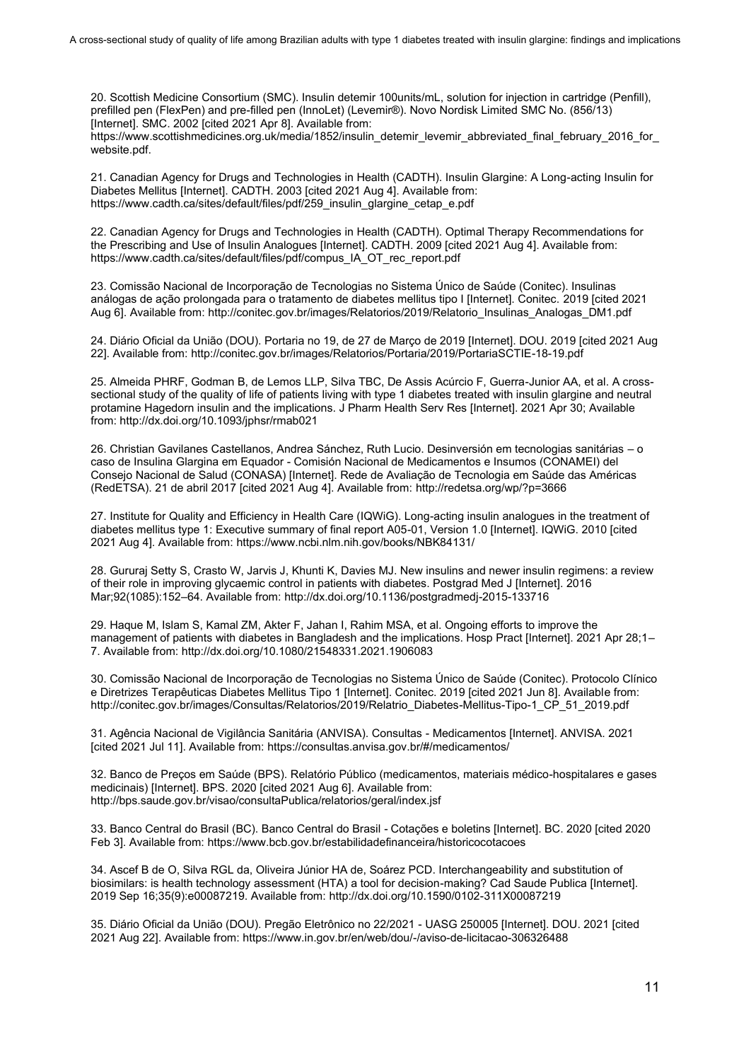20. [Scottish Medicine Consortium \(SMC\). Insulin detemir 100units/mL, solution for injection in cartridge \(Penfill\),](http://paperpile.com/b/2s9aSa/Ru9mM)  [prefilled pen \(FlexPen\) and pre-filled pen \(InnoLet\) \(Levemir®\). Novo Nordisk Limited SMC No. \(856/13\)](http://paperpile.com/b/2s9aSa/Ru9mM)  [Internet]. SMC. 2002 [cited 2021 Apr 8]. Available from: [https://www.scottishmedicines.org.uk/media/1852/insulin\\_detemir\\_levemir\\_abbreviated\\_final\\_february\\_2016\\_for\\_](https://www.scottishmedicines.org.uk/media/1852/insulin_detemir_levemir_abbreviated_final_february_2016_for_website.pdf.) [website.pdf.](https://www.scottishmedicines.org.uk/media/1852/insulin_detemir_levemir_abbreviated_final_february_2016_for_website.pdf.)

21. [Canadian Agency for Drugs and Technologies in Health \(CADTH\). Insulin Glargine: A Long-acting Insulin for](http://paperpile.com/b/2s9aSa/akyOP)  [Diabetes Mellitus \[Internet\]. CADTH. 2003 \[cited 2021 Aug 4\]. Available from:](http://paperpile.com/b/2s9aSa/akyOP)  [https://www.cadth.ca/sites/default/files/pdf/259\\_insulin\\_glargine\\_cetap\\_e.pdf](https://www.cadth.ca/sites/default/files/pdf/259_insulin_glargine_cetap_e.pdf)

22. [Canadian Agency for Drugs and Technologies in Health \(CADTH\). Optimal Therapy Recommendations for](http://paperpile.com/b/2s9aSa/sMHAt)  [the Prescribing and Use of Insulin Analogues \[Internet\]. CADTH. 2009 \[cited 2021 Aug 4\]. Available from:](http://paperpile.com/b/2s9aSa/sMHAt)  [https://www.cadth.ca/sites/default/files/pdf/compus\\_IA\\_OT\\_rec\\_report.pdf](https://www.cadth.ca/sites/default/files/pdf/compus_IA_OT_rec_report.pdf)

23. [Comissão Nacional de Incorporação de Tecnologias no Sistema Único de Saúde \(Conitec\). Insulinas](http://paperpile.com/b/2s9aSa/q4rL0)  [análogas de ação prolongada para o tratamento de diabetes mellitus tipo I \[Internet\]. Conitec. 2019 \[cited 2021](http://paperpile.com/b/2s9aSa/q4rL0)  [Aug 6\]. Available from:](http://paperpile.com/b/2s9aSa/q4rL0) [http://conitec.gov.br/images/Relatorios/2019/Relatorio\\_Insulinas\\_Analogas\\_DM1.pdf](http://conitec.gov.br/images/Relatorios/2019/Relatorio_Insulinas_Analogas_DM1.pdf)

24. [Diário Oficial da União \(DOU\). Portaria no 19, de 27 de Março de 2019 \[Internet\]. DOU. 2019 \[cited 2021 Aug](file:///C:/Users/henri/Google%20Drive/DOUTORADO/Tese/Artigo%202/Submissões/Clinical%20Diabetes/R2/Diário%20Oficial%20da%20União%20(DOU).%20Portaria%20no%2019,%20de%2027%20de%20Março%20de%202019%20%5bInternet%5d.%20DOU.%202019%20%5bcited%202021%20Aug%2022%5d.%20Available%20from:)  [22\]. Available from:](file:///C:/Users/henri/Google%20Drive/DOUTORADO/Tese/Artigo%202/Submissões/Clinical%20Diabetes/R2/Diário%20Oficial%20da%20União%20(DOU).%20Portaria%20no%2019,%20de%2027%20de%20Março%20de%202019%20%5bInternet%5d.%20DOU.%202019%20%5bcited%202021%20Aug%2022%5d.%20Available%20from:) <http://conitec.gov.br/images/Relatorios/Portaria/2019/PortariaSCTIE-18-19.pdf>

25. [Almeida PHRF, Godman B, de Lemos LLP, Silva TBC, De Assis Acúrcio F, Guerra-Junior AA, et al. A cross](file:///C:/Users/henri/Google%20Drive/DOUTORADO/Tese/Artigo%202/Submissões/Clinical%20Diabetes/R2/Almeida%20PHRF,%20Godman%20B,%20de%20Lemos%20LLP,%20Silva%20TBC,%20De%20Assis%20Acúrcio%20F,%20GuerraJunior%20AA,%20et%20al.%20A%20cross-sectional%20study%20of%20the%20quality%20of%20life%20of%20patients%20living%20with%20type%201%20diabetes%20treated%20with%20insulin%20glargine%20and%20neutral%20protamine%20Hagedorn%20insulin%20and%20the%20implications.%20J%20Pharm%20Health%20Serv%20Res%20%5bInternet%5d.%202021%20Apr%2030;%20Available%20from:)[sectional study of the quality of life of patients living with type 1 diabetes treated with insulin glargine and neutral](file:///C:/Users/henri/Google%20Drive/DOUTORADO/Tese/Artigo%202/Submissões/Clinical%20Diabetes/R2/Almeida%20PHRF,%20Godman%20B,%20de%20Lemos%20LLP,%20Silva%20TBC,%20De%20Assis%20Acúrcio%20F,%20GuerraJunior%20AA,%20et%20al.%20A%20cross-sectional%20study%20of%20the%20quality%20of%20life%20of%20patients%20living%20with%20type%201%20diabetes%20treated%20with%20insulin%20glargine%20and%20neutral%20protamine%20Hagedorn%20insulin%20and%20the%20implications.%20J%20Pharm%20Health%20Serv%20Res%20%5bInternet%5d.%202021%20Apr%2030;%20Available%20from:)  [protamine Hagedorn insulin and the implications. J Pharm Health Serv Res \[Internet\]. 2021 Apr 30; Available](file:///C:/Users/henri/Google%20Drive/DOUTORADO/Tese/Artigo%202/Submissões/Clinical%20Diabetes/R2/Almeida%20PHRF,%20Godman%20B,%20de%20Lemos%20LLP,%20Silva%20TBC,%20De%20Assis%20Acúrcio%20F,%20GuerraJunior%20AA,%20et%20al.%20A%20cross-sectional%20study%20of%20the%20quality%20of%20life%20of%20patients%20living%20with%20type%201%20diabetes%20treated%20with%20insulin%20glargine%20and%20neutral%20protamine%20Hagedorn%20insulin%20and%20the%20implications.%20J%20Pharm%20Health%20Serv%20Res%20%5bInternet%5d.%202021%20Apr%2030;%20Available%20from:)  [from:](file:///C:/Users/henri/Google%20Drive/DOUTORADO/Tese/Artigo%202/Submissões/Clinical%20Diabetes/R2/Almeida%20PHRF,%20Godman%20B,%20de%20Lemos%20LLP,%20Silva%20TBC,%20De%20Assis%20Acúrcio%20F,%20GuerraJunior%20AA,%20et%20al.%20A%20cross-sectional%20study%20of%20the%20quality%20of%20life%20of%20patients%20living%20with%20type%201%20diabetes%20treated%20with%20insulin%20glargine%20and%20neutral%20protamine%20Hagedorn%20insulin%20and%20the%20implications.%20J%20Pharm%20Health%20Serv%20Res%20%5bInternet%5d.%202021%20Apr%2030;%20Available%20from:) <http://dx.doi.org/10.1093/jphsr/rmab021>

26. [Christian Gavilanes Castellanos, Andrea Sánchez, Ruth Lucio. Desinversión em tecnologias sanitárias –](file:///C:/Users/henri/Google%20Drive/DOUTORADO/Tese/Artigo%202/Submissões/Clinical%20Diabetes/R2/Christian%20Gavilanes%20Castellanos,%20Andrea%20Sánchez,%20Ruth%20Lucio.%20Desinversión%20em%20tecnologias%20sanitárias%20–%20o%20caso%20de%20Insulina%20Glargina%20em%20Equador%20-%20Comisión%20Nacional%20de%20Medicamentos%20e%20Insumos%20(CONAMEI)%20del%20Consejo%20Nacional%20de%20Salud%20(CONASA)%20%5bInternet%5d.%20Rede%20de%20Avaliação%20de%20Tecnologia%20em%20Saúde%20das%20Américas%20(RedETSA).%2021%20de%20abril%202017%20%5bcited%202021%20Aug%204%5d.%20Available%20from:) o caso de Insulina Glargina em Equador - [Comisión Nacional de Medicamentos e Insumos \(CONAMEI\) del](file:///C:/Users/henri/Google%20Drive/DOUTORADO/Tese/Artigo%202/Submissões/Clinical%20Diabetes/R2/Christian%20Gavilanes%20Castellanos,%20Andrea%20Sánchez,%20Ruth%20Lucio.%20Desinversión%20em%20tecnologias%20sanitárias%20–%20o%20caso%20de%20Insulina%20Glargina%20em%20Equador%20-%20Comisión%20Nacional%20de%20Medicamentos%20e%20Insumos%20(CONAMEI)%20del%20Consejo%20Nacional%20de%20Salud%20(CONASA)%20%5bInternet%5d.%20Rede%20de%20Avaliação%20de%20Tecnologia%20em%20Saúde%20das%20Américas%20(RedETSA).%2021%20de%20abril%202017%20%5bcited%202021%20Aug%204%5d.%20Available%20from:)  [Consejo Nacional de Salud \(CONASA\) \[Internet\]. Rede de Avaliação de Tecnologia em Saúde das Américas](file:///C:/Users/henri/Google%20Drive/DOUTORADO/Tese/Artigo%202/Submissões/Clinical%20Diabetes/R2/Christian%20Gavilanes%20Castellanos,%20Andrea%20Sánchez,%20Ruth%20Lucio.%20Desinversión%20em%20tecnologias%20sanitárias%20–%20o%20caso%20de%20Insulina%20Glargina%20em%20Equador%20-%20Comisión%20Nacional%20de%20Medicamentos%20e%20Insumos%20(CONAMEI)%20del%20Consejo%20Nacional%20de%20Salud%20(CONASA)%20%5bInternet%5d.%20Rede%20de%20Avaliação%20de%20Tecnologia%20em%20Saúde%20das%20Américas%20(RedETSA).%2021%20de%20abril%202017%20%5bcited%202021%20Aug%204%5d.%20Available%20from:)  [\(RedETSA\). 21 de abril 2017 \[cited 2021 Aug 4\]. Available from:](file:///C:/Users/henri/Google%20Drive/DOUTORADO/Tese/Artigo%202/Submissões/Clinical%20Diabetes/R2/Christian%20Gavilanes%20Castellanos,%20Andrea%20Sánchez,%20Ruth%20Lucio.%20Desinversión%20em%20tecnologias%20sanitárias%20–%20o%20caso%20de%20Insulina%20Glargina%20em%20Equador%20-%20Comisión%20Nacional%20de%20Medicamentos%20e%20Insumos%20(CONAMEI)%20del%20Consejo%20Nacional%20de%20Salud%20(CONASA)%20%5bInternet%5d.%20Rede%20de%20Avaliação%20de%20Tecnologia%20em%20Saúde%20das%20Américas%20(RedETSA).%2021%20de%20abril%202017%20%5bcited%202021%20Aug%204%5d.%20Available%20from:) <http://redetsa.org/wp/?p=3666>

27. [Institute for Quality and Efficiency in Health Care \(IQWiG\). Long-acting insulin analogues in the treatment of](http://paperpile.com/b/2s9aSa/pLdKY)  [diabetes mellitus type 1: Executive summary of final report A05-01, Version 1.0 \[Internet\]. IQWiG. 2010 \[cited](http://paperpile.com/b/2s9aSa/pLdKY)  [2021 Aug 4\]. Available from:](http://paperpile.com/b/2s9aSa/pLdKY) <https://www.ncbi.nlm.nih.gov/books/NBK84131/>

28. [Gururaj Setty S, Crasto W, Jarvis J, Khunti K, Davies MJ. New insulins and newer insulin regimens: a review](http://paperpile.com/b/2s9aSa/9pGMq)  [of their role in improving glycaemic control in patients with diabetes. Postgrad Med J \[Internet\]. 2016](http://paperpile.com/b/2s9aSa/9pGMq)  [Mar;92\(1085\):152–64. Available from:](http://paperpile.com/b/2s9aSa/9pGMq) <http://dx.doi.org/10.1136/postgradmedj-2015-133716>

29. [Haque M, Islam S, Kamal ZM, Akter F, Jahan I, Rahim MSA, et al. Ongoing efforts to improve the](http://paperpile.com/b/2s9aSa/mmDfx)  [management of patients with diabetes in Bangladesh and the implications. Hosp Pract \[Internet\]. 2021 Apr 28;1–](http://paperpile.com/b/2s9aSa/mmDfx) [7. Available from:](http://paperpile.com/b/2s9aSa/mmDfx) <http://dx.doi.org/10.1080/21548331.2021.1906083>

30. [Comissão Nacional de Incorporação de Tecnologias no Sistema Único de Saúde \(Conitec\). Protocolo Clínico](http://paperpile.com/b/2s9aSa/nrR9n)  [e Diretrizes Terapêuticas Diabetes Mellitus Tipo 1 \[Internet\]. Conitec. 2019 \[cited 2021 Jun 8\]. Available from:](http://paperpile.com/b/2s9aSa/nrR9n)  [http://conitec.gov.br/images/Consultas/Relatorios/2019/Relatrio\\_Diabetes-Mellitus-Tipo-1\\_CP\\_51\\_2019.pdf](http://conitec.gov.br/images/Consultas/Relatorios/2019/Relatrio_Diabetes-Mellitus-Tipo-1_CP_51_2019.pdf)

31. [Agência Nacional de Vigilância Sanitária \(ANVISA\). Consultas -](file:///C:/Users/henri/Google%20Drive/DOUTORADO/Tese/Artigo%202/Submissões/Clinical%20Diabetes/R2/Agência%20Nacional%20de%20Vigilância%20Sanitária%20(ANVISA).%20Consultas%20-%20Medicamentos%20%5bInternet%5d.%20ANVISA.%202021%20%5bcited%202021%20Jul%2011%5d.%20Available%20from:) Medicamentos [Internet]. ANVISA. 2021 [\[cited 2021 Jul 11\]. Available from:](file:///C:/Users/henri/Google%20Drive/DOUTORADO/Tese/Artigo%202/Submissões/Clinical%20Diabetes/R2/Agência%20Nacional%20de%20Vigilância%20Sanitária%20(ANVISA).%20Consultas%20-%20Medicamentos%20%5bInternet%5d.%20ANVISA.%202021%20%5bcited%202021%20Jul%2011%5d.%20Available%20from:) <https://consultas.anvisa.gov.br/#/medicamentos/>

32. [Banco de Preços em Saúde \(BPS\). Relatório Público \(medicamentos, materiais médico-hospitalares e gases](file:///C:/Users/henri/Google%20Drive/DOUTORADO/Tese/Artigo%202/Submissões/Clinical%20Diabetes/R2/Banco%20de%20Preços%20em%20Saúde%20(BPS).%20Relatório%20Público%20(medicamentos,%20materiais%20médico-hospitalares%20e%20gases%20medicinais)%20%5bInternet%5d.%20BPS.%202020%20%5bcited%202021%20Aug%206%5d.%20Available%20from:)  [medicinais\) \[Internet\]. BPS. 2020 \[cited 2021 Aug 6\]. Available from:](file:///C:/Users/henri/Google%20Drive/DOUTORADO/Tese/Artigo%202/Submissões/Clinical%20Diabetes/R2/Banco%20de%20Preços%20em%20Saúde%20(BPS).%20Relatório%20Público%20(medicamentos,%20materiais%20médico-hospitalares%20e%20gases%20medicinais)%20%5bInternet%5d.%20BPS.%202020%20%5bcited%202021%20Aug%206%5d.%20Available%20from:)  <http://bps.saude.gov.br/visao/consultaPublica/relatorios/geral/index.jsf>

33. [Banco Central do Brasil \(BC\). Banco Central do Brasil -](file:///C:/Users/henri/Google%20Drive/DOUTORADO/Tese/Artigo%202/Submissões/Clinical%20Diabetes/R2/Banco%20Central%20do%20Brasil%20(BC).%20Banco%20Central%20do%20Brasil%20-%20Cotações%20e%20boletins%20%5bInternet%5d.%20BC.%202020%20%5bcited%202020%20Feb%203%5d.%20Available%20from:) Cotações e boletins [Internet]. BC. 2020 [cited 2020 [Feb 3\]. Available from:](file:///C:/Users/henri/Google%20Drive/DOUTORADO/Tese/Artigo%202/Submissões/Clinical%20Diabetes/R2/Banco%20Central%20do%20Brasil%20(BC).%20Banco%20Central%20do%20Brasil%20-%20Cotações%20e%20boletins%20%5bInternet%5d.%20BC.%202020%20%5bcited%202020%20Feb%203%5d.%20Available%20from:) <https://www.bcb.gov.br/estabilidadefinanceira/historicocotacoes>

34. [Ascef B de O, Silva RGL da, Oliveira Júnior HA de, Soárez PCD. Interchangeability and substitution of](file:///C:/Users/henri/Google%20Drive/DOUTORADO/Tese/Artigo%202/Submissões/Clinical%20Diabetes/R2/Ascef%20B%20de%20O,%20Silva%20RGL%20da,%20Oliveira%20Júnior%20HA%20de,%20Soárez%20PCD.%20Interchangeability%20and%20substitution%20of%20biosimilars:%20is%20health%20technology%20assessment%20(HTA)%20a%20tool%20for%20decision-making?%20Cad%20Saude%20Publica%20%5bInternet%5d.%202019%20Sep%2016;35(9):e00087219.%20Available%20from:)  [biosimilars: is health technology assessment \(HTA\) a tool for decision-making? Cad Saude Publica \[Internet\].](file:///C:/Users/henri/Google%20Drive/DOUTORADO/Tese/Artigo%202/Submissões/Clinical%20Diabetes/R2/Ascef%20B%20de%20O,%20Silva%20RGL%20da,%20Oliveira%20Júnior%20HA%20de,%20Soárez%20PCD.%20Interchangeability%20and%20substitution%20of%20biosimilars:%20is%20health%20technology%20assessment%20(HTA)%20a%20tool%20for%20decision-making?%20Cad%20Saude%20Publica%20%5bInternet%5d.%202019%20Sep%2016;35(9):e00087219.%20Available%20from:)  [2019 Sep 16;35\(9\):e00087219. Available from:](file:///C:/Users/henri/Google%20Drive/DOUTORADO/Tese/Artigo%202/Submissões/Clinical%20Diabetes/R2/Ascef%20B%20de%20O,%20Silva%20RGL%20da,%20Oliveira%20Júnior%20HA%20de,%20Soárez%20PCD.%20Interchangeability%20and%20substitution%20of%20biosimilars:%20is%20health%20technology%20assessment%20(HTA)%20a%20tool%20for%20decision-making?%20Cad%20Saude%20Publica%20%5bInternet%5d.%202019%20Sep%2016;35(9):e00087219.%20Available%20from:) <http://dx.doi.org/10.1590/0102-311X00087219>

35. [Diário Oficial da União \(DOU\). Pregão Eletrônico no 22/2021 -](file:///C:/Users/henri/Google%20Drive/DOUTORADO/Tese/Artigo%202/Submissões/Clinical%20Diabetes/R2/Diário%20Oficial%20da%20União%20(DOU).%20Pregão%20Eletrônico%20no%2022/2021%20-%20UASG%20250005%20%5bInternet%5d.%20DOU.%202021%20%5bcited%202021%20Aug%2022%5d.%20Available%20from:) UASG 250005 [Internet]. DOU. 2021 [cited [2021 Aug 22\]. Available from:](file:///C:/Users/henri/Google%20Drive/DOUTORADO/Tese/Artigo%202/Submissões/Clinical%20Diabetes/R2/Diário%20Oficial%20da%20União%20(DOU).%20Pregão%20Eletrônico%20no%2022/2021%20-%20UASG%20250005%20%5bInternet%5d.%20DOU.%202021%20%5bcited%202021%20Aug%2022%5d.%20Available%20from:) <https://www.in.gov.br/en/web/dou/-/aviso-de-licitacao-306326488>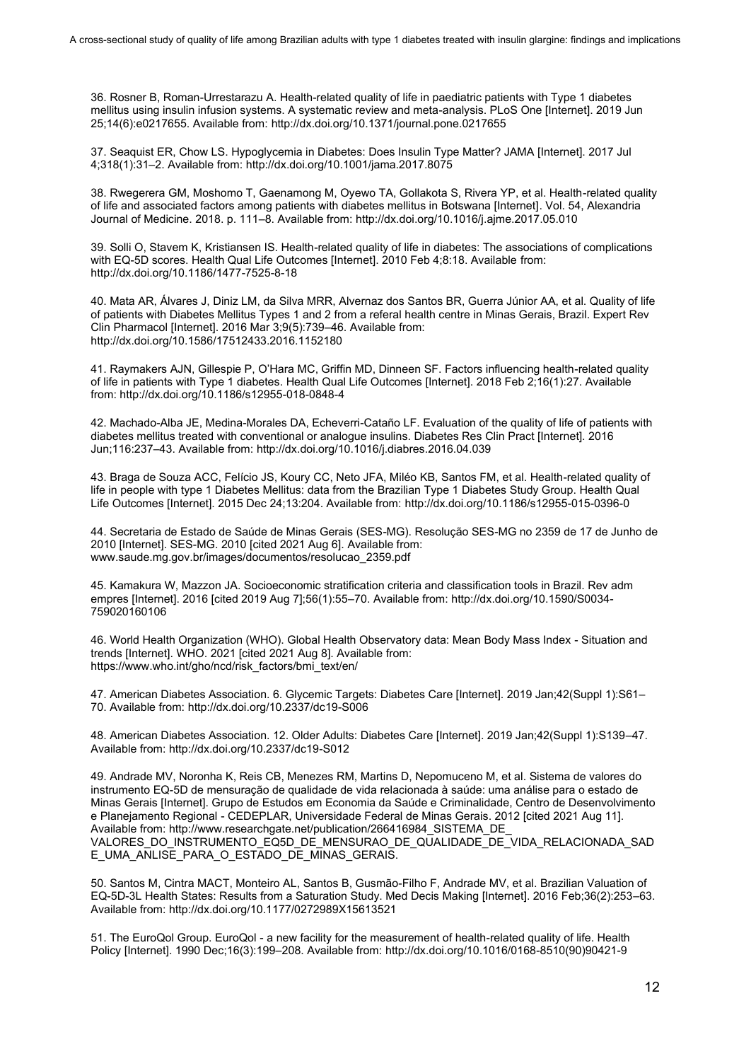36. Rosner B, Roman-Urrestarazu A. Health-related quality of life in paediatric patients with Type 1 diabetes [mellitus using insulin infusion systems. A systematic review and meta-analysis. PLoS One \[Internet\]. 2019 Jun](http://paperpile.com/b/2s9aSa/jt4EQ)  [25;14\(6\):e0217655. Available from:](http://paperpile.com/b/2s9aSa/jt4EQ) <http://dx.doi.org/10.1371/journal.pone.0217655>

37. [Seaquist ER, Chow LS. Hypoglycemia in Diabetes: Does Insulin Type Matter? JAMA \[Internet\]. 2017 Jul](file:///C:/Users/henri/Google%20Drive/DOUTORADO/Tese/Artigo%202/Submissões/Clinical%20Diabetes/R2/Seaquist%20ER,%20Chow%20LS.%20Hypoglycemia%20in%20Diabetes:%20Does%20Insulin%20Type%20Matter%3f%20JAMA%20%5bInternet%5d.%202017%20Jul%204;318(1):31–2.%20Available%20from:)  [4;318\(1\):31–2. Available from:](file:///C:/Users/henri/Google%20Drive/DOUTORADO/Tese/Artigo%202/Submissões/Clinical%20Diabetes/R2/Seaquist%20ER,%20Chow%20LS.%20Hypoglycemia%20in%20Diabetes:%20Does%20Insulin%20Type%20Matter%3f%20JAMA%20%5bInternet%5d.%202017%20Jul%204;318(1):31–2.%20Available%20from:) <http://dx.doi.org/10.1001/jama.2017.8075>

38. [Rwegerera GM, Moshomo T, Gaenamong M, Oyewo TA, Gollakota S, Rivera YP, et al. Health-related quality](file:///C:/Users/henri/Google%20Drive/DOUTORADO/Tese/Artigo%202/Submissões/Clinical%20Diabetes/R2/Rwegerera%20GM,%20Moshomo%20T,%20Gaenamong%20M,%20Oyewo%20TA,%20Gollakota%20S,%20Rivera%20YP,%20et%20al.%20Health-related%20quality%20of%20life%20and%20associated%20factors%20among%20patients%20with%20diabetes%20mellitus%20in%20Botswana%20%5bInternet%5d.%20Vol.%2054,%20Alexandria%20Journal%20of%20Medicine.%202018.%20p.%20111–8.%20Available%20from:)  [of life and associated factors among patients with diabetes mellitus in Botswana \[Internet\]. Vol. 54, Alexandria](file:///C:/Users/henri/Google%20Drive/DOUTORADO/Tese/Artigo%202/Submissões/Clinical%20Diabetes/R2/Rwegerera%20GM,%20Moshomo%20T,%20Gaenamong%20M,%20Oyewo%20TA,%20Gollakota%20S,%20Rivera%20YP,%20et%20al.%20Health-related%20quality%20of%20life%20and%20associated%20factors%20among%20patients%20with%20diabetes%20mellitus%20in%20Botswana%20%5bInternet%5d.%20Vol.%2054,%20Alexandria%20Journal%20of%20Medicine.%202018.%20p.%20111–8.%20Available%20from:)  [Journal of Medicine. 2018. p. 111–8. Available from:](file:///C:/Users/henri/Google%20Drive/DOUTORADO/Tese/Artigo%202/Submissões/Clinical%20Diabetes/R2/Rwegerera%20GM,%20Moshomo%20T,%20Gaenamong%20M,%20Oyewo%20TA,%20Gollakota%20S,%20Rivera%20YP,%20et%20al.%20Health-related%20quality%20of%20life%20and%20associated%20factors%20among%20patients%20with%20diabetes%20mellitus%20in%20Botswana%20%5bInternet%5d.%20Vol.%2054,%20Alexandria%20Journal%20of%20Medicine.%202018.%20p.%20111–8.%20Available%20from:) <http://dx.doi.org/10.1016/j.ajme.2017.05.010>

39. [Solli O, Stavem K, Kristiansen IS. Health-related quality of life in diabetes: The associations of complications](file:///C:/Users/henri/Google%20Drive/DOUTORADO/Tese/Artigo%202/Submissões/Clinical%20Diabetes/R2/Solli%20O,%20Stavem%20K,%20Kristiansen%20IS.%20Health-related%20quality%20of%20life%20in%20diabetes:%20The%20associations%20of%20complications%20with%20EQ-5D%20scores.%20Health%20Qual%20Life%20Outcomes%20%5bInternet%5d.%202010%20Feb%204;8:18.%20Available%20from:)  [with EQ-5D scores. Health Qual Life Outcomes \[Internet\]. 2010 Feb 4;8:18. Available from:](file:///C:/Users/henri/Google%20Drive/DOUTORADO/Tese/Artigo%202/Submissões/Clinical%20Diabetes/R2/Solli%20O,%20Stavem%20K,%20Kristiansen%20IS.%20Health-related%20quality%20of%20life%20in%20diabetes:%20The%20associations%20of%20complications%20with%20EQ-5D%20scores.%20Health%20Qual%20Life%20Outcomes%20%5bInternet%5d.%202010%20Feb%204;8:18.%20Available%20from:)  <http://dx.doi.org/10.1186/1477-7525-8-18>

40. [Mata AR, Álvares J, Diniz LM, da Silva MRR, Alvernaz dos Santos BR, Guerra Júnior AA, et al. Quality of life](file:///C:/Users/henri/Google%20Drive/DOUTORADO/Tese/Artigo%202/Submissões/Clinical%20Diabetes/R2/Mata%20AR,%20Álvares%20J,%20Diniz%20LM,%20da%20Silva%20MRR,%20Alvernaz%20dos%20Santos%20BR,%20Guerra%20Júnior%20AA,%20et%20al.%20Quality%20of%20life%20of%20patients%20with%20Diabetes%20Mellitus%20Types%201%20and%202%20from%20a%20referal%20health%20centre%20in%20Minas%20Gerais,%20Brazil.%20Expert%20Rev%20Clin%20Pharmacol%20%5bInternet%5d.%202016%20Mar%203;9(5):739–46.%20Available%20from:)  [of patients with Diabetes Mellitus Types 1 and 2 from a referal health centre in Minas Gerais, Brazil. Expert Rev](file:///C:/Users/henri/Google%20Drive/DOUTORADO/Tese/Artigo%202/Submissões/Clinical%20Diabetes/R2/Mata%20AR,%20Álvares%20J,%20Diniz%20LM,%20da%20Silva%20MRR,%20Alvernaz%20dos%20Santos%20BR,%20Guerra%20Júnior%20AA,%20et%20al.%20Quality%20of%20life%20of%20patients%20with%20Diabetes%20Mellitus%20Types%201%20and%202%20from%20a%20referal%20health%20centre%20in%20Minas%20Gerais,%20Brazil.%20Expert%20Rev%20Clin%20Pharmacol%20%5bInternet%5d.%202016%20Mar%203;9(5):739–46.%20Available%20from:)  [Clin Pharmacol \[Internet\]. 2016 Mar 3;9\(5\):739–46. Available from:](file:///C:/Users/henri/Google%20Drive/DOUTORADO/Tese/Artigo%202/Submissões/Clinical%20Diabetes/R2/Mata%20AR,%20Álvares%20J,%20Diniz%20LM,%20da%20Silva%20MRR,%20Alvernaz%20dos%20Santos%20BR,%20Guerra%20Júnior%20AA,%20et%20al.%20Quality%20of%20life%20of%20patients%20with%20Diabetes%20Mellitus%20Types%201%20and%202%20from%20a%20referal%20health%20centre%20in%20Minas%20Gerais,%20Brazil.%20Expert%20Rev%20Clin%20Pharmacol%20%5bInternet%5d.%202016%20Mar%203;9(5):739–46.%20Available%20from:)  <http://dx.doi.org/10.1586/17512433.2016.1152180>

41. [Raymakers AJN, Gillespie P, O'Hara MC, Griffin MD, Dinneen SF. Factors influencing health-related quality](http://paperpile.com/b/2s9aSa/Ir81H)  [of life in patients with Type 1 diabetes. Health Qual Life Outcomes \[Internet\]. 2018 Feb 2;16\(1\):27. Available](http://paperpile.com/b/2s9aSa/Ir81H)  [from:](http://paperpile.com/b/2s9aSa/Ir81H) <http://dx.doi.org/10.1186/s12955-018-0848-4>

42. [Machado-Alba JE, Medina-Morales DA, Echeverri-Cataño LF. Evaluation of the quality of life of patients with](http://paperpile.com/b/2s9aSa/2DrUx)  [diabetes mellitus treated with conventional or analogue insulins. Diabetes Res Clin Pract \[Internet\]. 2016](http://paperpile.com/b/2s9aSa/2DrUx)  [Jun;116:237–43. Available from:](http://paperpile.com/b/2s9aSa/2DrUx) <http://dx.doi.org/10.1016/j.diabres.2016.04.039>

43. [Braga de Souza ACC, Felício JS, Koury CC, Neto JFA, Miléo KB, Santos FM, et al. Health-related quality of](file:///C:/Users/henri/Google%20Drive/DOUTORADO/Tese/Artigo%202/Submissões/Clinical%20Diabetes/R2/Braga%20de%20Souza%20ACC,%20Felício%20JS,%20Koury%20CC,%20Neto%20JFA,%20Miléo%20KB,%20Santos%20FM,%20et%20al.%20Health-related%20quality%20of%20life%20in%20people%20with%20type%201%20Diabetes%20Mellitus:%20data%20from%20the%20Brazilian%20Type%201%20Diabetes%20Study%20Group.%20Health%20Qual%20Life%20Outcomes%20%5bInternet%5d.%202015%20Dec%2024;13:204.%20Available%20from:)  [life in people with type 1 Diabetes Mellitus: data from the Brazilian Type 1 Diabetes Study Group. Health Qual](file:///C:/Users/henri/Google%20Drive/DOUTORADO/Tese/Artigo%202/Submissões/Clinical%20Diabetes/R2/Braga%20de%20Souza%20ACC,%20Felício%20JS,%20Koury%20CC,%20Neto%20JFA,%20Miléo%20KB,%20Santos%20FM,%20et%20al.%20Health-related%20quality%20of%20life%20in%20people%20with%20type%201%20Diabetes%20Mellitus:%20data%20from%20the%20Brazilian%20Type%201%20Diabetes%20Study%20Group.%20Health%20Qual%20Life%20Outcomes%20%5bInternet%5d.%202015%20Dec%2024;13:204.%20Available%20from:)  [Life Outcomes \[Internet\]. 2015 Dec 24;13:204. Available from:](file:///C:/Users/henri/Google%20Drive/DOUTORADO/Tese/Artigo%202/Submissões/Clinical%20Diabetes/R2/Braga%20de%20Souza%20ACC,%20Felício%20JS,%20Koury%20CC,%20Neto%20JFA,%20Miléo%20KB,%20Santos%20FM,%20et%20al.%20Health-related%20quality%20of%20life%20in%20people%20with%20type%201%20Diabetes%20Mellitus:%20data%20from%20the%20Brazilian%20Type%201%20Diabetes%20Study%20Group.%20Health%20Qual%20Life%20Outcomes%20%5bInternet%5d.%202015%20Dec%2024;13:204.%20Available%20from:) <http://dx.doi.org/10.1186/s12955-015-0396-0>

44. Secretaria de Estado de Saúde de Minas Gerais (SES-MG). Resolução SES-MG no 2359 de 17 de Junho de 2010 [Internet]. SES-MG. 2010 [cited 2021 Aug 6]. Available from: [www.saude.mg.gov.br/images/documentos/resolucao\\_2359.pdf](http://www.saude.mg.gov.br/images/documentos/resolucao_2359.pdf)

45. [Kamakura W, Mazzon JA. Socioeconomic stratification criteria and classification tools in Brazil. Rev adm](file:///C:/Users/henri/Google%20Drive/DOUTORADO/Tese/Artigo%202/Submissões/Clinical%20Diabetes/R2/Kamakura%20W,%20Mazzon%20JA.%20Socioeconomic%20stratification%20criteria%20and%20classification%20tools%20in%20Brazil.%20Rev%20adm%20empres%20%5bInternet%5d.%202016%20%5bcited%202019%20Aug%207%5d;56(1):55–70.%20Available%20from:)  [empres \[Internet\]. 2016 \[cited 2019 Aug 7\];56\(1\):55–70. Available from:](file:///C:/Users/henri/Google%20Drive/DOUTORADO/Tese/Artigo%202/Submissões/Clinical%20Diabetes/R2/Kamakura%20W,%20Mazzon%20JA.%20Socioeconomic%20stratification%20criteria%20and%20classification%20tools%20in%20Brazil.%20Rev%20adm%20empres%20%5bInternet%5d.%202016%20%5bcited%202019%20Aug%207%5d;56(1):55–70.%20Available%20from:) [http://dx.doi.org/10.1590/S0034-](http://dx.doi.org/10.1590/S0034-759020160106) [759020160106](http://dx.doi.org/10.1590/S0034-759020160106)

46. [World Health Organization \(WHO\). Global Health Observatory data: Mean Body Mass Index -](file:///C:/Users/henri/Google%20Drive/DOUTORADO/Tese/Artigo%202/Submissões/Clinical%20Diabetes/R2/World%20Health%20Organization%20(WHO).%20Global%20Health%20Observatory%20data:%20Mean%20Body%20Mass%20Index%20-%20Situation%20and%20trends%20%5bInternet%5d.%20WHO.%202021%20%5bcited%202021%20Aug%208%5d.%20Available%20from:) Situation and [trends \[Internet\]. WHO. 2021 \[cited](file:///C:/Users/henri/Google%20Drive/DOUTORADO/Tese/Artigo%202/Submissões/Clinical%20Diabetes/R2/World%20Health%20Organization%20(WHO).%20Global%20Health%20Observatory%20data:%20Mean%20Body%20Mass%20Index%20-%20Situation%20and%20trends%20%5bInternet%5d.%20WHO.%202021%20%5bcited%202021%20Aug%208%5d.%20Available%20from:) 2021 Aug 8]. Available from: [https://www.who.int/gho/ncd/risk\\_factors/bmi\\_text/en/](https://www.who.int/gho/ncd/risk_factors/bmi_text/en/)

47. [American Diabetes Association. 6. Glycemic Targets: Diabetes Care \[Internet\]. 2019 Jan;42\(Suppl 1\):S61–](http://paperpile.com/b/2s9aSa/2qiZW) [70. Available from:](http://paperpile.com/b/2s9aSa/2qiZW) <http://dx.doi.org/10.2337/dc19-S006>

48. [American Diabetes Association. 12. Older Adults: Diabetes Care \[Internet\]. 2019 Jan;42\(Suppl 1\):S139–47.](http://paperpile.com/b/2s9aSa/VY8hw)  [Available from:](http://paperpile.com/b/2s9aSa/VY8hw) <http://dx.doi.org/10.2337/dc19-S012>

49. [Andrade MV, Noronha K, Reis CB, Menezes RM, Martins D, Nepomuceno M, et al. Sistema de valores do](http://paperpile.com/b/2s9aSa/cjCyW)  [instrumento EQ-5D de mensuração de qualidade de vida relacionada à saúde: uma análise para o estado](http://paperpile.com/b/2s9aSa/cjCyW) de [Minas Gerais \[Internet\]. Grupo de Estudos em Economia da Saúde e Criminalidade, Centro de Desenvolvimento](http://paperpile.com/b/2s9aSa/cjCyW)  e Planejamento Regional - [CEDEPLAR, Universidade Federal de Minas Gerais. 2012 \[cited 2021 Aug 11\].](http://paperpile.com/b/2s9aSa/cjCyW)  [Available from:](http://paperpile.com/b/2s9aSa/cjCyW) [http://www.researchgate.net/publication/266416984\\_SISTEMA\\_DE\\_](http://www.researchgate.net/publication/266416984_SISTEMA_DE_%20VALORES_DO_INSTRUMENTO_EQ5D_DE_MENSURAO_DE_QUALIDADE_DE_VIDA_RELACIONADA_SADE_UMA_ANLISE_PARA_O_ESTADO_DE_MINAS_GERAIS.)  [VALORES\\_DO\\_INSTRUMENTO\\_EQ5D\\_DE\\_MENSURAO\\_DE\\_QUALIDADE\\_DE\\_VIDA\\_RELACIONADA\\_SAD](http://www.researchgate.net/publication/266416984_SISTEMA_DE_%20VALORES_DO_INSTRUMENTO_EQ5D_DE_MENSURAO_DE_QUALIDADE_DE_VIDA_RELACIONADA_SADE_UMA_ANLISE_PARA_O_ESTADO_DE_MINAS_GERAIS.) [E\\_UMA\\_ANLISE\\_PARA\\_O\\_ESTADO\\_DE\\_MINAS\\_GERAIS.](http://www.researchgate.net/publication/266416984_SISTEMA_DE_%20VALORES_DO_INSTRUMENTO_EQ5D_DE_MENSURAO_DE_QUALIDADE_DE_VIDA_RELACIONADA_SADE_UMA_ANLISE_PARA_O_ESTADO_DE_MINAS_GERAIS.)

50. [Santos M, Cintra MACT, Monteiro AL, Santos B, Gusmão-Filho F, Andrade MV, et al. Brazilian Valuation of](http://paperpile.com/b/2s9aSa/zHurz)  [EQ-5D-3L Health States: Results from a Saturation Study. Med Decis Making \[Internet\]. 2016 Feb;36\(2\):253–63.](http://paperpile.com/b/2s9aSa/zHurz)  [Available from:](http://paperpile.com/b/2s9aSa/zHurz) <http://dx.doi.org/10.1177/0272989X15613521>

51. The EuroQol Group. EuroQol - [a new facility for the measurement of health-related quality of life. Health](file:///C:/Users/henri/Google%20Drive/DOUTORADO/Tese/Artigo%202/Submissões/Clinical%20Diabetes/R2/The%20EuroQol%20Group.%20EuroQol%20-%20a%20new%20facility%20for%20the%20measurement%20of%20health-related%20quality%20of%20life.%20Health%20Policy%20%5bInternet%5d.%201990%20Dec;16(3):199–208.%20Available%20from:)  [Policy \[Internet\]. 1990 Dec;16\(3\):199–208. Available from:](file:///C:/Users/henri/Google%20Drive/DOUTORADO/Tese/Artigo%202/Submissões/Clinical%20Diabetes/R2/The%20EuroQol%20Group.%20EuroQol%20-%20a%20new%20facility%20for%20the%20measurement%20of%20health-related%20quality%20of%20life.%20Health%20Policy%20%5bInternet%5d.%201990%20Dec;16(3):199–208.%20Available%20from:) [http://dx.doi.org/10.1016/0168-8510\(90\)90421-9](http://dx.doi.org/10.1016/0168-8510(90)90421-9)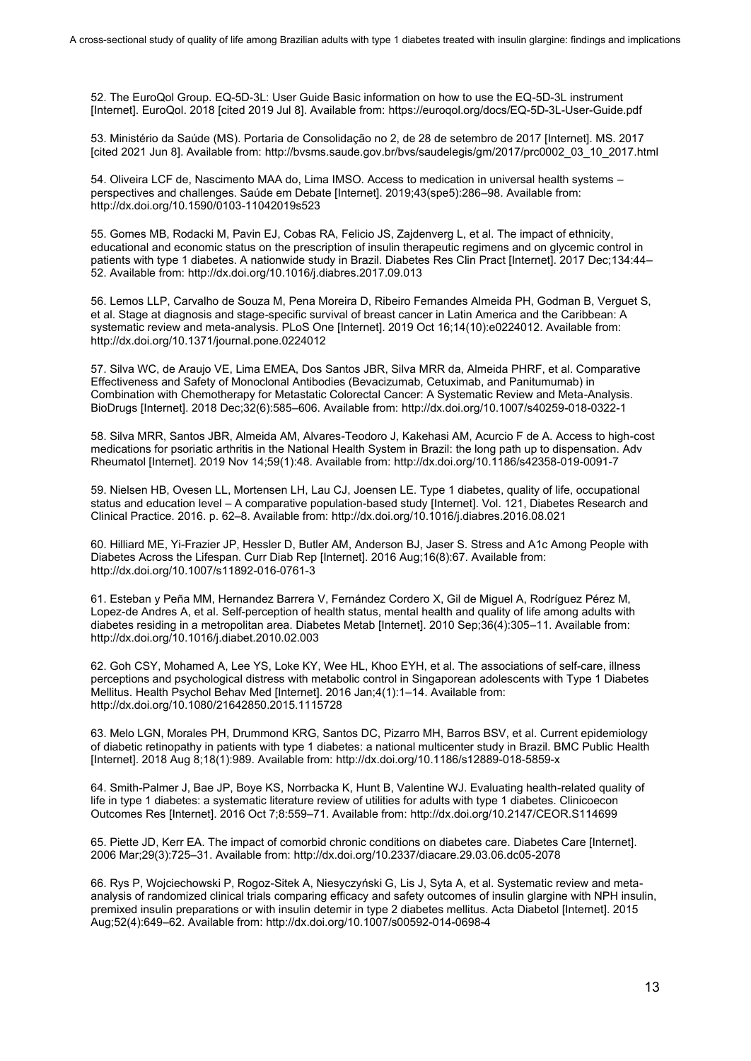52. The EuroQol Group. EQ-5D-3L: User Guide Basic information on how to use the EQ-5D-3L instrument [\[Internet\]. EuroQol. 2018 \[cited 2019 Jul 8\]. Available from: https://euroqol.org/docs/EQ-5D-3L-User-Guide.pdf](file:///C:/Users/henri/Google%20Drive/DOUTORADO/Tese/Artigo%202/Submissões/Clinical%20Diabetes/R2/The%20EuroQol%20Group.%20EQ-5D-3L:%20User%20Guide%20Basic%20information%20on%20how%20to%20use%20the%20EQ-5D-3L%20instrument%20%5bInternet%5d.%20EuroQol.%202018%20%5bcited%202019%20Jul%208%5d.%20Available%20from:)

53. [Ministério da Saúde \(MS\). Portaria de Consolidação no 2, de 28 de setembro de 2017 \[Internet\]. MS. 2017](file:///C:/Users/henri/Google%20Drive/DOUTORADO/Tese/Artigo%202/Submissões/Clinical%20Diabetes/R2/Ministério%20da%20Saúde%20(MS).%20Portaria%20de%20Consolidação%20no%202,%20de%2028%20de%20setembro%20de%202017%20%5bInternet%5d.%20MS.%202017%20%5bcited%202021%20Jun%208%5d.%20Available%20from:)  [\[cited 2021 Jun 8\]. Available from:](file:///C:/Users/henri/Google%20Drive/DOUTORADO/Tese/Artigo%202/Submissões/Clinical%20Diabetes/R2/Ministério%20da%20Saúde%20(MS).%20Portaria%20de%20Consolidação%20no%202,%20de%2028%20de%20setembro%20de%202017%20%5bInternet%5d.%20MS.%202017%20%5bcited%202021%20Jun%208%5d.%20Available%20from:) [http://bvsms.saude.gov.br/bvs/saudelegis/gm/2017/prc0002\\_03\\_10\\_2017.html](http://bvsms.saude.gov.br/bvs/saudelegis/gm/2017/prc0002_03_10_2017.html)

54. [Oliveira LCF de, Nascimento MAA do, Lima IMSO. Access to medication in universal health systems –](file:///C:/Users/henri/Google%20Drive/DOUTORADO/Tese/Artigo%202/Submissões/Clinical%20Diabetes/R2/Oliveira%20LCF%20de,%20Nascimento%20MAA%20do,%20Lima%20IMSO.%20Access%20to%20medication%20in%20universal%20health%20systems%20–%20perspectives%20and%20challenges.%20Saúde%20em%20Debate%20%5bInternet%5d.%202019;43(spe5):286–98.%20Available%20from:) [perspectives and challenges. Saúde em Debate \[Internet\]. 2019;43\(spe5\):286–98. Available from:](file:///C:/Users/henri/Google%20Drive/DOUTORADO/Tese/Artigo%202/Submissões/Clinical%20Diabetes/R2/Oliveira%20LCF%20de,%20Nascimento%20MAA%20do,%20Lima%20IMSO.%20Access%20to%20medication%20in%20universal%20health%20systems%20–%20perspectives%20and%20challenges.%20Saúde%20em%20Debate%20%5bInternet%5d.%202019;43(spe5):286–98.%20Available%20from:)  <http://dx.doi.org/10.1590/0103-11042019s523>

55. [Gomes MB, Rodacki M, Pavin EJ, Cobas RA, Felicio JS, Zajdenverg L, et al. The impact of ethnicity,](http://paperpile.com/b/2s9aSa/srb7s)  [educational and economic status on the prescription of insulin therapeutic regimens and on glycemic control in](http://paperpile.com/b/2s9aSa/srb7s)  [patients with type 1 diabetes. A nationwide study in Brazil. Diabetes Res Clin Pract \[Internet\]. 2017 Dec;134:44–](http://paperpile.com/b/2s9aSa/srb7s) [52. Available from:](http://paperpile.com/b/2s9aSa/srb7s) <http://dx.doi.org/10.1016/j.diabres.2017.09.013>

56. [Lemos LLP, Carvalho de Souza M, Pena Moreira D, Ribeiro Fernandes Almeida PH, Godman B, Verguet S,](file:///C:/Users/henri/Google%20Drive/DOUTORADO/Tese/Artigo%202/Submissões/Clinical%20Diabetes/R2/Lemos%20LLP,%20Carvalho%20de%20Souza%20M,%20Pena%20Moreira%20D,%20Ribeiro%20Fernandes%20Almeida%20PH,%20Godman%20B,%20Verguet%20S,%20et%20al.%20Stage%20at%20diagnosis%20and%20stage-specific%20survival%20of%20breast%20cancer%20in%20Latin%20America%20and%20the%20Caribbean:%20A%20systematic%20review%20and%20meta-analysis.%20PLoS%20One%20%5bInternet%5d.%202019%20Oct%2016;14(10):e0224012.%20Available%20from:)  [et al. Stage at diagnosis and stage-specific survival of breast cancer in Latin America and the Caribbean: A](file:///C:/Users/henri/Google%20Drive/DOUTORADO/Tese/Artigo%202/Submissões/Clinical%20Diabetes/R2/Lemos%20LLP,%20Carvalho%20de%20Souza%20M,%20Pena%20Moreira%20D,%20Ribeiro%20Fernandes%20Almeida%20PH,%20Godman%20B,%20Verguet%20S,%20et%20al.%20Stage%20at%20diagnosis%20and%20stage-specific%20survival%20of%20breast%20cancer%20in%20Latin%20America%20and%20the%20Caribbean:%20A%20systematic%20review%20and%20meta-analysis.%20PLoS%20One%20%5bInternet%5d.%202019%20Oct%2016;14(10):e0224012.%20Available%20from:)  [systematic review and meta-analysis. PLoS One \[Internet\]. 2019 Oct 16;14\(10\):e0224012. Available from:](file:///C:/Users/henri/Google%20Drive/DOUTORADO/Tese/Artigo%202/Submissões/Clinical%20Diabetes/R2/Lemos%20LLP,%20Carvalho%20de%20Souza%20M,%20Pena%20Moreira%20D,%20Ribeiro%20Fernandes%20Almeida%20PH,%20Godman%20B,%20Verguet%20S,%20et%20al.%20Stage%20at%20diagnosis%20and%20stage-specific%20survival%20of%20breast%20cancer%20in%20Latin%20America%20and%20the%20Caribbean:%20A%20systematic%20review%20and%20meta-analysis.%20PLoS%20One%20%5bInternet%5d.%202019%20Oct%2016;14(10):e0224012.%20Available%20from:)  <http://dx.doi.org/10.1371/journal.pone.0224012>

57. [Silva WC, de Araujo VE, Lima EMEA, Dos Santos JBR, Silva MRR da, Almeida PHRF, et al. Comparative](file:///C:/Users/henri/Google%20Drive/DOUTORADO/Tese/Artigo%202/Submissões/Clinical%20Diabetes/R2/Silva%20WC,%20de%20Araujo%20VE,%20Lima%20EMEA,%20Dos%20Santos%20JBR,%20Silva%20MRR%20da,%20Almeida%20PHRF,%20et%20al.%20Comparative%20Effectiveness%20and%20Safety%20of%20Monoclonal%20Antibodies%20(Bevacizumab,%20Cetuximab,%20and%20Panitumumab)%20in%20Combination%20with%20Chemotherapy%20for%20Metastatic%20Colorectal%20Cancer:%20A%20Systematic%20Review%20and%20Meta-Analysis.%20BioDrugs%20%5bInternet%5d.%202018%20Dec;32(6):585–606.%20Available%20from:)  [Effectiveness and Safety of Monoclonal Antibodies \(Bevacizumab, Cetuximab, and Panitumumab\) in](file:///C:/Users/henri/Google%20Drive/DOUTORADO/Tese/Artigo%202/Submissões/Clinical%20Diabetes/R2/Silva%20WC,%20de%20Araujo%20VE,%20Lima%20EMEA,%20Dos%20Santos%20JBR,%20Silva%20MRR%20da,%20Almeida%20PHRF,%20et%20al.%20Comparative%20Effectiveness%20and%20Safety%20of%20Monoclonal%20Antibodies%20(Bevacizumab,%20Cetuximab,%20and%20Panitumumab)%20in%20Combination%20with%20Chemotherapy%20for%20Metastatic%20Colorectal%20Cancer:%20A%20Systematic%20Review%20and%20Meta-Analysis.%20BioDrugs%20%5bInternet%5d.%202018%20Dec;32(6):585–606.%20Available%20from:)  [Combination with Chemotherapy for Metastatic Colorectal Cancer: A Systematic Review and Meta-Analysis.](file:///C:/Users/henri/Google%20Drive/DOUTORADO/Tese/Artigo%202/Submissões/Clinical%20Diabetes/R2/Silva%20WC,%20de%20Araujo%20VE,%20Lima%20EMEA,%20Dos%20Santos%20JBR,%20Silva%20MRR%20da,%20Almeida%20PHRF,%20et%20al.%20Comparative%20Effectiveness%20and%20Safety%20of%20Monoclonal%20Antibodies%20(Bevacizumab,%20Cetuximab,%20and%20Panitumumab)%20in%20Combination%20with%20Chemotherapy%20for%20Metastatic%20Colorectal%20Cancer:%20A%20Systematic%20Review%20and%20Meta-Analysis.%20BioDrugs%20%5bInternet%5d.%202018%20Dec;32(6):585–606.%20Available%20from:)  [BioDrugs \[Internet\]. 2018 Dec;32\(6\):585–606. Available from:](file:///C:/Users/henri/Google%20Drive/DOUTORADO/Tese/Artigo%202/Submissões/Clinical%20Diabetes/R2/Silva%20WC,%20de%20Araujo%20VE,%20Lima%20EMEA,%20Dos%20Santos%20JBR,%20Silva%20MRR%20da,%20Almeida%20PHRF,%20et%20al.%20Comparative%20Effectiveness%20and%20Safety%20of%20Monoclonal%20Antibodies%20(Bevacizumab,%20Cetuximab,%20and%20Panitumumab)%20in%20Combination%20with%20Chemotherapy%20for%20Metastatic%20Colorectal%20Cancer:%20A%20Systematic%20Review%20and%20Meta-Analysis.%20BioDrugs%20%5bInternet%5d.%202018%20Dec;32(6):585–606.%20Available%20from:) <http://dx.doi.org/10.1007/s40259-018-0322-1>

58. [Silva MRR, Santos JBR, Almeida AM, Alvares-Teodoro J, Kakehasi AM, Acurcio F de A. Access to high-cost](file:///C:/Users/henri/Google%20Drive/DOUTORADO/Tese/Artigo%202/Submissões/Clinical%20Diabetes/R2/Silva%20MRR,%20Santos%20JBR,%20Almeida%20AM,%20Alvares-Teodoro%20J,%20Kakehasi%20AM,%20Acurcio%20F%20de%20A.%20Access%20to%20high-cost%20medications%20for%20psoriatic%20arthritis%20in%20the%20National%20Health%20System%20in%20Brazil:%20the%20long%20path%20up%20to%20dispensation.%20Adv%20Rheumatol%20%5bInternet%5d.%202019%20Nov%2014;59(1):48.%20Available%20from:)  [medications for psoriatic arthritis in the National Health System in Brazil: the long path up to dispensation. Adv](file:///C:/Users/henri/Google%20Drive/DOUTORADO/Tese/Artigo%202/Submissões/Clinical%20Diabetes/R2/Silva%20MRR,%20Santos%20JBR,%20Almeida%20AM,%20Alvares-Teodoro%20J,%20Kakehasi%20AM,%20Acurcio%20F%20de%20A.%20Access%20to%20high-cost%20medications%20for%20psoriatic%20arthritis%20in%20the%20National%20Health%20System%20in%20Brazil:%20the%20long%20path%20up%20to%20dispensation.%20Adv%20Rheumatol%20%5bInternet%5d.%202019%20Nov%2014;59(1):48.%20Available%20from:)  [Rheumatol \[Internet\]. 2019 Nov 14;59\(1\):48. Available from:](file:///C:/Users/henri/Google%20Drive/DOUTORADO/Tese/Artigo%202/Submissões/Clinical%20Diabetes/R2/Silva%20MRR,%20Santos%20JBR,%20Almeida%20AM,%20Alvares-Teodoro%20J,%20Kakehasi%20AM,%20Acurcio%20F%20de%20A.%20Access%20to%20high-cost%20medications%20for%20psoriatic%20arthritis%20in%20the%20National%20Health%20System%20in%20Brazil:%20the%20long%20path%20up%20to%20dispensation.%20Adv%20Rheumatol%20%5bInternet%5d.%202019%20Nov%2014;59(1):48.%20Available%20from:) <http://dx.doi.org/10.1186/s42358-019-0091-7>

59. [Nielsen HB, Ovesen LL, Mortensen LH, Lau CJ, Joensen LE. Type 1 diabetes, quality of life, occupational](file:///C:/Users/henri/Google%20Drive/DOUTORADO/Tese/Artigo%202/Submissões/Clinical%20Diabetes/R2/Nielsen%20HB,%20Ovesen%20LL,%20Mortensen%20LH,%20Lau%20CJ,%20Joensen%20LE.%20Type%201%20diabetes,%20quality%20of%20life,%20occupational%20status%20and%20education%20level%20–%20A%20comparative%20population-based%20study%20%5bInternet%5d.%20Vol.%20121,%20Diabetes%20Research%20and%20Clinical%20Practice.%202016.%20p.%2062–8.%20Available%20from:)  status and education level – [A comparative population-based study \[Internet\]. Vol. 121, Diabetes Research and](file:///C:/Users/henri/Google%20Drive/DOUTORADO/Tese/Artigo%202/Submissões/Clinical%20Diabetes/R2/Nielsen%20HB,%20Ovesen%20LL,%20Mortensen%20LH,%20Lau%20CJ,%20Joensen%20LE.%20Type%201%20diabetes,%20quality%20of%20life,%20occupational%20status%20and%20education%20level%20–%20A%20comparative%20population-based%20study%20%5bInternet%5d.%20Vol.%20121,%20Diabetes%20Research%20and%20Clinical%20Practice.%202016.%20p.%2062–8.%20Available%20from:)  [Clinical Practice. 2016. p. 62–8. Available from:](file:///C:/Users/henri/Google%20Drive/DOUTORADO/Tese/Artigo%202/Submissões/Clinical%20Diabetes/R2/Nielsen%20HB,%20Ovesen%20LL,%20Mortensen%20LH,%20Lau%20CJ,%20Joensen%20LE.%20Type%201%20diabetes,%20quality%20of%20life,%20occupational%20status%20and%20education%20level%20–%20A%20comparative%20population-based%20study%20%5bInternet%5d.%20Vol.%20121,%20Diabetes%20Research%20and%20Clinical%20Practice.%202016.%20p.%2062–8.%20Available%20from:) <http://dx.doi.org/10.1016/j.diabres.2016.08.021>

60. [Hilliard ME, Yi-Frazier JP, Hessler D, Butler AM, Anderson BJ, Jaser S. Stress and A1c Among People with](file:///C:/Users/henri/Google%20Drive/DOUTORADO/Tese/Artigo%202/Submissões/Clinical%20Diabetes/R2/Hilliard%20ME,%20Yi-Frazier%20JP,%20Hessler%20D,%20Butler%20AM,%20Anderson%20BJ,%20Jaser%20S.%20Stress%20and%20A1c%20Among%20People%20with%20Diabetes%20Across%20the%20Lifespan.%20Curr%20Diab%20Rep%20%5bInternet%5d.%202016%20Aug;16(8):67.%20Available%20from:)  [Diabetes Across the Lifespan. Curr Diab Rep \[Internet\]. 2016 Aug;16\(8\):67. Available from:](file:///C:/Users/henri/Google%20Drive/DOUTORADO/Tese/Artigo%202/Submissões/Clinical%20Diabetes/R2/Hilliard%20ME,%20Yi-Frazier%20JP,%20Hessler%20D,%20Butler%20AM,%20Anderson%20BJ,%20Jaser%20S.%20Stress%20and%20A1c%20Among%20People%20with%20Diabetes%20Across%20the%20Lifespan.%20Curr%20Diab%20Rep%20%5bInternet%5d.%202016%20Aug;16(8):67.%20Available%20from:)  <http://dx.doi.org/10.1007/s11892-016-0761-3>

61. [Esteban y Peña MM, Hernandez Barrera V, Fernández Cordero X, Gil de Miguel A, Rodríguez Pérez M,](file:///C:/Users/henri/Google%20Drive/DOUTORADO/Tese/Artigo%202/Submissões/Clinical%20Diabetes/R2/Esteban%20y%20Peña%20MM,%20Hernandez%20Barrera%20V,%20Fernández%20Cordero%20X,%20Gil%20de%20Miguel%20A,%20Rodríguez%20Pérez%20M,%20Lopez-de%20Andres%20A,%20et%20al.%20Self-perception%20of%20health%20status,%20mental%20health%20and%20quality%20of%20life%20among%20adults%20with%20diabetes%20residing%20in%20a%20metropolitan%20area.%20Diabetes%20Metab%20%5bInternet%5d.%202010%20Sep;36(4):305–11.%20Available%20from:)  [Lopez-de Andres A, et al. Self-perception of health status, mental health and quality of life among adults with](file:///C:/Users/henri/Google%20Drive/DOUTORADO/Tese/Artigo%202/Submissões/Clinical%20Diabetes/R2/Esteban%20y%20Peña%20MM,%20Hernandez%20Barrera%20V,%20Fernández%20Cordero%20X,%20Gil%20de%20Miguel%20A,%20Rodríguez%20Pérez%20M,%20Lopez-de%20Andres%20A,%20et%20al.%20Self-perception%20of%20health%20status,%20mental%20health%20and%20quality%20of%20life%20among%20adults%20with%20diabetes%20residing%20in%20a%20metropolitan%20area.%20Diabetes%20Metab%20%5bInternet%5d.%202010%20Sep;36(4):305–11.%20Available%20from:)  [diabetes residing in a metropolitan area. Diabetes Metab \[Internet\]. 2010 Sep;36\(4\):305–11. Available from:](file:///C:/Users/henri/Google%20Drive/DOUTORADO/Tese/Artigo%202/Submissões/Clinical%20Diabetes/R2/Esteban%20y%20Peña%20MM,%20Hernandez%20Barrera%20V,%20Fernández%20Cordero%20X,%20Gil%20de%20Miguel%20A,%20Rodríguez%20Pérez%20M,%20Lopez-de%20Andres%20A,%20et%20al.%20Self-perception%20of%20health%20status,%20mental%20health%20and%20quality%20of%20life%20among%20adults%20with%20diabetes%20residing%20in%20a%20metropolitan%20area.%20Diabetes%20Metab%20%5bInternet%5d.%202010%20Sep;36(4):305–11.%20Available%20from:)  <http://dx.doi.org/10.1016/j.diabet.2010.02.003>

62. [Goh CSY, Mohamed A, Lee YS, Loke KY, Wee HL, Khoo EYH, et al. The associations of self-care, illness](file:///C:/Users/henri/Google%20Drive/DOUTORADO/Tese/Artigo%202/Submissões/Clinical%20Diabetes/R2/Goh%20CSY,%20Mohamed%20A,%20Lee%20YS,%20Loke%20KY,%20Wee%20HL,%20Khoo%20EYH,%20et%20al.%20The%20associations%20of%20self-care,%20illness%20perceptions%20and%20psychological%20distress%20with%20metabolic%20control%20in%20Singaporean%20adolescents%20with%20Type%201%20Diabetes%20Mellitus.%20Health%20Psychol%20Behav%20Med%20%5bInternet%5d.%202016%20Jan;4(1):1–14.%20Available%20from:)  [perceptions and psychological distress with metabolic control in Singaporean adolescents with Type 1 Diabetes](file:///C:/Users/henri/Google%20Drive/DOUTORADO/Tese/Artigo%202/Submissões/Clinical%20Diabetes/R2/Goh%20CSY,%20Mohamed%20A,%20Lee%20YS,%20Loke%20KY,%20Wee%20HL,%20Khoo%20EYH,%20et%20al.%20The%20associations%20of%20self-care,%20illness%20perceptions%20and%20psychological%20distress%20with%20metabolic%20control%20in%20Singaporean%20adolescents%20with%20Type%201%20Diabetes%20Mellitus.%20Health%20Psychol%20Behav%20Med%20%5bInternet%5d.%202016%20Jan;4(1):1–14.%20Available%20from:)  [Mellitus. Health Psychol Behav Med \[Internet\]. 2016 Jan;4\(1\):1–14. Available from:](file:///C:/Users/henri/Google%20Drive/DOUTORADO/Tese/Artigo%202/Submissões/Clinical%20Diabetes/R2/Goh%20CSY,%20Mohamed%20A,%20Lee%20YS,%20Loke%20KY,%20Wee%20HL,%20Khoo%20EYH,%20et%20al.%20The%20associations%20of%20self-care,%20illness%20perceptions%20and%20psychological%20distress%20with%20metabolic%20control%20in%20Singaporean%20adolescents%20with%20Type%201%20Diabetes%20Mellitus.%20Health%20Psychol%20Behav%20Med%20%5bInternet%5d.%202016%20Jan;4(1):1–14.%20Available%20from:)  <http://dx.doi.org/10.1080/21642850.2015.1115728>

63. [Melo LGN, Morales PH, Drummond KRG, Santos DC, Pizarro MH, Barros BSV, et al. Current epidemiology](file:///C:/Users/henri/Google%20Drive/DOUTORADO/Tese/Artigo%202/Submissões/Clinical%20Diabetes/R2/Melo%20LGN,%20Morales%20PH,%20Drummond%20KRG,%20Santos%20DC,%20Pizarro%20MH,%20Barros%20BSV,%20et%20al.%20Current%20epidemiology%20of%20diabetic%20retinopathy%20in%20patients%20with%20type%201%20diabetes:%20a%20national%20multicenter%20study%20in%20Brazil.%20BMC%20Public%20Health%20%5bInternet%5d.%202018%20Aug%208;18(1):989.%20Available%20from:)  [of diabetic retinopathy in patients with type 1 diabetes: a national multicenter study in Brazil. BMC Public Health](file:///C:/Users/henri/Google%20Drive/DOUTORADO/Tese/Artigo%202/Submissões/Clinical%20Diabetes/R2/Melo%20LGN,%20Morales%20PH,%20Drummond%20KRG,%20Santos%20DC,%20Pizarro%20MH,%20Barros%20BSV,%20et%20al.%20Current%20epidemiology%20of%20diabetic%20retinopathy%20in%20patients%20with%20type%201%20diabetes:%20a%20national%20multicenter%20study%20in%20Brazil.%20BMC%20Public%20Health%20%5bInternet%5d.%202018%20Aug%208;18(1):989.%20Available%20from:)  [\[Internet\]. 2018 Aug 8;18\(1\):989. Available from:](file:///C:/Users/henri/Google%20Drive/DOUTORADO/Tese/Artigo%202/Submissões/Clinical%20Diabetes/R2/Melo%20LGN,%20Morales%20PH,%20Drummond%20KRG,%20Santos%20DC,%20Pizarro%20MH,%20Barros%20BSV,%20et%20al.%20Current%20epidemiology%20of%20diabetic%20retinopathy%20in%20patients%20with%20type%201%20diabetes:%20a%20national%20multicenter%20study%20in%20Brazil.%20BMC%20Public%20Health%20%5bInternet%5d.%202018%20Aug%208;18(1):989.%20Available%20from:) <http://dx.doi.org/10.1186/s12889-018-5859-x>

64. [Smith-Palmer J, Bae JP, Boye KS, Norrbacka K, Hunt B, Valentine WJ. Evaluating health-related quality of](file:///C:/Users/henri/Google%20Drive/DOUTORADO/Tese/Artigo%202/Submissões/Clinical%20Diabetes/R2/Smith-Palmer%20J,%20Bae%20JP,%20Boye%20KS,%20Norrbacka%20K,%20Hunt%20B,%20Valentine%20WJ.%20Evaluating%20health-related%20quality%20of%20life%20in%20type%201%20diabetes:%20a%20systematic%20literature%20review%20of%20utilities%20for%20adults%20with%20type%201%20diabetes.%20Clinicoecon%20Outcomes%20Res%20%5bInternet%5d.%202016%20Oct%207;8:559–71.%20Available%20from:)  [life in type 1 diabetes: a systematic literature review of utilities for adults with type 1 diabetes. Clinicoecon](file:///C:/Users/henri/Google%20Drive/DOUTORADO/Tese/Artigo%202/Submissões/Clinical%20Diabetes/R2/Smith-Palmer%20J,%20Bae%20JP,%20Boye%20KS,%20Norrbacka%20K,%20Hunt%20B,%20Valentine%20WJ.%20Evaluating%20health-related%20quality%20of%20life%20in%20type%201%20diabetes:%20a%20systematic%20literature%20review%20of%20utilities%20for%20adults%20with%20type%201%20diabetes.%20Clinicoecon%20Outcomes%20Res%20%5bInternet%5d.%202016%20Oct%207;8:559–71.%20Available%20from:)  [Outcomes Res \[Internet\]. 2016 Oct 7;8:559–71. Available from:](file:///C:/Users/henri/Google%20Drive/DOUTORADO/Tese/Artigo%202/Submissões/Clinical%20Diabetes/R2/Smith-Palmer%20J,%20Bae%20JP,%20Boye%20KS,%20Norrbacka%20K,%20Hunt%20B,%20Valentine%20WJ.%20Evaluating%20health-related%20quality%20of%20life%20in%20type%201%20diabetes:%20a%20systematic%20literature%20review%20of%20utilities%20for%20adults%20with%20type%201%20diabetes.%20Clinicoecon%20Outcomes%20Res%20%5bInternet%5d.%202016%20Oct%207;8:559–71.%20Available%20from:) <http://dx.doi.org/10.2147/CEOR.S114699>

65. [Piette JD, Kerr EA. The impact of comorbid chronic conditions on diabetes care. Diabetes Care \[Internet\].](file:///C:/Users/henri/Google%20Drive/DOUTORADO/Tese/Artigo%202/Submissões/Clinical%20Diabetes/R2/Piette%20JD,%20Kerr%20EA.%20The%20impact%20of%20comorbid%20chronic%20conditions%20on%20diabetes%20care.%20Diabetes%20Care%20%5bInternet%5d.%202006%20Mar;29(3):725–31.%20Available%20from:)  [2006 Mar;29\(3\):725–31. Available from:](file:///C:/Users/henri/Google%20Drive/DOUTORADO/Tese/Artigo%202/Submissões/Clinical%20Diabetes/R2/Piette%20JD,%20Kerr%20EA.%20The%20impact%20of%20comorbid%20chronic%20conditions%20on%20diabetes%20care.%20Diabetes%20Care%20%5bInternet%5d.%202006%20Mar;29(3):725–31.%20Available%20from:) <http://dx.doi.org/10.2337/diacare.29.03.06.dc05-2078>

66. [Rys P, Wojciechowski P, Rogoz-Sitek A, Niesyczyński G, Lis J, Syta A, et al. Systematic review and meta](http://paperpile.com/b/2s9aSa/oqLNc)[analysis of randomized clinical trials comparing efficacy and safety outcomes of insulin glargine with NPH insulin,](http://paperpile.com/b/2s9aSa/oqLNc)  [premixed insulin preparations or with insulin detemir in type 2 diabetes mellitus. Acta Diabetol \[Internet\]. 2015](http://paperpile.com/b/2s9aSa/oqLNc)  [Aug;52\(4\):649–62. Available from:](http://paperpile.com/b/2s9aSa/oqLNc) <http://dx.doi.org/10.1007/s00592-014-0698-4>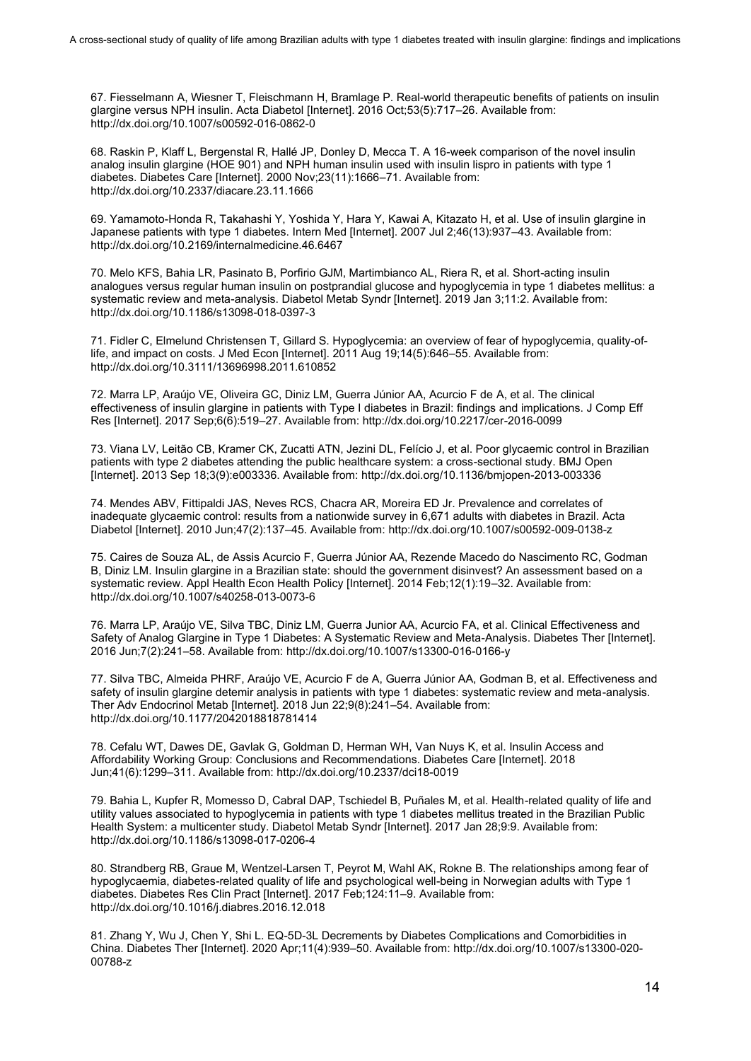67. Fiesselmann A, Wiesner T, Fleischmann H, Bramlage P. Real-world therapeutic benefits of patients on insulin [glargine versus NPH insulin. Acta Diabetol \[Internet\]. 2016 Oct;53\(5\):717–26. Available from:](file:///C:/Users/henri/Google%20Drive/DOUTORADO/Tese/Artigo%202/Submissões/Clinical%20Diabetes/R2/Fiesselmann%20A,%20Wiesner%20T,%20Fleischmann%20H,%20Bramlage%20P.%20Real-world%20therapeutic%20benefits%20of%20patients%20on%20insulin%20glargine%20versus%20NPH%20insulin.%20Acta%20Diabetol%20%5bInternet%5d.%202016%20Oct;53(5):717–26.%20Available%20from:)  <http://dx.doi.org/10.1007/s00592-016-0862-0>

68. [Raskin P, Klaff L, Bergenstal R, Hallé JP, Donley D, Mecca T. A 16-week comparison of the novel insulin](file:///C:/Users/henri/Google%20Drive/DOUTORADO/Tese/Artigo%202/Submissões/Clinical%20Diabetes/R2/Raskin%20P,%20Klaff%20L,%20Bergenstal%20R,%20Hallé%20JP,%20Donley%20D,%20Mecca%20T.%20A%2016-week%20comparison%20of%20the%20novel%20insulin%20analog%20insulin%20glargine%20(HOE%20901)%20and%20NPH%20human%20insulin%20used%20with%20insulin%20lispro%20in%20patients%20with%20type%201%20diabetes.%20Diabetes%20Care%20%5bInternet%5d.%202000%20Nov;23(11):1666–71.%20Available%20from:)  [analog insulin glargine \(HOE 901\) and NPH human insulin used with insulin lispro in patients with type 1](file:///C:/Users/henri/Google%20Drive/DOUTORADO/Tese/Artigo%202/Submissões/Clinical%20Diabetes/R2/Raskin%20P,%20Klaff%20L,%20Bergenstal%20R,%20Hallé%20JP,%20Donley%20D,%20Mecca%20T.%20A%2016-week%20comparison%20of%20the%20novel%20insulin%20analog%20insulin%20glargine%20(HOE%20901)%20and%20NPH%20human%20insulin%20used%20with%20insulin%20lispro%20in%20patients%20with%20type%201%20diabetes.%20Diabetes%20Care%20%5bInternet%5d.%202000%20Nov;23(11):1666–71.%20Available%20from:)  [diabetes. Diabetes Care \[Internet\]. 2000 Nov;23\(11\):1666–71. Available from:](file:///C:/Users/henri/Google%20Drive/DOUTORADO/Tese/Artigo%202/Submissões/Clinical%20Diabetes/R2/Raskin%20P,%20Klaff%20L,%20Bergenstal%20R,%20Hallé%20JP,%20Donley%20D,%20Mecca%20T.%20A%2016-week%20comparison%20of%20the%20novel%20insulin%20analog%20insulin%20glargine%20(HOE%20901)%20and%20NPH%20human%20insulin%20used%20with%20insulin%20lispro%20in%20patients%20with%20type%201%20diabetes.%20Diabetes%20Care%20%5bInternet%5d.%202000%20Nov;23(11):1666–71.%20Available%20from:)  <http://dx.doi.org/10.2337/diacare.23.11.1666>

69. [Yamamoto-Honda R, Takahashi Y, Yoshida Y, Hara Y, Kawai A, Kitazato H, et al. Use of insulin glargine in](http://paperpile.com/b/2s9aSa/eyHRI)  [Japanese patients with type 1 diabetes. Intern Med \[Internet\]. 2007 Jul 2;46\(13\):937–43. Available from:](http://paperpile.com/b/2s9aSa/eyHRI)  <http://dx.doi.org/10.2169/internalmedicine.46.6467>

70. [Melo KFS, Bahia LR, Pasinato B, Porfirio GJM, Martimbianco AL, Riera R, et al. Short-acting insulin](file:///C:/Users/henri/Google%20Drive/DOUTORADO/Tese/Artigo%202/Submissões/Clinical%20Diabetes/R2/Melo%20KFS,%20Bahia%20LR,%20Pasinato%20B,%20Porfirio%20GJM,%20Martimbianco%20AL,%20Riera%20R,%20et%20al.%20Short-acting%20insulin%20analogues%20versus%20regular%20human%20insulin%20on%20postprandial%20glucose%20and%20hypoglycemia%20in%20type%201%20diabetes%20mellitus:%20a%20systematic%20review%20and%20meta-analysis.%20Diabetol%20Metab%20Syndr%20%5bInternet%5d.%202019%20Jan%203;11:2.%20Available%20from:)  [analogues versus regular human insulin on postprandial glucose and hypoglycemia in type 1 diabetes mellitus: a](file:///C:/Users/henri/Google%20Drive/DOUTORADO/Tese/Artigo%202/Submissões/Clinical%20Diabetes/R2/Melo%20KFS,%20Bahia%20LR,%20Pasinato%20B,%20Porfirio%20GJM,%20Martimbianco%20AL,%20Riera%20R,%20et%20al.%20Short-acting%20insulin%20analogues%20versus%20regular%20human%20insulin%20on%20postprandial%20glucose%20and%20hypoglycemia%20in%20type%201%20diabetes%20mellitus:%20a%20systematic%20review%20and%20meta-analysis.%20Diabetol%20Metab%20Syndr%20%5bInternet%5d.%202019%20Jan%203;11:2.%20Available%20from:)  [systematic review and meta-analysis. Diabetol Metab Syndr \[Internet\]. 2019 Jan 3;11:2. Available from:](file:///C:/Users/henri/Google%20Drive/DOUTORADO/Tese/Artigo%202/Submissões/Clinical%20Diabetes/R2/Melo%20KFS,%20Bahia%20LR,%20Pasinato%20B,%20Porfirio%20GJM,%20Martimbianco%20AL,%20Riera%20R,%20et%20al.%20Short-acting%20insulin%20analogues%20versus%20regular%20human%20insulin%20on%20postprandial%20glucose%20and%20hypoglycemia%20in%20type%201%20diabetes%20mellitus:%20a%20systematic%20review%20and%20meta-analysis.%20Diabetol%20Metab%20Syndr%20%5bInternet%5d.%202019%20Jan%203;11:2.%20Available%20from:)  <http://dx.doi.org/10.1186/s13098-018-0397-3>

71. [Fidler C, Elmelund Christensen T, Gillard S. Hypoglycemia: an overview of fear of hypoglycemia, quality-of](file:///C:/Users/henri/Google%20Drive/DOUTORADO/Tese/Artigo%202/Submissões/Clinical%20Diabetes/R2/Fidler%20C,%20Elmelund%20Christensen%20T,%20Gillard%20S.%20Hypoglycemia:%20an%20overview%20of%20fear%20of%20hypoglycemia,%20quality-of-life,%20and%20impact%20on%20costs.%20J%20Med%20Econ%20%5bInternet%5d.%202011%20Aug%2019;14(5):646–55.%20Available%20from:)[life, and impact on costs. J Med Econ \[Internet\]. 2011 Aug 19;14\(5\):646–55. Available from:](file:///C:/Users/henri/Google%20Drive/DOUTORADO/Tese/Artigo%202/Submissões/Clinical%20Diabetes/R2/Fidler%20C,%20Elmelund%20Christensen%20T,%20Gillard%20S.%20Hypoglycemia:%20an%20overview%20of%20fear%20of%20hypoglycemia,%20quality-of-life,%20and%20impact%20on%20costs.%20J%20Med%20Econ%20%5bInternet%5d.%202011%20Aug%2019;14(5):646–55.%20Available%20from:)  <http://dx.doi.org/10.3111/13696998.2011.610852>

72. [Marra LP, Araújo VE, Oliveira GC, Diniz LM, Guerra Júnior AA, Acurcio F de](file:///C:/Users/henri/Google%20Drive/DOUTORADO/Tese/Artigo%202/Submissões/Clinical%20Diabetes/R2/Marra%20LP,%20Araújo%20VE,%20Oliveira%20GC,%20Diniz%20LM,%20Guerra%20Júnior%20AA,%20Acurcio%20F%20de%20A,%20et%20al.%20The%20clinical%20effectiveness%20of%20insulin%20glargine%20in%20patients%20with%20Type%20I%20diabetes%20in%20Brazil:%20findings%20and%20implications.%20J%20Comp%20Eff%20Res%20%5bInternet%5d.%202017%20Sep;6(6):519–27.%20Available%20from:) A, et al. The clinical [effectiveness of insulin glargine in patients with Type I diabetes in Brazil: findings and implications. J Comp Eff](file:///C:/Users/henri/Google%20Drive/DOUTORADO/Tese/Artigo%202/Submissões/Clinical%20Diabetes/R2/Marra%20LP,%20Araújo%20VE,%20Oliveira%20GC,%20Diniz%20LM,%20Guerra%20Júnior%20AA,%20Acurcio%20F%20de%20A,%20et%20al.%20The%20clinical%20effectiveness%20of%20insulin%20glargine%20in%20patients%20with%20Type%20I%20diabetes%20in%20Brazil:%20findings%20and%20implications.%20J%20Comp%20Eff%20Res%20%5bInternet%5d.%202017%20Sep;6(6):519–27.%20Available%20from:)  [Res \[Internet\]. 2017 Sep;6\(6\):519–27. Available from:](file:///C:/Users/henri/Google%20Drive/DOUTORADO/Tese/Artigo%202/Submissões/Clinical%20Diabetes/R2/Marra%20LP,%20Araújo%20VE,%20Oliveira%20GC,%20Diniz%20LM,%20Guerra%20Júnior%20AA,%20Acurcio%20F%20de%20A,%20et%20al.%20The%20clinical%20effectiveness%20of%20insulin%20glargine%20in%20patients%20with%20Type%20I%20diabetes%20in%20Brazil:%20findings%20and%20implications.%20J%20Comp%20Eff%20Res%20%5bInternet%5d.%202017%20Sep;6(6):519–27.%20Available%20from:) <http://dx.doi.org/10.2217/cer-2016-0099>

73. [Viana LV, Leitão CB, Kramer CK, Zucatti ATN, Jezini DL, Felício J, et al. Poor glycaemic control in Brazilian](file:///C:/Users/henri/Google%20Drive/DOUTORADO/Tese/Artigo%202/Submissões/Clinical%20Diabetes/R2/Viana%20LV,%20Leitão%20CB,%20Kramer%20CK,%20Zucatti%20ATN,%20Jezini%20DL,%20Felício%20J,%20et%20al.%20Poor%20glycaemic%20control%20in%20Brazilian%20patients%20with%20type%202%20diabetes%20attending%20the%20public%20healthcare%20system:%20a%20cross-sectional%20study.%20BMJ%20Open%20%5bInternet%5d.%202013%20Sep%2018;3(9):e003336.%20Available%20from:)  [patients with type 2 diabetes attending the public healthcare system: a cross-sectional study. BMJ Open](file:///C:/Users/henri/Google%20Drive/DOUTORADO/Tese/Artigo%202/Submissões/Clinical%20Diabetes/R2/Viana%20LV,%20Leitão%20CB,%20Kramer%20CK,%20Zucatti%20ATN,%20Jezini%20DL,%20Felício%20J,%20et%20al.%20Poor%20glycaemic%20control%20in%20Brazilian%20patients%20with%20type%202%20diabetes%20attending%20the%20public%20healthcare%20system:%20a%20cross-sectional%20study.%20BMJ%20Open%20%5bInternet%5d.%202013%20Sep%2018;3(9):e003336.%20Available%20from:)  [\[Internet\]. 2013 Sep 18;3\(9\):e003336. Available from:](file:///C:/Users/henri/Google%20Drive/DOUTORADO/Tese/Artigo%202/Submissões/Clinical%20Diabetes/R2/Viana%20LV,%20Leitão%20CB,%20Kramer%20CK,%20Zucatti%20ATN,%20Jezini%20DL,%20Felício%20J,%20et%20al.%20Poor%20glycaemic%20control%20in%20Brazilian%20patients%20with%20type%202%20diabetes%20attending%20the%20public%20healthcare%20system:%20a%20cross-sectional%20study.%20BMJ%20Open%20%5bInternet%5d.%202013%20Sep%2018;3(9):e003336.%20Available%20from:) <http://dx.doi.org/10.1136/bmjopen-2013-003336>

74. [Mendes ABV, Fittipaldi JAS, Neves RCS, Chacra AR, Moreira ED Jr. Prevalence and correlates of](file:///C:/Users/henri/Google%20Drive/DOUTORADO/Tese/Artigo%202/Submissões/Clinical%20Diabetes/R2/Mendes%20ABV,%20Fittipaldi%20JAS,%20Neves%20RCS,%20Chacra%20AR,%20Moreira%20ED%20Jr.%20Prevalence%20and%20correlates%20of%20inadequate%20glycaemic%20control:%20results%20from%20a%20nationwide%20survey%20in%206,671%20adults%20with%20diabetes%20in%20Brazil.%20Acta%20Diabetol%20%5bInternet%5d.%202010%20Jun;47(2):137–45.%20Available%20from:)  [inadequate glycaemic control: results from a nationwide survey in 6,671 adults with diabetes in Brazil. Acta](file:///C:/Users/henri/Google%20Drive/DOUTORADO/Tese/Artigo%202/Submissões/Clinical%20Diabetes/R2/Mendes%20ABV,%20Fittipaldi%20JAS,%20Neves%20RCS,%20Chacra%20AR,%20Moreira%20ED%20Jr.%20Prevalence%20and%20correlates%20of%20inadequate%20glycaemic%20control:%20results%20from%20a%20nationwide%20survey%20in%206,671%20adults%20with%20diabetes%20in%20Brazil.%20Acta%20Diabetol%20%5bInternet%5d.%202010%20Jun;47(2):137–45.%20Available%20from:)  [Diabetol \[Internet\]. 2010 Jun;47\(2\):137–45. Available from:](file:///C:/Users/henri/Google%20Drive/DOUTORADO/Tese/Artigo%202/Submissões/Clinical%20Diabetes/R2/Mendes%20ABV,%20Fittipaldi%20JAS,%20Neves%20RCS,%20Chacra%20AR,%20Moreira%20ED%20Jr.%20Prevalence%20and%20correlates%20of%20inadequate%20glycaemic%20control:%20results%20from%20a%20nationwide%20survey%20in%206,671%20adults%20with%20diabetes%20in%20Brazil.%20Acta%20Diabetol%20%5bInternet%5d.%202010%20Jun;47(2):137–45.%20Available%20from:) <http://dx.doi.org/10.1007/s00592-009-0138-z>

75. [Caires de Souza AL, de Assis Acurcio F, Guerra Júnior AA, Rezende Macedo do Nascimento RC, Godman](file:///C:/Users/henri/Google%20Drive/DOUTORADO/Tese/Artigo%202/Submissões/Clinical%20Diabetes/R2/Caires%20de%20Souza%20AL,%20de%20Assis%20Acurcio%20F,%20Guerra%20Júnior%20AA,%20Rezende%20Macedo%20do%20Nascimento%20RC,%20Godman%20B,%20Diniz%20LM.%20Insulin%20glargine%20in%20a%20Brazilian%20state:%20should%20the%20government%20disinvest?%20An%20assessment%20based%20on%20a%20systematic%20review.%20Appl%20Health%20Econ%20Health%20Policy%20%5bInternet%5d.%202014%20Feb;12(1):19–32.%20Available%20from:)  [B, Diniz LM. Insulin glargine in a Brazilian state: should the government disinvest? An assessment based on a](file:///C:/Users/henri/Google%20Drive/DOUTORADO/Tese/Artigo%202/Submissões/Clinical%20Diabetes/R2/Caires%20de%20Souza%20AL,%20de%20Assis%20Acurcio%20F,%20Guerra%20Júnior%20AA,%20Rezende%20Macedo%20do%20Nascimento%20RC,%20Godman%20B,%20Diniz%20LM.%20Insulin%20glargine%20in%20a%20Brazilian%20state:%20should%20the%20government%20disinvest?%20An%20assessment%20based%20on%20a%20systematic%20review.%20Appl%20Health%20Econ%20Health%20Policy%20%5bInternet%5d.%202014%20Feb;12(1):19–32.%20Available%20from:)  [systematic review. Appl Health Econ Health Policy \[Internet\]. 2014 Feb;12\(1\):19–32. Available from:](file:///C:/Users/henri/Google%20Drive/DOUTORADO/Tese/Artigo%202/Submissões/Clinical%20Diabetes/R2/Caires%20de%20Souza%20AL,%20de%20Assis%20Acurcio%20F,%20Guerra%20Júnior%20AA,%20Rezende%20Macedo%20do%20Nascimento%20RC,%20Godman%20B,%20Diniz%20LM.%20Insulin%20glargine%20in%20a%20Brazilian%20state:%20should%20the%20government%20disinvest?%20An%20assessment%20based%20on%20a%20systematic%20review.%20Appl%20Health%20Econ%20Health%20Policy%20%5bInternet%5d.%202014%20Feb;12(1):19–32.%20Available%20from:)  <http://dx.doi.org/10.1007/s40258-013-0073-6>

76. [Marra LP, Araújo VE, Silva TBC, Diniz LM, Guerra Junior AA, Acurcio FA, et](file:///C:/Users/henri/Google%20Drive/DOUTORADO/Tese/Artigo%202/Submissões/Clinical%20Diabetes/R2/Marra%20LP,%20Araújo%20VE,%20Silva%20TBC,%20Diniz%20LM,%20Guerra%20Junior%20AA,%20Acurcio%20FA,%20et%20al.%20Clinical%20Effectiveness%20and%20Safety%20of%20Analog%20Glargine%20in%20Type%201%20Diabetes:%20A%20Systematic%20Review%20and%20Meta-Analysis.%20Diabetes%20Ther%20%5bInternet%5d.%202016%20Jun;7(2):241–58.%20Available%20from:) al. Clinical Effectiveness and [Safety of Analog Glargine in Type 1 Diabetes: A Systematic Review and Meta-Analysis. Diabetes Ther \[Internet\].](file:///C:/Users/henri/Google%20Drive/DOUTORADO/Tese/Artigo%202/Submissões/Clinical%20Diabetes/R2/Marra%20LP,%20Araújo%20VE,%20Silva%20TBC,%20Diniz%20LM,%20Guerra%20Junior%20AA,%20Acurcio%20FA,%20et%20al.%20Clinical%20Effectiveness%20and%20Safety%20of%20Analog%20Glargine%20in%20Type%201%20Diabetes:%20A%20Systematic%20Review%20and%20Meta-Analysis.%20Diabetes%20Ther%20%5bInternet%5d.%202016%20Jun;7(2):241–58.%20Available%20from:)  [2016 Jun;7\(2\):241–58. Available from:](file:///C:/Users/henri/Google%20Drive/DOUTORADO/Tese/Artigo%202/Submissões/Clinical%20Diabetes/R2/Marra%20LP,%20Araújo%20VE,%20Silva%20TBC,%20Diniz%20LM,%20Guerra%20Junior%20AA,%20Acurcio%20FA,%20et%20al.%20Clinical%20Effectiveness%20and%20Safety%20of%20Analog%20Glargine%20in%20Type%201%20Diabetes:%20A%20Systematic%20Review%20and%20Meta-Analysis.%20Diabetes%20Ther%20%5bInternet%5d.%202016%20Jun;7(2):241–58.%20Available%20from:) <http://dx.doi.org/10.1007/s13300-016-0166-y>

77. [Silva TBC, Almeida PHRF, Araújo VE, Acurcio F de A, Guerra Júnior AA, Godman B, et al. Effectiveness and](file:///C:/Users/henri/Google%20Drive/DOUTORADO/Tese/Artigo%202/Submissões/Clinical%20Diabetes/R2/Silva%20TBC,%20Almeida%20PHRF,%20Araújo%20VE,%20Acurcio%20F%20de%20A,%20Guerra%20Júnior%20AA,%20Godman%20B,%20et%20al.%20Effectiveness%20and%20safety%20of%20insulin%20glargine%20detemir%20analysis%20in%20patients%20with%20type%201%20diabetes:%20systematic%20review%20and%20meta-analysis.%20Ther%20Adv%20Endocrinol%20Metab%20%5bInternet%5d.%202018%20Jun%2022;9(8):241–54.%20Available%20from:)  [safety of insulin glargine detemir analysis in patients with type 1 diabetes: systematic review and meta-analysis.](file:///C:/Users/henri/Google%20Drive/DOUTORADO/Tese/Artigo%202/Submissões/Clinical%20Diabetes/R2/Silva%20TBC,%20Almeida%20PHRF,%20Araújo%20VE,%20Acurcio%20F%20de%20A,%20Guerra%20Júnior%20AA,%20Godman%20B,%20et%20al.%20Effectiveness%20and%20safety%20of%20insulin%20glargine%20detemir%20analysis%20in%20patients%20with%20type%201%20diabetes:%20systematic%20review%20and%20meta-analysis.%20Ther%20Adv%20Endocrinol%20Metab%20%5bInternet%5d.%202018%20Jun%2022;9(8):241–54.%20Available%20from:)  [Ther Adv Endocrinol Metab \[Internet\]. 2018 Jun 22;9\(8\):241–54. Available from:](file:///C:/Users/henri/Google%20Drive/DOUTORADO/Tese/Artigo%202/Submissões/Clinical%20Diabetes/R2/Silva%20TBC,%20Almeida%20PHRF,%20Araújo%20VE,%20Acurcio%20F%20de%20A,%20Guerra%20Júnior%20AA,%20Godman%20B,%20et%20al.%20Effectiveness%20and%20safety%20of%20insulin%20glargine%20detemir%20analysis%20in%20patients%20with%20type%201%20diabetes:%20systematic%20review%20and%20meta-analysis.%20Ther%20Adv%20Endocrinol%20Metab%20%5bInternet%5d.%202018%20Jun%2022;9(8):241–54.%20Available%20from:)  <http://dx.doi.org/10.1177/2042018818781414>

78. Cefalu WT, Dawes DE, [Gavlak G, Goldman D, Herman WH, Van Nuys K, et al. Insulin Access and](http://paperpile.com/b/2s9aSa/dMgKU)  [Affordability Working Group: Conclusions and Recommendations. Diabetes Care \[Internet\]. 2018](http://paperpile.com/b/2s9aSa/dMgKU)  [Jun;41\(6\):1299–311. Available from:](http://paperpile.com/b/2s9aSa/dMgKU) <http://dx.doi.org/10.2337/dci18-0019>

79. [Bahia L, Kupfer R, Momesso D, Cabral DAP, Tschiedel B, Puñales M, et al. Health-related quality of life and](file:///C:/Users/henri/Google%20Drive/DOUTORADO/Tese/Artigo%202/Submissões/Clinical%20Diabetes/R2/Bahia%20L,%20Kupfer%20R,%20Momesso%20D,%20Cabral%20DAP,%20Tschiedel%20B,%20Puñales%20M,%20et%20al.%20Health-related%20quality%20of%20life%20and%20utility%20values%20associated%20to%20hypoglycemia%20in%20patients%20with%20type%201%20diabetes%20mellitus%20treated%20in%20the%20Brazilian%20Public%20Health%20System:%20a%20multicenter%20study.%20Diabetol%20Metab%20Syndr%20%5bInternet%5d.%202017%20Jan%2028;9:9.%20Available%20from:)  [utility values associated to hypoglycemia in patients with type 1 diabetes mellitus treated in the Brazilian Public](file:///C:/Users/henri/Google%20Drive/DOUTORADO/Tese/Artigo%202/Submissões/Clinical%20Diabetes/R2/Bahia%20L,%20Kupfer%20R,%20Momesso%20D,%20Cabral%20DAP,%20Tschiedel%20B,%20Puñales%20M,%20et%20al.%20Health-related%20quality%20of%20life%20and%20utility%20values%20associated%20to%20hypoglycemia%20in%20patients%20with%20type%201%20diabetes%20mellitus%20treated%20in%20the%20Brazilian%20Public%20Health%20System:%20a%20multicenter%20study.%20Diabetol%20Metab%20Syndr%20%5bInternet%5d.%202017%20Jan%2028;9:9.%20Available%20from:)  [Health System: a multicenter study. Diabetol Metab Syndr \[Internet\]. 2017 Jan 28;9:9. Available from:](file:///C:/Users/henri/Google%20Drive/DOUTORADO/Tese/Artigo%202/Submissões/Clinical%20Diabetes/R2/Bahia%20L,%20Kupfer%20R,%20Momesso%20D,%20Cabral%20DAP,%20Tschiedel%20B,%20Puñales%20M,%20et%20al.%20Health-related%20quality%20of%20life%20and%20utility%20values%20associated%20to%20hypoglycemia%20in%20patients%20with%20type%201%20diabetes%20mellitus%20treated%20in%20the%20Brazilian%20Public%20Health%20System:%20a%20multicenter%20study.%20Diabetol%20Metab%20Syndr%20%5bInternet%5d.%202017%20Jan%2028;9:9.%20Available%20from:)  <http://dx.doi.org/10.1186/s13098-017-0206-4>

80. Strandberg RB, [Graue M, Wentzel-Larsen T, Peyrot M, Wahl AK, Rokne B. The relationships among fear of](file:///C:/Users/henri/Google%20Drive/DOUTORADO/Tese/Artigo%202/Submissões/Clinical%20Diabetes/R2/Strandberg%20RB,%20Graue%20M,%20Wentzel-Larsen%20T,%20Peyrot%20M,%20Wahl%20AK,%20Rokne%20B.%20The%20relationships%20among%20fear%20of%20hypoglycaemia,%20diabetes-related%20quality%20of%20life%20and%20psychological%20well-being%20in%20Norwegian%20adults%20with%20Type%201%20diabetes.%20Diabetes%20Res%20Clin%20Pract%20%5bInternet%5d.%202017%20Feb;124:11–9.%20Available%20from:)  [hypoglycaemia, diabetes-related quality of life and psychological well-being in Norwegian adults with Type 1](file:///C:/Users/henri/Google%20Drive/DOUTORADO/Tese/Artigo%202/Submissões/Clinical%20Diabetes/R2/Strandberg%20RB,%20Graue%20M,%20Wentzel-Larsen%20T,%20Peyrot%20M,%20Wahl%20AK,%20Rokne%20B.%20The%20relationships%20among%20fear%20of%20hypoglycaemia,%20diabetes-related%20quality%20of%20life%20and%20psychological%20well-being%20in%20Norwegian%20adults%20with%20Type%201%20diabetes.%20Diabetes%20Res%20Clin%20Pract%20%5bInternet%5d.%202017%20Feb;124:11–9.%20Available%20from:)  [diabetes. Diabetes Res Clin Pract \[Internet\]. 2017 Feb;124:11–9. Available from:](file:///C:/Users/henri/Google%20Drive/DOUTORADO/Tese/Artigo%202/Submissões/Clinical%20Diabetes/R2/Strandberg%20RB,%20Graue%20M,%20Wentzel-Larsen%20T,%20Peyrot%20M,%20Wahl%20AK,%20Rokne%20B.%20The%20relationships%20among%20fear%20of%20hypoglycaemia,%20diabetes-related%20quality%20of%20life%20and%20psychological%20well-being%20in%20Norwegian%20adults%20with%20Type%201%20diabetes.%20Diabetes%20Res%20Clin%20Pract%20%5bInternet%5d.%202017%20Feb;124:11–9.%20Available%20from:)  <http://dx.doi.org/10.1016/j.diabres.2016.12.018>

81. [Zhang Y, Wu J, Chen Y, Shi L. EQ-5D-3L Decrements by Diabetes Complications and Comorbidities in](file:///C:/Users/henri/Google%20Drive/DOUTORADO/Tese/Artigo%202/Submissões/Clinical%20Diabetes/R2/Zhang%20Y,%20Wu%20J,%20Chen%20Y,%20Shi%20L.%20EQ-5D-3L%20Decrements%20by%20Diabetes%20Complications%20and%20Comorbidities%20in%20China.%20Diabetes%20Ther%20%5bInternet%5d.%202020%20Apr;11(4):939–50.%20Available%20from:)  [China. Diabetes Ther \[Internet\]. 2020 Apr;11\(4\):939–50. Available from:](file:///C:/Users/henri/Google%20Drive/DOUTORADO/Tese/Artigo%202/Submissões/Clinical%20Diabetes/R2/Zhang%20Y,%20Wu%20J,%20Chen%20Y,%20Shi%20L.%20EQ-5D-3L%20Decrements%20by%20Diabetes%20Complications%20and%20Comorbidities%20in%20China.%20Diabetes%20Ther%20%5bInternet%5d.%202020%20Apr;11(4):939–50.%20Available%20from:) [http://dx.doi.org/10.1007/s13300-020-](http://dx.doi.org/10.1007/s13300-020-00788-z) [00788-z](http://dx.doi.org/10.1007/s13300-020-00788-z)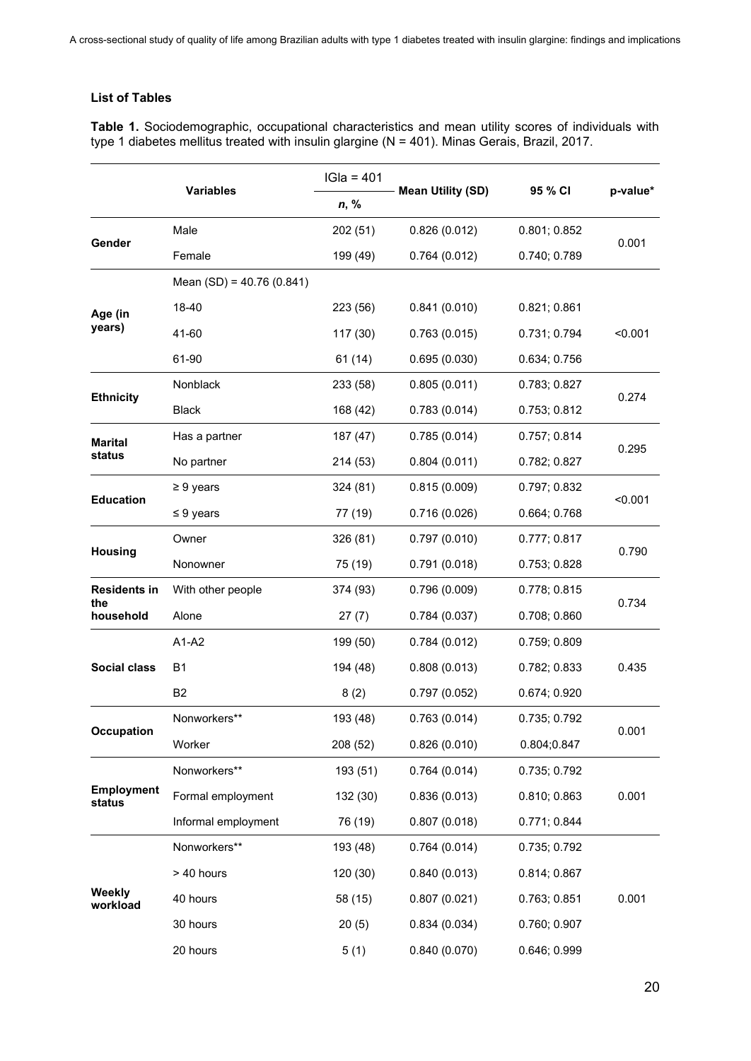## **List of Tables**

**Table 1.** Sociodemographic, occupational characteristics and mean utility scores of individuals with type 1 diabetes mellitus treated with insulin glargine (N = 401). Minas Gerais, Brazil, 2017.

|                             |                             | $IGIa = 401$ |                              |              |          |  |
|-----------------------------|-----------------------------|--------------|------------------------------|--------------|----------|--|
|                             | <b>Variables</b>            | n, %         | <b>Mean Utility (SD)</b>     | 95 % CI      | p-value* |  |
|                             | Male                        | 202 (51)     | 0.826(0.012)                 | 0.801; 0.852 |          |  |
| Gender                      | Female                      | 199 (49)     | 0.764(0.012)                 | 0.740; 0.789 | 0.001    |  |
|                             | Mean $(SD) = 40.76 (0.841)$ |              |                              |              |          |  |
| Age (in                     | 18-40                       | 223 (56)     | 0.841(0.010)                 | 0.821; 0.861 |          |  |
| years)                      | 41-60                       | 117 (30)     | 0.763(0.015)                 | 0.731; 0.794 | < 0.001  |  |
|                             | 61-90                       | 61(14)       | 0.695(0.030)<br>0.634; 0.756 |              |          |  |
|                             | Nonblack                    | 233 (58)     | 0.805(0.011)                 | 0.783; 0.827 |          |  |
| <b>Ethnicity</b>            | <b>Black</b>                | 168 (42)     | 0.783(0.014)                 | 0.753; 0.812 | 0.274    |  |
| <b>Marital</b>              | Has a partner               | 187 (47)     | 0.785(0.014)                 | 0.757; 0.814 | 0.295    |  |
| status                      | No partner                  | 214 (53)     | 0.804(0.011)                 | 0.782; 0.827 |          |  |
|                             | $\geq 9$ years              | 324 (81)     | 0.815(0.009)                 | 0.797; 0.832 |          |  |
| <b>Education</b>            | $\leq 9$ years              | 77 (19)      | 0.716(0.026)<br>0.664; 0.768 |              | < 0.001  |  |
| <b>Housing</b>              | Owner                       | 326 (81)     | 0.797(0.010)                 | 0.777; 0.817 | 0.790    |  |
|                             | Nonowner                    | 75 (19)      | 0.791(0.018)                 | 0.753; 0.828 |          |  |
| <b>Residents in</b>         | With other people           | 374 (93)     | 0.796(0.009)                 | 0.778; 0.815 |          |  |
| the<br>household            | Alone                       | 27(7)        | 0.784(0.037)                 | 0.708; 0.860 | 0.734    |  |
|                             | $A1-A2$                     | 199 (50)     | 0.784(0.012)                 | 0.759; 0.809 |          |  |
| <b>Social class</b>         | <b>B1</b>                   | 194 (48)     | 0.808(0.013)                 | 0.782; 0.833 | 0.435    |  |
|                             | <b>B2</b>                   | 8(2)         | 0.797(0.052)                 | 0.674; 0.920 |          |  |
|                             | Nonworkers**                | 193 (48)     | 0.763(0.014)                 | 0.735; 0.792 |          |  |
| Occupation                  | Worker                      | 208 (52)     | 0.826(0.010)                 | 0.804;0.847  | 0.001    |  |
|                             | Nonworkers**                | 193 (51)     | 0.764(0.014)                 | 0.735; 0.792 |          |  |
| <b>Employment</b><br>status | Formal employment           | 132 (30)     | 0.836(0.013)                 | 0.810; 0.863 | 0.001    |  |
|                             | Informal employment         | 76 (19)      | 0.807(0.018)                 | 0.771; 0.844 |          |  |
| Weekly<br>workload          | Nonworkers**                | 193 (48)     | 0.764(0.014)                 | 0.735; 0.792 |          |  |
|                             | > 40 hours                  | 120 (30)     | 0.840(0.013)                 | 0.814; 0.867 |          |  |
|                             | 40 hours                    | 58 (15)      | 0.807(0.021)                 | 0.763; 0.851 | 0.001    |  |
|                             | 30 hours                    | 20(5)        | 0.834(0.034)                 | 0.760; 0.907 |          |  |
|                             | 20 hours                    | 5(1)         | 0.840(0.070)                 | 0.646; 0.999 |          |  |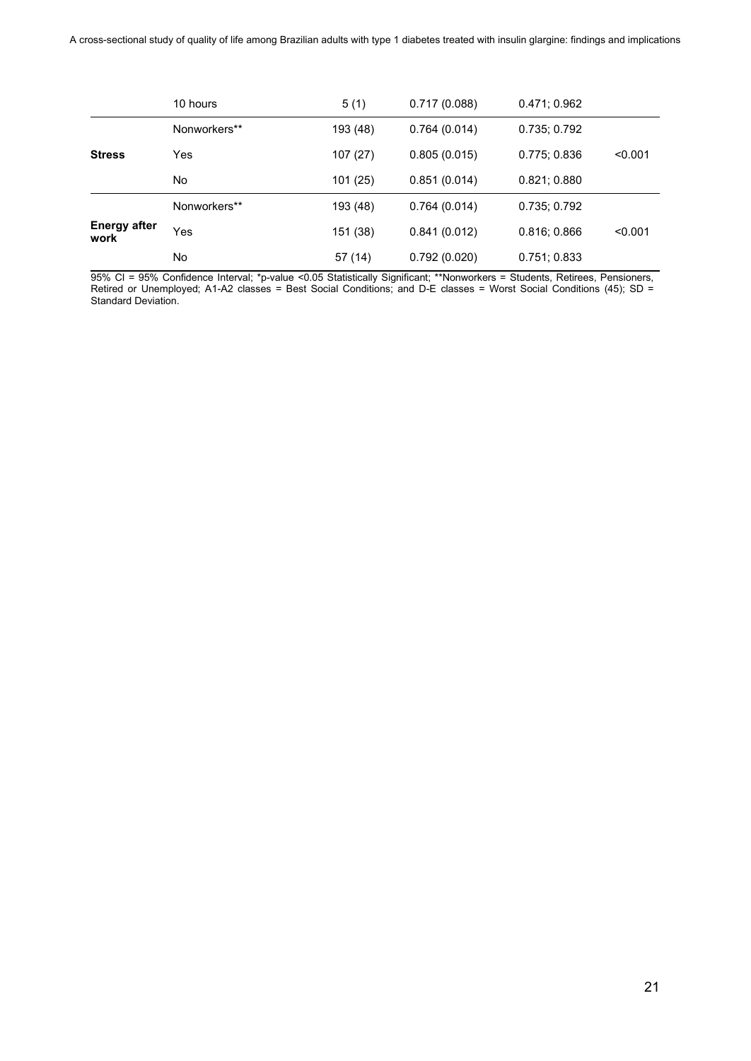|                             | 10 hours     | 5(1)     | 0.717(0.088) | 0.471; 0.962 |         |
|-----------------------------|--------------|----------|--------------|--------------|---------|
|                             | Nonworkers** | 193 (48) | 0.764(0.014) | 0.735; 0.792 |         |
| <b>Stress</b>               | Yes          | 107(27)  | 0.805(0.015) | 0.775; 0.836 | < 0.001 |
|                             | No           | 101 (25) | 0.851(0.014) | 0.821; 0.880 |         |
|                             | Nonworkers** | 193 (48) | 0.764(0.014) | 0.735; 0.792 |         |
| <b>Energy after</b><br>work | Yes          | 151 (38) | 0.841(0.012) | 0.816; 0.866 | < 0.001 |
|                             | No           | 57 (14)  | 0.792(0.020) | 0.751; 0.833 |         |

95% CI = 95% Confidence Interval; \*p-value <0.05 Statistically Significant; \*\*Nonworkers = Students, Retirees, Pensioners, Retired or Unemployed; A1-A2 classes = Best Social Conditions; and D-E classes = Worst Social Conditions (45); SD = Standard Deviation.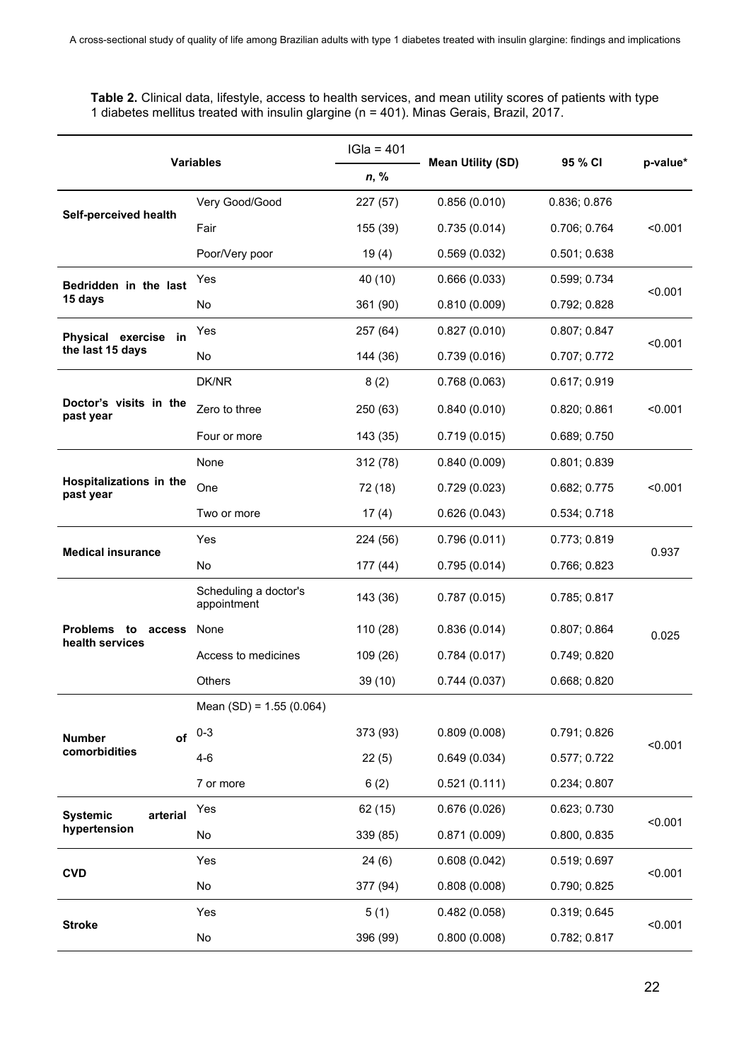**Table 2.** Clinical data, lifestyle, access to health services, and mean utility scores of patients with type 1 diabetes mellitus treated with insulin glargine (n = 401). Minas Gerais, Brazil, 2017.

| <b>Variables</b>                     |                                      | $IGIa = 401$ |                          |              | p-value* |  |
|--------------------------------------|--------------------------------------|--------------|--------------------------|--------------|----------|--|
|                                      |                                      | n, %         | <b>Mean Utility (SD)</b> | 95 % CI      |          |  |
|                                      | Very Good/Good                       | 227 (57)     | 0.856(0.010)             | 0.836; 0.876 |          |  |
| Self-perceived health                | Fair                                 | 155 (39)     | 0.735(0.014)             | 0.706; 0.764 | < 0.001  |  |
|                                      | Poor/Very poor                       | 19(4)        | 0.569(0.032)             | 0.501; 0.638 |          |  |
| Bedridden in the last                | Yes                                  | 40 (10)      | 0.666(0.033)             | 0.599; 0.734 |          |  |
| 15 days                              | No                                   | 361 (90)     | 0.810(0.009)             | 0.792; 0.828 | < 0.001  |  |
| Physical exercise in                 | Yes                                  | 257 (64)     | 0.827(0.010)             | 0.807; 0.847 |          |  |
| the last 15 days                     | No                                   | 144 (36)     | 0.739(0.016)             | 0.707; 0.772 | < 0.001  |  |
|                                      | DK/NR                                | 8(2)         | 0.768(0.063)             | 0.617; 0.919 |          |  |
| Doctor's visits in the<br>past year  | Zero to three                        | 250 (63)     | 0.840(0.010)             | 0.820; 0.861 | < 0.001  |  |
|                                      | Four or more                         | 143 (35)     | 0.719(0.015)             | 0.689; 0.750 |          |  |
|                                      | None                                 | 312 (78)     | 0.840(0.009)             | 0.801; 0.839 | < 0.001  |  |
| Hospitalizations in the<br>past year | One                                  | 72 (18)      | 0.729(0.023)             | 0.682; 0.775 |          |  |
|                                      | Two or more                          | 17(4)        | 0.626(0.043)             | 0.534; 0.718 |          |  |
|                                      | Yes                                  | 224 (56)     | 0.796(0.011)             | 0.773; 0.819 |          |  |
| <b>Medical insurance</b>             | <b>No</b>                            | 177 (44)     | 0.795(0.014)             | 0.766; 0.823 | 0.937    |  |
|                                      | Scheduling a doctor's<br>appointment | 143 (36)     | 0.787(0.015)             | 0.785; 0.817 | 0.025    |  |
| Problems to access                   | None                                 | 110 (28)     | 0.836(0.014)             | 0.807; 0.864 |          |  |
| health services                      | Access to medicines                  | 109 (26)     | 0.784(0.017)             | 0.749; 0.820 |          |  |
|                                      | <b>Others</b>                        | 39(10)       | 0.744(0.037)             | 0.668; 0.820 |          |  |
|                                      | Mean $(SD) = 1.55 (0.064)$           |              |                          |              |          |  |
| of<br><b>Number</b>                  | $0 - 3$                              | 373 (93)     | 0.809(0.008)             | 0.791; 0.826 | < 0.001  |  |
| comorbidities                        | $4-6$                                | 22(5)        | 0.649(0.034)             | 0.577; 0.722 |          |  |
|                                      | 7 or more                            | 6(2)         | 0.521(0.111)             | 0.234; 0.807 |          |  |
| <b>Systemic</b><br>arterial          | Yes                                  | 62(15)       | 0.676(0.026)             | 0.623; 0.730 | < 0.001  |  |
| hypertension                         | No                                   | 339 (85)     | 0.871(0.009)             | 0.800, 0.835 |          |  |
|                                      | Yes                                  | 24(6)        | 0.608(0.042)             | 0.519; 0.697 | < 0.001  |  |
| <b>CVD</b>                           | No                                   | 377 (94)     | 0.808(0.008)             | 0.790; 0.825 |          |  |
|                                      | Yes                                  | 5(1)         | 0.482(0.058)             | 0.319; 0.645 |          |  |
| <b>Stroke</b>                        | No                                   | 396 (99)     | 0.800(0.008)             | 0.782; 0.817 | < 0.001  |  |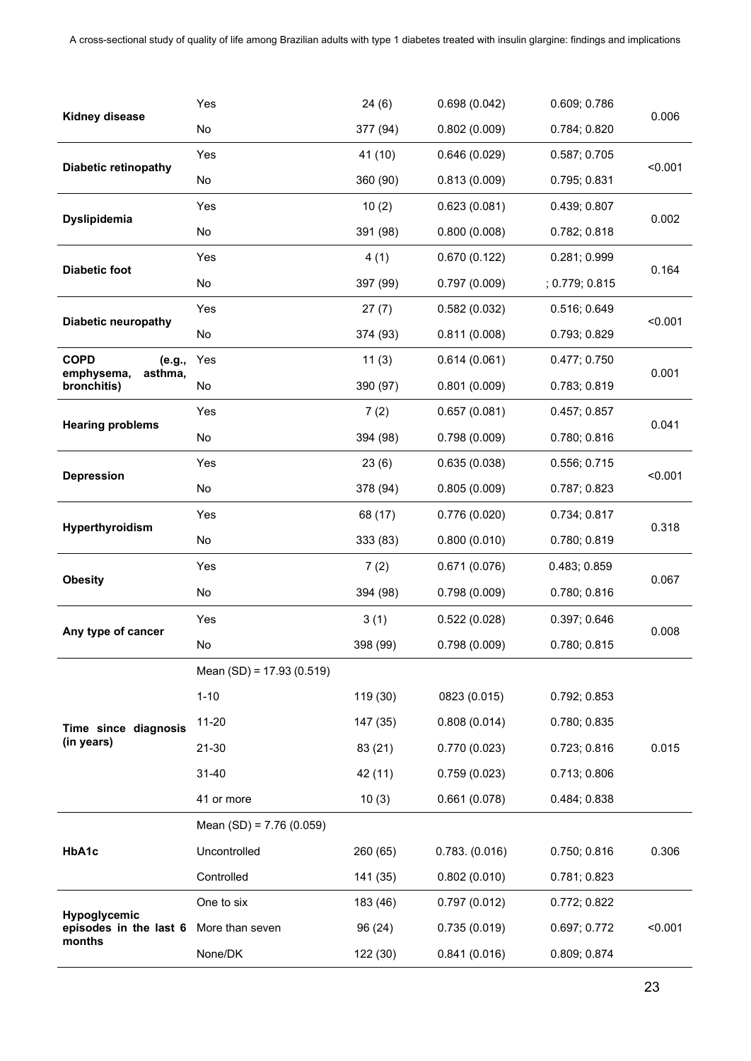| Kidney disease                                 | Yes                        | 24(6)    | 0.698(0.042)   | 0.609; 0.786   | 0.006   |  |
|------------------------------------------------|----------------------------|----------|----------------|----------------|---------|--|
|                                                | No                         | 377 (94) | 0.802(0.009)   | 0.784; 0.820   |         |  |
| <b>Diabetic retinopathy</b>                    | Yes                        | 41 (10)  | 0.646(0.029)   | 0.587; 0.705   | < 0.001 |  |
|                                                | No                         | 360 (90) | 0.813(0.009)   | 0.795; 0.831   |         |  |
| Dyslipidemia                                   | Yes                        | 10(2)    | 0.623(0.081)   | 0.439; 0.807   | 0.002   |  |
|                                                | No                         | 391 (98) | 0.800(0.008)   | 0.782; 0.818   |         |  |
| <b>Diabetic foot</b>                           | Yes                        | 4(1)     | 0.670(0.122)   | 0.281; 0.999   | 0.164   |  |
|                                                | No                         | 397 (99) | 0.797(0.009)   | ; 0.779; 0.815 |         |  |
| <b>Diabetic neuropathy</b>                     | Yes                        | 27(7)    | 0.582(0.032)   | 0.516; 0.649   | < 0.001 |  |
|                                                | No                         | 374 (93) | 0.811(0.008)   | 0.793; 0.829   |         |  |
| <b>COPD</b><br>(e.g.,<br>emphysema,<br>asthma, | Yes                        | 11(3)    | 0.614(0.061)   | 0.477; 0.750   | 0.001   |  |
| bronchitis)                                    | No                         | 390 (97) | 0.801(0.009)   | 0.783; 0.819   |         |  |
| <b>Hearing problems</b>                        | Yes                        | 7(2)     | 0.657(0.081)   | 0.457; 0.857   |         |  |
|                                                | No                         | 394 (98) | 0.798(0.009)   | 0.780; 0.816   | 0.041   |  |
| <b>Depression</b>                              | Yes                        | 23(6)    | 0.635(0.038)   | 0.556; 0.715   | < 0.001 |  |
|                                                | No                         | 378 (94) | 0.805(0.009)   | 0.787; 0.823   |         |  |
|                                                | Yes                        | 68 (17)  | 0.776(0.020)   | 0.734; 0.817   | 0.318   |  |
| Hyperthyroidism                                | No                         | 333 (83) | 0.800(0.010)   | 0.780; 0.819   |         |  |
|                                                | Yes                        | 7(2)     | 0.671(0.076)   | 0.483; 0.859   | 0.067   |  |
| <b>Obesity</b>                                 | No                         | 394 (98) | 0.798(0.009)   | 0.780; 0.816   |         |  |
| Any type of cancer                             | Yes                        | 3(1)     | 0.522(0.028)   | 0.397; 0.646   | 0.008   |  |
|                                                | No                         | 398 (99) | 0.798(0.009)   | 0.780; 0.815   |         |  |
|                                                | Mean (SD) = 17.93 (0.519)  |          |                |                |         |  |
|                                                | $1 - 10$                   | 119 (30) | 0823 (0.015)   | 0.792; 0.853   |         |  |
| Time since diagnosis                           | $11 - 20$                  | 147 (35) | 0.808(0.014)   | 0.780; 0.835   |         |  |
| (in years)                                     | 21-30                      | 83 (21)  | 0.770(0.023)   | 0.723; 0.816   | 0.015   |  |
|                                                | 31-40                      | 42 (11)  | 0.759(0.023)   | 0.713; 0.806   |         |  |
|                                                | 41 or more                 | 10(3)    | 0.661(0.078)   | 0.484; 0.838   |         |  |
|                                                | Mean $(SD) = 7.76 (0.059)$ |          |                |                |         |  |
| HbA1c                                          | Uncontrolled               | 260 (65) | 0.783. (0.016) | 0.750; 0.816   | 0.306   |  |
|                                                | Controlled                 | 141 (35) | 0.802(0.010)   | 0.781; 0.823   |         |  |
|                                                | One to six                 | 183 (46) | 0.797(0.012)   | 0.772; 0.822   |         |  |
| Hypoglycemic<br>episodes in the last 6         | More than seven            | 96 (24)  | 0.735(0.019)   | 0.697; 0.772   | < 0.001 |  |
| months                                         | None/DK                    | 122 (30) | 0.841(0.016)   | 0.809; 0.874   |         |  |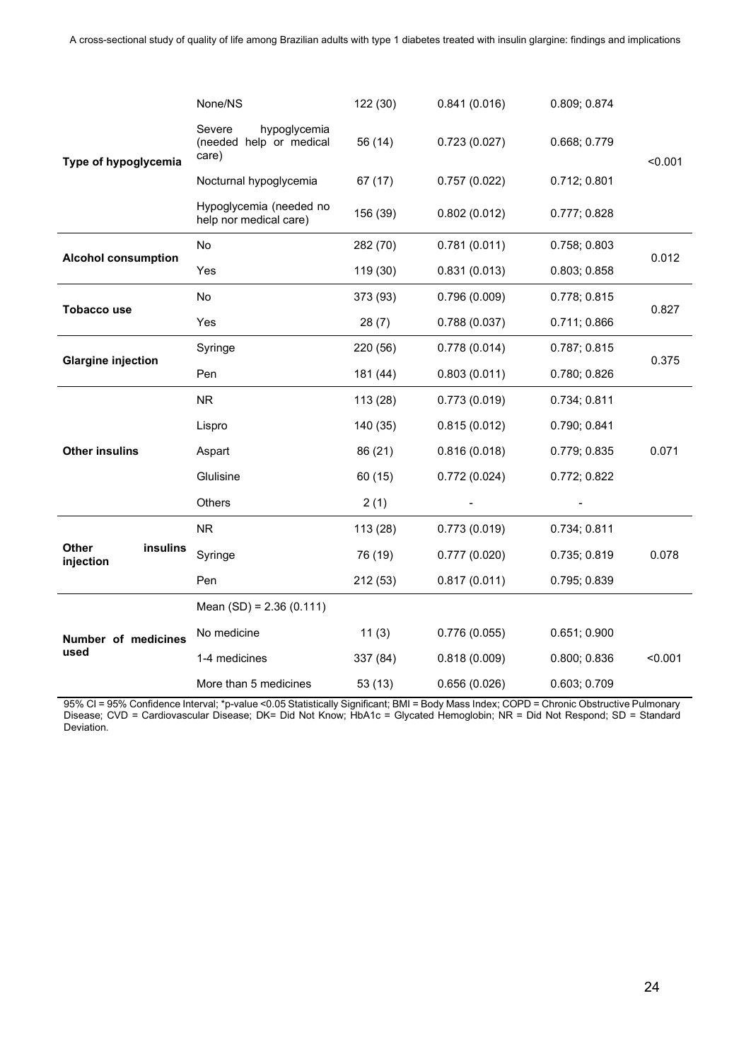|                                | None/NS                                                    | 122 (30) | 0.841(0.016) | 0.809; 0.874 |         |  |
|--------------------------------|------------------------------------------------------------|----------|--------------|--------------|---------|--|
| Type of hypoglycemia           | Severe<br>hypoglycemia<br>(needed help or medical<br>care) | 56 (14)  | 0.723(0.027) | 0.668; 0.779 | < 0.001 |  |
|                                | Nocturnal hypoglycemia                                     | 67 (17)  | 0.757(0.022) | 0.712; 0.801 |         |  |
|                                | Hypoglycemia (needed no<br>help nor medical care)          | 156 (39) | 0.802(0.012) | 0.777; 0.828 |         |  |
| <b>Alcohol consumption</b>     | No                                                         | 282 (70) | 0.781(0.011) | 0.758; 0.803 |         |  |
|                                | Yes                                                        | 119 (30) | 0.831(0.013) | 0.803; 0.858 | 0.012   |  |
| <b>Tobacco use</b>             | No                                                         | 373 (93) | 0.796(0.009) | 0.778; 0.815 | 0.827   |  |
|                                | Yes                                                        | 28(7)    | 0.788(0.037) | 0.711; 0.866 |         |  |
| <b>Glargine injection</b>      | Syringe                                                    | 220 (56) | 0.778(0.014) | 0.787; 0.815 | 0.375   |  |
|                                | Pen                                                        | 181 (44) | 0.803(0.011) | 0.780; 0.826 |         |  |
|                                | <b>NR</b>                                                  | 113 (28) | 0.773(0.019) | 0.734; 0.811 |         |  |
|                                | Lispro                                                     | 140 (35) | 0.815(0.012) | 0.790; 0.841 |         |  |
| <b>Other insulins</b>          | Aspart                                                     | 86 (21)  | 0.816(0.018) | 0.779; 0.835 | 0.071   |  |
|                                | Glulisine                                                  | 60 (15)  | 0.772(0.024) | 0.772; 0.822 |         |  |
|                                | Others                                                     | 2(1)     |              |              |         |  |
|                                | <b>NR</b>                                                  | 113 (28) | 0.773(0.019) | 0.734; 0.811 |         |  |
| insulins<br>Other<br>injection | Syringe                                                    | 76 (19)  | 0.777(0.020) | 0.735; 0.819 | 0.078   |  |
|                                | Pen                                                        | 212 (53) | 0.817(0.011) | 0.795; 0.839 |         |  |
|                                | Mean $(SD) = 2.36 (0.111)$                                 |          |              |              |         |  |
| Number of medicines            | No medicine                                                | 11(3)    | 0.776(0.055) | 0.651; 0.900 |         |  |
| used                           | 1-4 medicines                                              | 337 (84) | 0.818(0.009) | 0.800; 0.836 | < 0.001 |  |
|                                | More than 5 medicines                                      | 53(13)   | 0.656(0.026) | 0.603; 0.709 |         |  |

95% CI = 95% Confidence Interval; \*p-value <0.05 Statistically Significant; BMI = Body Mass Index; COPD = Chronic Obstructive Pulmonary Disease; CVD = Cardiovascular Disease; DK= Did Not Know; HbA1c = Glycated Hemoglobin; NR = Did Not Respond; SD = Standard Deviation.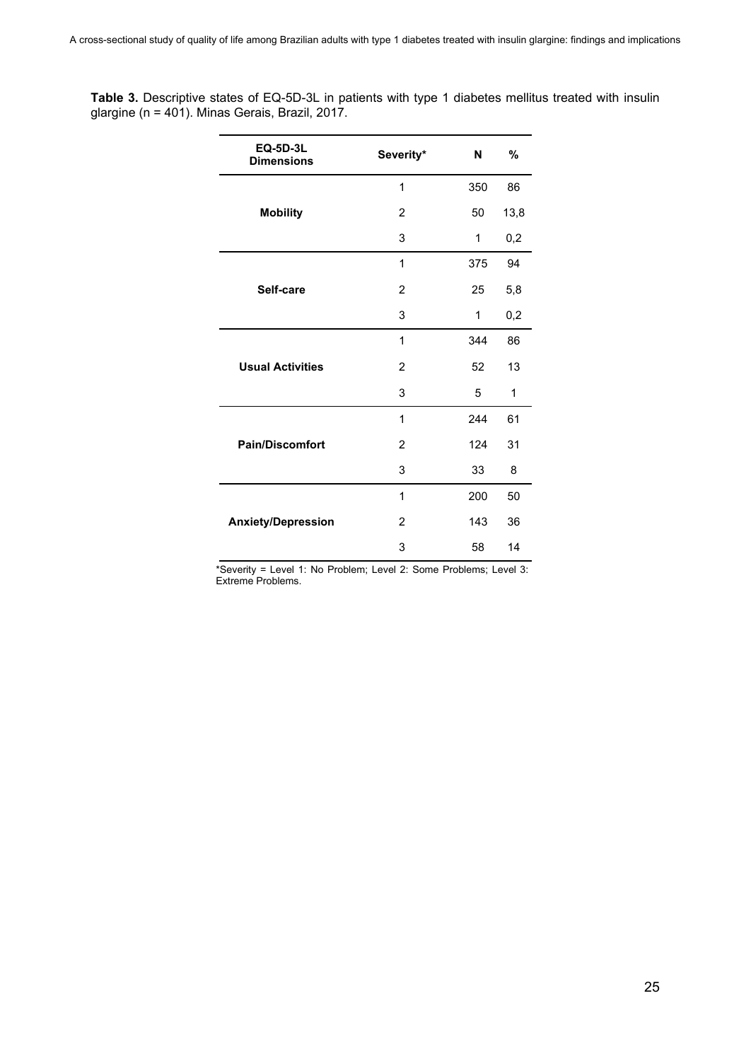**Table 3.** Descriptive states of EQ-5D-3L in patients with type 1 diabetes mellitus treated with insulin glargine (n = 401). Minas Gerais, Brazil, 2017.

| <b>EQ-5D-3L</b><br><b>Dimensions</b> | Severity*      | N   | %    |
|--------------------------------------|----------------|-----|------|
|                                      | 1              | 350 | 86   |
| <b>Mobility</b>                      | 2              | 50  | 13,8 |
|                                      | 3              | 1   | 0,2  |
|                                      | 1              | 375 | 94   |
| Self-care                            | 2              | 25  | 5,8  |
|                                      | 3              | 1   | 0,2  |
|                                      | 1              | 344 | 86   |
| <b>Usual Activities</b>              | 2              | 52  | 13   |
|                                      | 3              | 5   | 1    |
|                                      | 1              | 244 | 61   |
| <b>Pain/Discomfort</b>               | 2              | 124 | 31   |
|                                      | 3              | 33  | 8    |
|                                      | 1              | 200 | 50   |
| <b>Anxiety/Depression</b>            | $\overline{2}$ | 143 | 36   |
|                                      | 3              | 58  | 14   |

\*Severity = Level 1: No Problem; Level 2: Some Problems; Level 3: Extreme Problems.